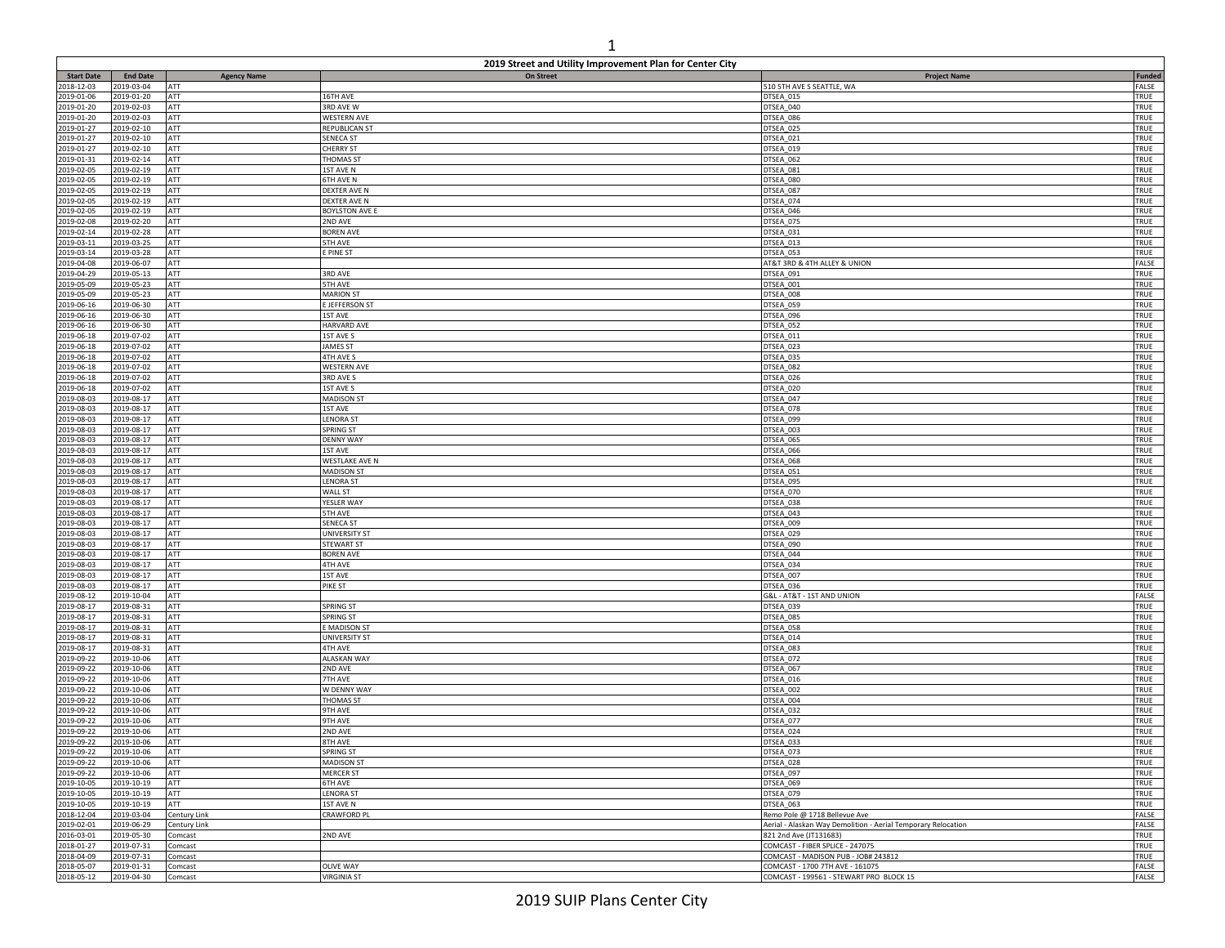|                          |                          |                    | 2019 Street and Utility Improvement Plan for Center City |                                                               |               |
|--------------------------|--------------------------|--------------------|----------------------------------------------------------|---------------------------------------------------------------|---------------|
| <b>Start Date</b>        | <b>End Date</b>          | <b>Agency Name</b> | <b>On Street</b>                                         | <b>Project Name</b>                                           | Funded        |
| 2018-12-03               | 019-03-04                | ATT                |                                                          | 510 5TH AVE S SEATTLE, WA                                     | FALSE         |
| 2019-01-06               | 2019-01-20               | ATT                | 16TH AVE                                                 | DTSEA_015                                                     | TRUE          |
| 2019-01-20               | 2019-02-03               | ATT                | 3RD AVE W                                                | DTSEA_040                                                     | TRUE          |
| 2019-01-20               | 2019-02-03               | ATT                | <b>WESTERN AVE</b>                                       | DTSEA_086                                                     | TRUE          |
| 2019-01-27               | 2019-02-10               | ATT<br>ATT         | REPUBLICAN ST<br><b>SENECA ST</b>                        | DTSEA_025                                                     | TRUE<br>TRUE  |
| 2019-01-27<br>2019-01-27 | 2019-02-10<br>2019-02-10 | ATT                | <b>CHERRY ST</b>                                         | DTSEA_021<br>DTSEA_019                                        | TRUE          |
| 2019-01-31               | 2019-02-14               | ATT                | <b>THOMAS ST</b>                                         | DTSEA_062                                                     | TRUE          |
| 2019-02-05               | 2019-02-19               | ATT                | 1ST AVE N                                                | DTSEA_081                                                     | TRUE          |
| 2019-02-05               | 2019-02-19               | ATT                | <b>6TH AVE N</b>                                         | DTSEA_080                                                     | TRUE          |
| 2019-02-05               | 2019-02-19               | ATT                | DEXTER AVE N                                             | DTSEA_087                                                     | TRUE          |
| 2019-02-05               | 2019-02-19               | ATT                | DEXTER AVE N                                             | DTSEA 074                                                     | TRUE          |
| 2019-02-05               | 2019-02-19               | ATT                | BOYLSTON AVE E                                           | DTSEA_046                                                     | TRUE          |
| 2019-02-08               | 2019-02-20               | ATT                | 2ND AVE                                                  | DTSEA_075                                                     | TRUE          |
| 2019-02-14               | 2019-02-28               | ATT                | <b>BOREN AVE</b>                                         | DTSEA_031                                                     | TRUE          |
| 2019-03-11               | 2019-03-25               | ATT                | 5TH AVE                                                  | DTSEA_013                                                     | TRUE          |
| 2019-03-14               | 2019-03-28               | ATT                | E PINE ST                                                | DTSEA_053                                                     | TRUE          |
| 2019-04-08               | 2019-06-07               | ATT                |                                                          | AT&T 3RD & 4TH ALLEY & UNION                                  | FALSE         |
| 2019-04-29               | 2019-05-13               | ATT                | 3RD AVE                                                  | DTSEA_091                                                     | TRUE          |
| 2019-05-09               | 2019-05-23               | ATT                | <b>5TH AVE</b>                                           | DTSEA_001                                                     | TRUE          |
| 2019-05-09<br>2019-06-16 | 2019-05-23<br>2019-06-30 | ATT<br>ATT         | <b>MARION ST</b><br>E JEFFERSON ST                       | DTSEA_008<br>DTSEA_059                                        | TRUE<br>TRUE  |
| 2019-06-16               | 2019-06-30               | ATT                | 1ST AVE                                                  | DTSEA_096                                                     | TRUE          |
| 2019-06-16               | 2019-06-30               | ATT                | <b>HARVARD AVE</b>                                       | DTSEA_052                                                     | TRUE          |
| 2019-06-18               | 2019-07-02               | ATT                | 1ST AVE S                                                | DTSEA_011                                                     | TRUE          |
| 2019-06-18               | 2019-07-02               | ATT                | <b>JAMES ST</b>                                          | DTSEA_023                                                     | TRUE          |
| 2019-06-18               | 2019-07-02               | ATT                | 4TH AVE S                                                | DTSEA_035                                                     | TRUE          |
| 2019-06-18               | 2019-07-02               | ATT                | <b>WESTERN AVE</b>                                       | DTSEA_082                                                     | TRUE          |
| 2019-06-18               | 2019-07-02               | ATT                | 3RD AVE S                                                | DTSEA_026                                                     | TRUE          |
| 2019-06-18               | 2019-07-02               | ATT                | 1ST AVE S                                                | DTSEA_020                                                     | TRUE          |
| 2019-08-03               | 2019-08-17               | ATT                | <b>MADISON ST</b>                                        | DTSEA_047                                                     | TRUE          |
| 2019-08-03               | 2019-08-17               | ATT                | 1ST AVE                                                  | DTSEA_078                                                     | TRUE          |
| 2019-08-03               | 2019-08-17               | ATT                | <b>LENORA ST</b>                                         | DTSEA_099                                                     | TRUE          |
| 2019-08-03               | 2019-08-17               | ATT                | SPRING ST                                                | DTSEA_003                                                     | TRUE          |
| 2019-08-03               | 2019-08-17               | ATT                | <b>DENNY WAY</b>                                         | DTSEA_065                                                     | TRUE          |
| 2019-08-03<br>2019-08-03 | 2019-08-17<br>2019-08-17 | ATT<br>ATT         | 1ST AVE                                                  | DTSEA_066                                                     | TRUE<br>TRUE  |
| 2019-08-03               | 2019-08-17               | ATT                | WESTLAKE AVE N<br><b>MADISON ST</b>                      | DTSEA_068<br>DTSEA_051                                        | TRUE          |
| 2019-08-03               | 2019-08-17               | ATT                | <b>LENORA ST</b>                                         | DTSEA 095                                                     | TRUE          |
| 2019-08-03               | 2019-08-17               | ATT                | WALL ST                                                  | DTSEA_070                                                     | TRUE          |
| 2019-08-03               | 2019-08-17               | ATT                | YESLER WAY                                               | DTSEA_038                                                     | TRUE          |
| 2019-08-03               | 2019-08-17               | ATT                | 5TH AVE                                                  | DTSEA_043                                                     | TRUE          |
| 2019-08-03               | 2019-08-17               | ATT                | <b>SENECA ST</b>                                         | DTSEA_009                                                     | TRUE          |
| 2019-08-03               | 2019-08-17               | ATT                | <b>UNIVERSITY ST</b>                                     | DTSEA_029                                                     | TRUE          |
| 2019-08-03               | 2019-08-17               | ATT                | STEWART ST                                               | DTSEA_090                                                     | TRUE          |
| 2019-08-03               | 2019-08-17               | ATT                | <b>BOREN AVE</b>                                         | DTSEA_044                                                     | TRUE          |
| 2019-08-03               | 2019-08-17               | ATT                | 4TH AVE                                                  | DTSEA_034                                                     | TRUE          |
| 2019-08-03               | 2019-08-17               | ATT                | 1ST AVE                                                  | DTSEA_007                                                     | TRUE          |
| 2019-08-03               | 2019-08-17               | ATT                | PIKE ST                                                  | DTSEA_036                                                     | TRUE          |
| 2019-08-12<br>2019-08-17 | 2019-10-04<br>2019-08-31 | ATT<br>ATT         | SPRING ST                                                | G&L - AT&T - 1ST AND UNION<br>DTSEA_039                       | FALSE<br>TRUE |
| 2019-08-17               | 2019-08-31               | ATT                | SPRING ST                                                | DTSEA_085                                                     | TRUE          |
| 2019-08-17               | 2019-08-31               | ATT                | MADISON ST                                               | DTSEA_058                                                     | TRUE          |
| 2019-08-17               | 2019-08-31               | ATT                | UNIVERSITY ST                                            | DTSEA_014                                                     | TRUE          |
| 2019-08-17               | 2019-08-31               | ATT                | 4TH AVE                                                  | DTSEA_083                                                     | TRUE          |
| 2019-09-22               | 2019-10-06               | ATT                | ALASKAN WAY                                              | DTSEA_072                                                     | TRUE          |
| 2019-09-22               | 2019-10-06               | ATT                | 2ND AVE                                                  | DTSEA_067                                                     | TRUE          |
| 2019-09-22               | 2019-10-06               | ATT                | 7TH AVE                                                  | DTSEA_016                                                     | TRUE          |
| 2019-09-22               | 2019-10-06               | ATT                | W DENNY WAY                                              | DTSEA_002                                                     | TRUE          |
| 2019-09-22               | 2019-10-06               | ATT                | <b>THOMAS ST</b>                                         | DTSEA_004                                                     | TRUE          |
| 2019-09-22               | 2019-10-06               | ATT                | <b>9TH AVE</b>                                           | DTSEA_032                                                     | TRUE          |
| 2019-09-22               | 2019-10-06               | ATT                | 9TH AVE                                                  | DTSEA_077                                                     | TRUE          |
| 2019-09-22               | 2019-10-06               | ATT                | 2ND AVE                                                  | DTSEA_024                                                     | TRUE          |
| 2019-09-22<br>2019-09-22 | 2019-10-06<br>2019-10-06 | ATT<br><b>ATT</b>  | 8TH AVE<br>SPRING ST                                     | DTSEA_033                                                     | TRUE<br>TRUE  |
| 2019-09-22               | 2019-10-06               | ATT                | <b>MADISON ST</b>                                        | DTSEA_073<br>DTSEA_028                                        | TRUE          |
| 2019-09-22               | 2019-10-06               | ATT                | MERCER ST                                                | DTSEA_097                                                     | TRUE          |
| 2019-10-05               | 2019-10-19               | ATT                | 6TH AVE                                                  | DTSEA_069                                                     | TRUE          |
| 2019-10-05               | 2019-10-19               | ATT                | <b>LENORA ST</b>                                         | DTSEA_079                                                     | TRUE          |
| 2019-10-05               | 2019-10-19               | ATT                | 1ST AVE N                                                | DTSEA_063                                                     | TRUE          |
| 2018-12-04               | 2019-03-04               | Century Link       | <b>CRAWFORD PL</b>                                       | Remo Pole @ 1718 Bellevue Ave                                 | FALSE         |
| 2019-02-01               | 2019-06-29               | Century Link       |                                                          | Aerial - Alaskan Way Demolition - Aerial Temporary Relocation | FALSE         |
| 2016-03-01               | 2019-05-30               | Comcast            | 2ND AVE                                                  | 821 2nd Ave (JT131683)                                        | TRUE          |
| 2018-01-27               | 2019-07-31               | Comcast            |                                                          | COMCAST - FIBER SPLICE - 247075                               | TRUE          |
| 2018-04-09               | 2019-07-31               | Comcast            |                                                          | COMCAST - MADISON PUB - JOB# 243812                           | TRUE          |
| 2018-05-07               | 2019-01-31               | Comcast            | <b>OLIVE WAY</b>                                         | COMCAST - 1700 7TH AVE - 161075                               | FALSE         |
| 2018-05-12               | 2019-04-30               | Comcast            | <b>VIRGINIA ST</b>                                       | COMCAST - 199561 - STEWART PRO BLOCK 15                       | FALSE         |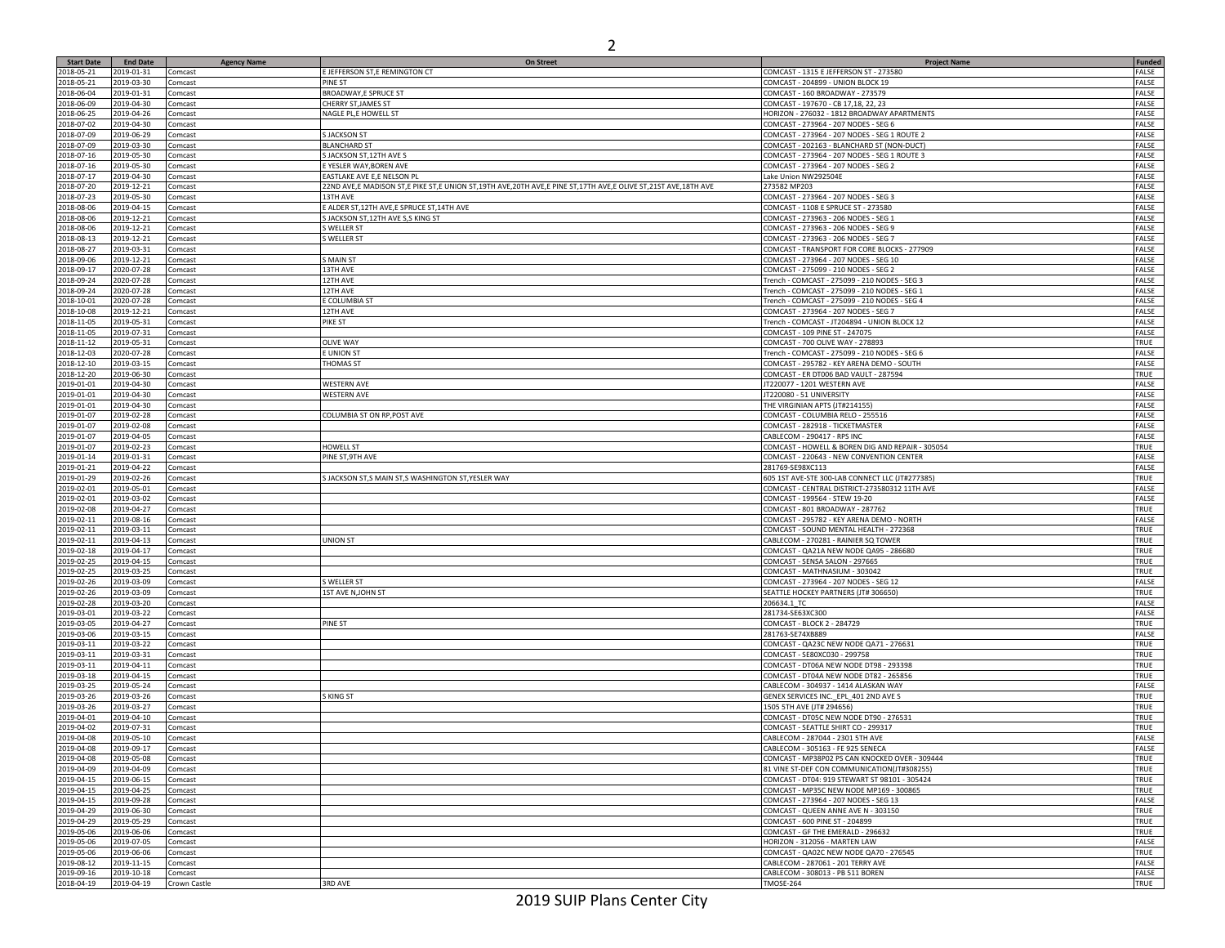| <b>Start Date</b>        | <b>End Date</b>         | <b>Agency Name</b> | On Street                                                                                                    | <b>Project Name</b>                                                           | <b>Funded</b> |
|--------------------------|-------------------------|--------------------|--------------------------------------------------------------------------------------------------------------|-------------------------------------------------------------------------------|---------------|
| 2018-05-21               | 2019-01-31              | Comcast            | E JEFFERSON ST,E REMINGTON CT                                                                                | COMCAST - 1315 E JEFFERSON ST - 273580                                        | FALSE         |
| 2018-05-21               | 2019-03-30              | Comcast            | <b>PINE ST</b>                                                                                               | COMCAST - 204899 - UNION BLOCK 19                                             | FALSE         |
| 2018-06-04               | 2019-01-31              | Comcast            | BROADWAY,E SPRUCE ST                                                                                         | COMCAST - 160 BROADWAY - 273579                                               | FALSE         |
| 2018-06-09               | 2019-04-30              | Comcast            | CHERRY ST, JAMES ST                                                                                          | COMCAST - 197670 - CB 17,18, 22, 23                                           | FALSE         |
| 2018-06-25               | 2019-04-26              |                    |                                                                                                              | HORIZON - 276032 - 1812 BROADWAY APARTMENTS                                   | FALSE         |
| 2018-07-02               | 2019-04-30              | Comcast<br>Comcast | NAGLE PL,E HOWELL ST                                                                                         | COMCAST - 273964 - 207 NODES - SEG 6                                          | FALSE         |
| 2018-07-09               | 2019-06-29              |                    |                                                                                                              |                                                                               | FALSE         |
|                          |                         | Comcast            | <b>S JACKSON ST</b>                                                                                          | COMCAST - 273964 - 207 NODES - SEG 1 ROUTE 2                                  |               |
| 2018-07-09               | 2019-03-30              | Comcast            | <b>BLANCHARD ST</b>                                                                                          | COMCAST - 202163 - BLANCHARD ST (NON-DUCT)                                    | FALSE         |
| 2018-07-16               | 2019-05-30              | Comcast            | S JACKSON ST, 12TH AVE S                                                                                     | COMCAST - 273964 - 207 NODES - SEG 1 ROUTE 3                                  | FALSE         |
| 2018-07-16               | 2019-05-30              | Comcast            | E YESLER WAY, BOREN AVE                                                                                      | COMCAST - 273964 - 207 NODES - SEG 2                                          | FALSE         |
| 2018-07-17               | 2019-04-30              | Comcast            | EASTLAKE AVE E,E NELSON PL                                                                                   | Lake Union NW292504E                                                          | FALSE         |
| 2018-07-20               | 2019-12-21              | Comcast            | 22ND AVE,E MADISON ST,E PIKE ST,E UNION ST,19TH AVE,20TH AVE,E PINE ST,17TH AVE,E OLIVE ST,21ST AVE,18TH AVE | 273582 MP203                                                                  | FALSE         |
| 2018-07-23               | 2019-05-30              | Comcast            | 13TH AVE                                                                                                     | COMCAST - 273964 - 207 NODES - SEG 3                                          | FALSE         |
| 2018-08-06               | 2019-04-15              | Comcast            | E ALDER ST, 12TH AVE, E SPRUCE ST, 14TH AVE                                                                  | COMCAST - 1108 E SPRUCE ST - 273580                                           | <b>FALSE</b>  |
| 2018-08-06               | 2019-12-21              | Comcast            | S JACKSON ST, 12TH AVE S, S KING ST                                                                          | COMCAST - 273963 - 206 NODES - SEG 1                                          | <b>FALSE</b>  |
| 2018-08-06               | 2019-12-21              | Comcast            | S WELLER ST                                                                                                  | COMCAST - 273963 - 206 NODES - SEG 9                                          | FALSE         |
| 2018-08-13               | 2019-12-21              | Comcast            | S WELLER ST                                                                                                  | COMCAST - 273963 - 206 NODES - SEG 7                                          | FALSE         |
| 2018-08-27               | 2019-03-31              | Comcast            |                                                                                                              | COMCAST - TRANSPORT FOR CORE BLOCKS - 277909                                  | FALSE         |
| 2018-09-06               | 2019-12-21              | Comcast            | S MAIN ST                                                                                                    | COMCAST - 273964 - 207 NODES - SEG 10                                         | FALSE         |
| 2018-09-17               | 2020-07-28              | Comcast            | 13TH AVE                                                                                                     | COMCAST - 275099 - 210 NODES - SEG 2                                          | <b>FALSE</b>  |
| 2018-09-24               | 2020-07-28              | Comcast            | 12TH AVE                                                                                                     | Trench - COMCAST - 275099 - 210 NODES - SEG 3                                 | FALSE         |
| 2018-09-24               | 2020-07-28              | Comcast            | 12TH AVE                                                                                                     | Trench - COMCAST - 275099 - 210 NODES - SEG 1                                 | <b>FALSE</b>  |
| 2018-10-01               | 2020-07-28              | Comcast            | E COLUMBIA ST                                                                                                | Trench - COMCAST - 275099 - 210 NODES - SEG 4                                 | <b>FALSE</b>  |
| 2018-10-08               | 2019-12-21              | Comcast            | 12TH AVE                                                                                                     | COMCAST - 273964 - 207 NODES - SEG 7                                          | FALSE         |
| 2018-11-05               | 2019-05-31              | Comcast            | PIKE ST                                                                                                      | Trench - COMCAST - JT204894 - UNION BLOCK 12                                  | FALSE         |
| 2018-11-05               | 2019-07-31              | Comcast            |                                                                                                              | COMCAST - 109 PINE ST - 247075                                                | FALSE         |
| 2018-11-12               | 2019-05-31              | Comcast            | <b>OLIVE WAY</b>                                                                                             | COMCAST - 700 OLIVE WAY - 278893                                              | TRUE          |
| 2018-12-03               | 2020-07-28              | Comcast            | E UNION ST                                                                                                   | Trench - COMCAST - 275099 - 210 NODES - SEG 6                                 | FALSE         |
| 2018-12-10               | 2019-03-15              | Comcast            | THOMAS ST                                                                                                    | COMCAST - 295782 - KEY ARENA DEMO - SOUTH                                     | FALSE         |
| 2018-12-20               | 2019-06-30              | Comcast            |                                                                                                              | COMCAST - ER DT006 BAD VAULT - 287594                                         | TRUE          |
| 2019-01-01               | 2019-04-30              | Comcast            | <b>WESTERN AVE</b>                                                                                           | JT220077 - 1201 WESTERN AVE                                                   | FALSE         |
| 2019-01-01               | 2019-04-30              | Comcast            | <b>WESTERN AVE</b>                                                                                           | JT220080 - 51 UNIVERSITY                                                      | FALSE         |
| 2019-01-01               | 2019-04-30              | Comcast            |                                                                                                              | THE VIRGINIAN APTS (JT#214155)                                                | FALSE         |
| 2019-01-07               |                         |                    | COLUMBIA ST ON RP, POST AVE                                                                                  |                                                                               | FALSE         |
| 2019-01-07               | 2019-02-28              | Comcast            |                                                                                                              | COMCAST - COLUMBIA RELO - 255516                                              |               |
|                          | 2019-02-08              | Comcast            |                                                                                                              | COMCAST - 282918 - TICKETMASTER                                               | FALSE         |
| 2019-01-07               | 2019-04-05              | Comcast            |                                                                                                              | CABLECOM - 290417 - RPS INC                                                   | FALSE         |
| 2019-01-07               | 2019-02-23              | Comcast            | HOWELL ST                                                                                                    | COMCAST - HOWELL & BOREN DIG AND REPAIR - 305054                              | TRUE          |
| 2019-01-14               | 2019-01-31              | Comcast            | PINE ST, 9TH AVE                                                                                             | COMCAST - 220643 - NEW CONVENTION CENTER                                      | FALSE         |
| 2019-01-21               | 2019-04-22              | Comcast            |                                                                                                              | 281769-SE98XC113                                                              | <b>FALSE</b>  |
| 2019-01-29               | 2019-02-26              | Comcast            | S JACKSON ST, S MAIN ST, S WASHINGTON ST, YESLER WAY                                                         | 605 1ST AVE-STE 300-LAB CONNECT LLC (JT#277385)                               | TRUE          |
| 2019-02-01               | 2019-05-01              | Comcast            |                                                                                                              | COMCAST - CENTRAL DISTRICT-273580312 11TH AVE                                 | FALSE         |
| 2019-02-01               | 2019-03-02              | Comcast            |                                                                                                              | COMCAST - 199564 - STEW 19-20                                                 | FALSE         |
| 2019-02-08               | 2019-04-27              | Comcast            |                                                                                                              | COMCAST - 801 BROADWAY - 287762                                               | TRUE          |
| 2019-02-11               | 2019-08-16              | Comcast            |                                                                                                              | COMCAST - 295782 - KEY ARENA DEMO - NORTH                                     | FALSE         |
| 2019-02-11               | 2019-03-11              | Comcast            |                                                                                                              | COMCAST - SOUND MENTAL HEALTH - 272368                                        | TRUE          |
| 2019-02-11               | 2019-04-13              | Comcast            | <b>UNION ST</b>                                                                                              | CABLECOM - 270281 - RAINIER SQ TOWER                                          | TRUE          |
| 2019-02-18               | 2019-04-17              | Comcast            |                                                                                                              | COMCAST - QA21A NEW NODE QA95 - 286680                                        | <b>TRUE</b>   |
| 2019-02-25               | 2019-04-15              | Comcast            |                                                                                                              | COMCAST - SENSA SALON - 297665                                                | TRUE          |
| 2019-02-25               | 2019-03-25              | Comcast            |                                                                                                              | COMCAST - MATHNASIUM - 303042                                                 | TRUE          |
| 2019-02-26               | 2019-03-09              | Comcast            | WELLER ST                                                                                                    | COMCAST - 273964 - 207 NODES - SEG 12                                         | FALSE         |
| 2019-02-26               | 2019-03-09              | Comcast            | 1ST AVE N, JOHN ST                                                                                           | SEATTLE HOCKEY PARTNERS (JT# 306650)                                          | TRUE          |
| 2019-02-28               | 2019-03-20              | Comcast            |                                                                                                              | 206634.1_TC                                                                   | <b>FALSE</b>  |
| 2019-03-01               | 2019-03-22              | Comcast            |                                                                                                              | 281734-SE63XC300                                                              | FALSE         |
| 2019-03-05               | 2019-04-27              | Comcast            | PINE ST                                                                                                      | COMCAST - BLOCK 2 - 284729                                                    | TRUE          |
| 2019-03-06               | 2019-03-15              | Comcast            |                                                                                                              | 281763-SE74XB889                                                              | FALSE         |
| 2019-03-11               | 2019-03-22              | Comcast            |                                                                                                              | COMCAST - QA23C NEW NODE QA71 - 276631                                        | TRUE          |
| 2019-03-11               | 2019-03-31              | Comcast            |                                                                                                              | COMCAST - SE80XC030 - 299758                                                  | TRUE          |
| 2019-03-11               | 2019-04-11              | Comcast            |                                                                                                              | COMCAST - DT06A NEW NODE DT98 - 293398                                        | TRUE          |
| 2019-03-18               | 2019-04-15              | Comcast            |                                                                                                              | COMCAST - DT04A NEW NODE DT82 - 265856                                        | TRUE          |
| 2019-03-25               | 2019-05-24              | Comcast            |                                                                                                              | CABLECOM - 304937 - 1414 ALASKAN WAY                                          | FALSE         |
| 2019-03-26               | 2019-03-26              | Comcast            | S KING ST                                                                                                    | GENEX SERVICES INC._EPL_401 2ND AVE S                                         | TRUE          |
| 2019-03-26               | 2019-03-27              | Comcast            |                                                                                                              | 1505 5TH AVE (JT# 294656)                                                     | TRUE          |
|                          |                         |                    |                                                                                                              |                                                                               | TRUE          |
| 2019-04-01<br>2019-04-02 | 2019-04-10              | Comcast            |                                                                                                              | COMCAST - DT05C NEW NODE DT90 - 276531<br>COMCAST - SEATTLE SHIRT CO - 299317 | <b>TRUE</b>   |
| 2019-04-08               | 2019-07-31              | Comcast            |                                                                                                              | CABLECOM - 287044 - 2301 5TH AVE                                              | FALSE         |
|                          | 2019-05-10              | Comcast            |                                                                                                              |                                                                               |               |
| 2019-04-08               | 2019-09-17              | comcast            |                                                                                                              | CABLECOM - 305163 - FE 925 SENECA                                             | FALSE         |
| 2019-04-08               | 2019-05-08              | Comcast            |                                                                                                              | COMCAST - MP38P02 PS CAN KNOCKED OVER - 309444                                | TRUE          |
| 2019-04-09               | 2019-04-09              | Comcast            |                                                                                                              | 81 VINE ST-DEF CON COMMUNICATION(JT#308255)                                   | TRUE          |
| 2019-04-15               | 2019-06-15              | Comcast            |                                                                                                              | COMCAST - DT04: 919 STEWART ST 98101 - 305424                                 | <b>TRUE</b>   |
| 2019-04-15               | 2019-04-25              | Comcast            |                                                                                                              | COMCAST - MP35C NEW NODE MP169 - 300865                                       | TRUE          |
| 2019-04-15               | 2019-09-28              | Comcast            |                                                                                                              | COMCAST - 273964 - 207 NODES - SEG 13                                         | FALSE         |
| 2019-04-29               | 2019-06-30              | Comcast            |                                                                                                              | COMCAST - QUEEN ANNE AVE N - 303150                                           | <b>TRUE</b>   |
| 2019-04-29               | 2019-05-29              | Comcast            |                                                                                                              | COMCAST - 600 PINE ST - 204899                                                | <b>TRUE</b>   |
| 2019-05-06               | 2019-06-06              | Comcast            |                                                                                                              | COMCAST - GF THE EMERALD - 296632                                             | TRUE          |
| 2019-05-06               | 2019-07-05              | Comcast            |                                                                                                              | HORIZON - 312056 - MARTEN LAW                                                 | FALSE         |
| 2019-05-06               | 2019-06-06              | Comcast            |                                                                                                              | COMCAST - QA02C NEW NODE QA70 - 276545                                        | <b>TRUE</b>   |
| 2019-08-12               | 2019-11-15              | Comcast            |                                                                                                              | CABLECOM - 287061 - 201 TERRY AVE                                             | FALSE         |
| 2019-09-16               | 2019-10-18              | Comcast            |                                                                                                              | CABLECOM - 308013 - PB 511 BOREN                                              | FALSE         |
| 2018-04-19               | 2019-04-19 Crown Castle |                    | 3RD AVE                                                                                                      | TMOSE-264                                                                     | <b>TRUE</b>   |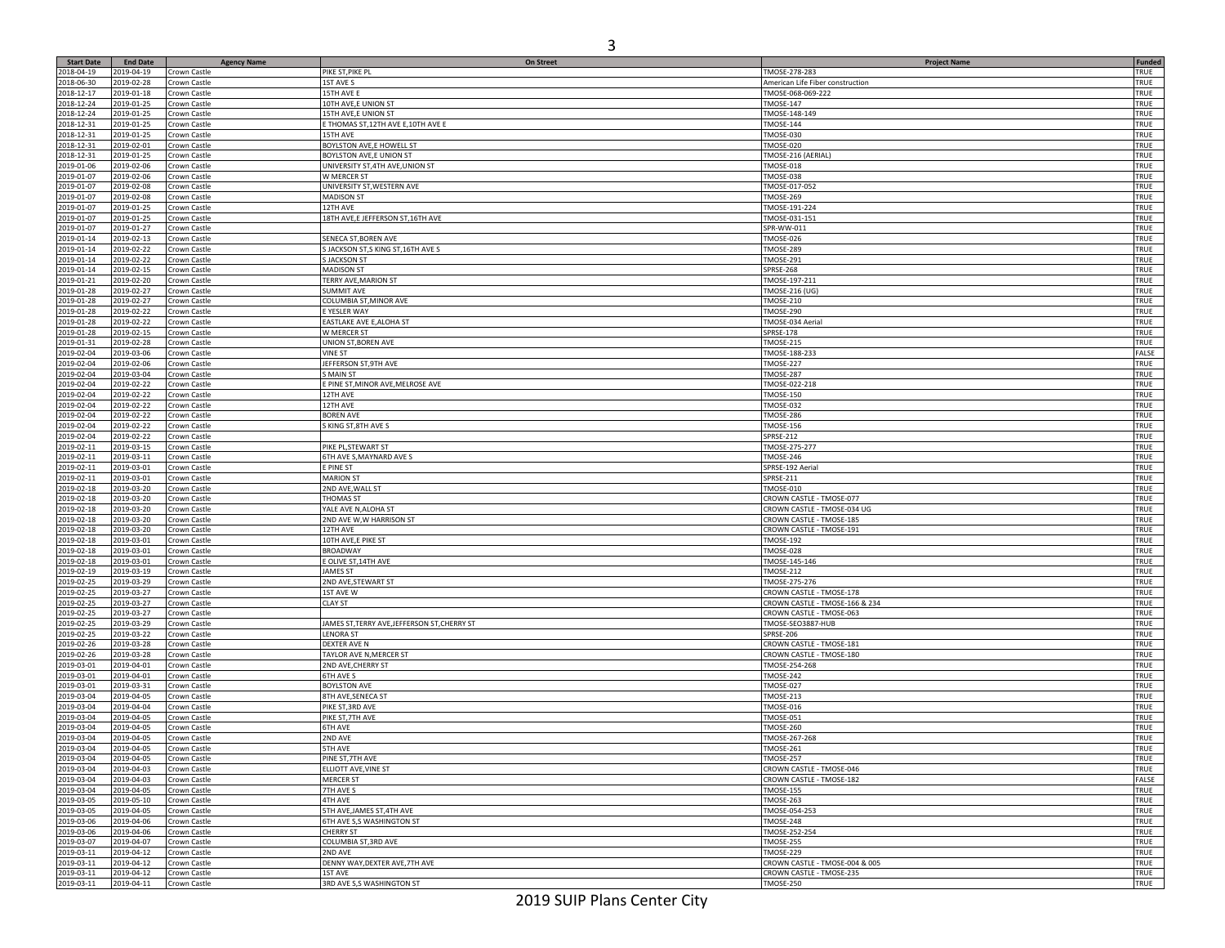| <b>Start Date</b>        | <b>End Date</b>          | <b>Agency Name</b>           | <b>On Street</b>                               | <b>Project Name</b>                          | <b>Funded</b> |
|--------------------------|--------------------------|------------------------------|------------------------------------------------|----------------------------------------------|---------------|
| 2018-04-19               | 2019-04-19               | Crown Castle                 | PIKE ST, PIKE PL                               | TMOSE-278-283                                | TRUE          |
| 2018-06-30               | 2019-02-28               | Crown Castle                 | 1ST AVE S                                      | American Life Fiber construction             | TRUE          |
| 2018-12-17               | 2019-01-18               | Crown Castle                 | 15TH AVE E                                     | TMOSE-068-069-222                            | TRUE          |
| 2018-12-24               | 2019-01-25               | Crown Castle                 | 10TH AVE,E UNION ST                            | <b>TMOSE-147</b>                             | TRUE          |
| 2018-12-24               | 2019-01-25               | Crown Castle                 | 15TH AVE, E UNION ST                           | TMOSE-148-149                                | TRUE          |
| 2018-12-31               | 2019-01-25               | Crown Castle                 | E THOMAS ST, 12TH AVE E, 10TH AVE E            | <b>TMOSE-144</b>                             | TRUE          |
| 2018-12-31               | 2019-01-25               | Crown Castle                 | 15TH AVE                                       | TMOSE-030                                    | TRUE          |
| 2018-12-31               | 2019-02-01               | Crown Castle                 | BOYLSTON AVE, E HOWELL ST                      | <b>TMOSE-020</b>                             | TRUE          |
| 2018-12-31               | 2019-01-25               | Crown Castle                 | BOYLSTON AVE, E UNION ST                       | TMOSE-216 (AERIAL)                           | TRUE          |
| 2019-01-06               | 2019-02-06               | Crown Castle                 | UNIVERSITY ST, 4TH AVE, UNION ST               | <b>TMOSE-018</b>                             | TRUE          |
| 2019-01-07               | 2019-02-06               | Crown Castle                 | W MERCER ST                                    | TMOSE-038                                    | TRUE          |
| 2019-01-07               | 2019-02-08               | Crown Castle                 | UNIVERSITY ST, WESTERN AVE                     | TMOSE-017-052                                | TRUE          |
| 2019-01-07               | 2019-02-08               | Crown Castle                 | <b>MADISON ST</b>                              | TMOSE-269                                    | TRUE          |
| 2019-01-07               | 2019-01-25               | Crown Castle                 | 12TH AVE                                       | TMOSE-191-224                                | TRUE          |
| 2019-01-07               | 2019-01-25               | Crown Castle                 | 18TH AVE, E JEFFERSON ST, 16TH AVE             | TMOSE-031-151                                | TRUE          |
| 2019-01-07               | 2019-01-27               | Crown Castle                 |                                                | SPR-WW-011                                   | TRUE          |
| 2019-01-14               | 2019-02-13               | Crown Castle                 | SENECA ST, BOREN AVE                           | TMOSE-026                                    | TRUE          |
| 2019-01-14               | 2019-02-22               | Crown Castle                 | S JACKSON ST,S KING ST,16TH AVE S              | TMOSE-289                                    | TRUE          |
| 2019-01-14               | 2019-02-22               | Crown Castle                 | <b>JACKSON ST</b>                              | TMOSE-291                                    | TRUE          |
| 2019-01-14               | 2019-02-15               | Crown Castle                 | <b>MADISON ST</b>                              | <b>SPRSE-268</b>                             | TRUE          |
| 2019-01-21               | 2019-02-20               | Crown Castle                 | TERRY AVE, MARION ST                           | TMOSE-197-211                                | TRUE          |
| 2019-01-28               | 2019-02-27               | Crown Castle                 | SUMMIT AVE                                     | TMOSE-216 (UG)                               | TRUE          |
| 2019-01-28               | 2019-02-27               | Crown Castle                 | COLUMBIA ST, MINOR AVE                         | <b>TMOSE-210</b>                             | TRUE          |
| 2019-01-28               | 2019-02-22               | Crown Castle                 | E YESLER WAY                                   | TMOSE-290                                    | TRUE          |
| 2019-01-28               | 2019-02-22               | Crown Castle                 | EASTLAKE AVE E, ALOHA ST                       | TMOSE-034 Aerial                             | TRUE          |
| 2019-01-28               | 2019-02-15               | Crown Castle                 | W MERCER ST                                    | <b>SPRSE-178</b>                             | TRUE          |
| 2019-01-31               | 2019-02-28               | Crown Castle                 | UNION ST, BOREN AVE                            | TMOSE-215                                    | TRUE          |
| 2019-02-04<br>2019-02-04 | 2019-03-06<br>2019-02-06 | Crown Castle<br>Crown Castle | <b>VINE ST</b><br>JEFFERSON ST, 9TH AVE        | TMOSE-188-233<br>TMOSE-227                   | FALSE         |
|                          |                          |                              |                                                |                                              | TRUE          |
| 2019-02-04               | 2019-03-04               | Crown Castle<br>Crown Castle | <b>S MAIN ST</b>                               | TMOSE-287<br>TMOSE-022-218                   | TRUE          |
| 2019-02-04               | 2019-02-22               |                              | <b>PINE ST, MINOR AVE, MELROSE AVE</b>         |                                              | TRUE          |
| 2019-02-04               | 2019-02-22               | Crown Castle                 | 12TH AVE                                       | <b>TMOSE-150</b>                             | TRUE          |
| 2019-02-04               | 2019-02-22               | Crown Castle                 | 12TH AVE                                       | TMOSE-032                                    | TRUE          |
| 2019-02-04               | 2019-02-22               | Crown Castle                 | <b>BOREN AVE</b>                               | TMOSE-286                                    | TRUE          |
| 2019-02-04               | 2019-02-22               | Crown Castle                 | <b>KING ST, 8TH AVE S</b>                      | <b>TMOSE-156</b>                             | TRUE          |
| 2019-02-04               | 2019-02-22               | Crown Castle                 |                                                | <b>SPRSE-212</b><br>TMOSE-275-277            | TRUE          |
| 2019-02-11               | 2019-03-15               | Crown Castle                 | PIKE PL, STEWART ST                            |                                              | TRUE          |
| 2019-02-11<br>2019-02-11 | 2019-03-11               | Crown Castle                 | 6TH AVE S, MAYNARD AVE S<br>E PINE ST          | TMOSE-246                                    | TRUE<br>TRUE  |
| 2019-02-11               | 2019-03-01<br>2019-03-01 | Crown Castle<br>Crown Castle | <b>MARION ST</b>                               | SPRSE-192 Aerial<br>SPRSE-211                | TRUE          |
| 2019-02-18               | 2019-03-20               |                              |                                                |                                              | TRUE          |
|                          | 2019-03-20               | Crown Castle                 | 2ND AVE, WALL ST<br>THOMAS ST                  | TMOSE-010<br>CROWN CASTLE - TMOSE-077        | TRUE          |
| 2019-02-18<br>2019-02-18 | 2019-03-20               | Crown Castle                 |                                                |                                              | TRUE          |
| 2019-02-18               | 2019-03-20               | Crown Castle                 | YALE AVE N,ALOHA ST<br>2ND AVE W,W HARRISON ST | CROWN CASTLE - TMOSE-034 UG                  | TRUE          |
| 2019-02-18               | 2019-03-20               | Crown Castle                 |                                                | CROWN CASTLE - TMOSE-185                     | TRUE          |
|                          | 2019-03-01               | Crown Castle                 | 12TH AVE<br>10TH AVE, E PIKE ST                | CROWN CASTLE - TMOSE-191<br><b>TMOSE-192</b> | TRUE          |
| 2019-02-18<br>2019-02-18 | 2019-03-01               | Crown Castle                 |                                                |                                              | TRUE          |
| 2019-02-18               | 2019-03-01               | Crown Castle                 | BROADWAY<br>OLIVE ST, 14TH AVE                 | TMOSE-028<br>TMOSE-145-146                   | TRUE          |
| 2019-02-19               | 2019-03-19               | Crown Castle<br>Crown Castle | <b>AMES ST</b>                                 | <b>TMOSE-212</b>                             | TRUE          |
| 2019-02-25               | 2019-03-29               | Crown Castle                 | 2ND AVE, STEWART ST                            | TMOSE-275-276                                | TRUE          |
| 2019-02-25               | 2019-03-27               | Crown Castle                 | 1ST AVE W                                      | CROWN CASTLE - TMOSE-178                     | TRUE          |
| 2019-02-25               | 2019-03-27               | Crown Castle                 | <b>CLAY ST</b>                                 | CROWN CASTLE - TMOSE-166 & 234               | TRUE          |
| 2019-02-25               | 2019-03-27               | Crown Castle                 |                                                | CROWN CASTLE - TMOSE-063                     | TRUE          |
| 2019-02-25               | 2019-03-29               | Crown Castle                 | JAMES ST, TERRY AVE, JEFFERSON ST, CHERRY ST   | TMOSE-SEO3887-HUB                            | TRUE          |
| 2019-02-25               | 2019-03-22               | Crown Castle                 | <b>LENORA ST</b>                               | <b>SPRSE-206</b>                             | TRUE          |
| 2019-02-26               | 2019-03-28               | Crown Castle                 | DEXTER AVE N                                   | CROWN CASTLE - TMOSE-181                     | TRUE          |
| 2019-02-26               | 2019-03-28               | Crown Castle                 | TAYLOR AVE N, MERCER ST                        | CROWN CASTLE - TMOSE-180                     | TRUE          |
| 2019-03-01               | 2019-04-01               | Crown Castle                 | 2ND AVE, CHERRY ST                             | TMOSE-254-268                                | TRUE          |
| 2019-03-01               | 2019-04-01               | Crown Castle                 | <b>6TH AVE S</b>                               | TMOSE-242                                    | TRUE          |
| 2019-03-01               | 2019-03-31               | Crown Castle                 | <b>BOYLSTON AVE</b>                            | <b>TMOSE-027</b>                             | TRUE          |
| 2019-03-04               | 2019-04-05               | Crown Castle                 | 8TH AVE, SENECA ST                             | TMOSE-213                                    | TRUE          |
| 2019-03-04               | 2019-04-04               | Crown Castle                 | PIKE ST, 3RD AVE                               | <b>TMOSE-016</b>                             | TRUE          |
| 2019-03-04               | 2019-04-05               | Crown Castle                 | PIKE ST, 7TH AVE                               | TMOSE-051                                    | TRUE          |
| 2019-03-04               | 2019-04-05               | Crown Castle                 | <b>6TH AVE</b>                                 | TMOSE-260                                    | TRUE          |
| 2019-03-04               | 2019-04-05               | Crown Castle                 | 2ND AVE                                        | TMOSE-267-268                                | TRUE          |
| 2019-03-04               | 2019-04-05               | Crown Castle                 | 5TH AVE                                        | <b>TMOSE-261</b>                             | TRUE          |
| 2019-03-04               | 2019-04-05               | Crown Castle                 | PINE ST, 7TH AVE                               | TMOSE-257                                    | TRUE          |
| 2019-03-04               | 2019-04-03               | Crown Castle                 | ELLIOTT AVE, VINE ST                           | CROWN CASTLE - TMOSE-046                     | TRUE          |
| 2019-03-04               | 2019-04-03               | Crown Castle                 | <b>MERCER ST</b>                               | CROWN CASTLE - TMOSE-182                     | FALSE         |
| 2019-03-04               | 2019-04-05               | Crown Castle                 | 7TH AVE S                                      | TMOSE-155                                    | TRUE          |
| 2019-03-05               | 2019-05-10               | Crown Castle                 | 4TH AVE                                        | TMOSE-263                                    | TRUE          |
| 2019-03-05               | 2019-04-05               | Crown Castle                 | 5TH AVE, JAMES ST, 4TH AVE                     | TMOSE-054-253                                | TRUE          |
| 2019-03-06               | 2019-04-06               | Crown Castle                 | 6TH AVE S,S WASHINGTON ST                      | TMOSE-248                                    | TRUE          |
| 2019-03-06               | 2019-04-06               | Crown Castle                 | <b>CHERRY ST</b>                               | TMOSE-252-254                                | TRUE          |
| 2019-03-07               | 2019-04-07               | Crown Castle                 | COLUMBIA ST, 3RD AVE                           | TMOSE-255                                    | TRUE          |
| 2019-03-11               | 2019-04-12               | Crown Castle                 | 2ND AVE                                        | TMOSE-229                                    | TRUE          |
| 2019-03-11               | 2019-04-12               | Crown Castle                 | DENNY WAY, DEXTER AVE, 7TH AVE                 | CROWN CASTLE - TMOSE-004 & 005               | TRUE          |
| 2019-03-11               | 2019-04-12               | Crown Castle                 | 1ST AVE                                        | CROWN CASTLE - TMOSE-235                     | TRUE          |
| 2019-03-11               | 2019-04-11               | Crown Castle                 | 3RD AVE S,S WASHINGTON ST                      | TMOSE-250                                    | TRUE          |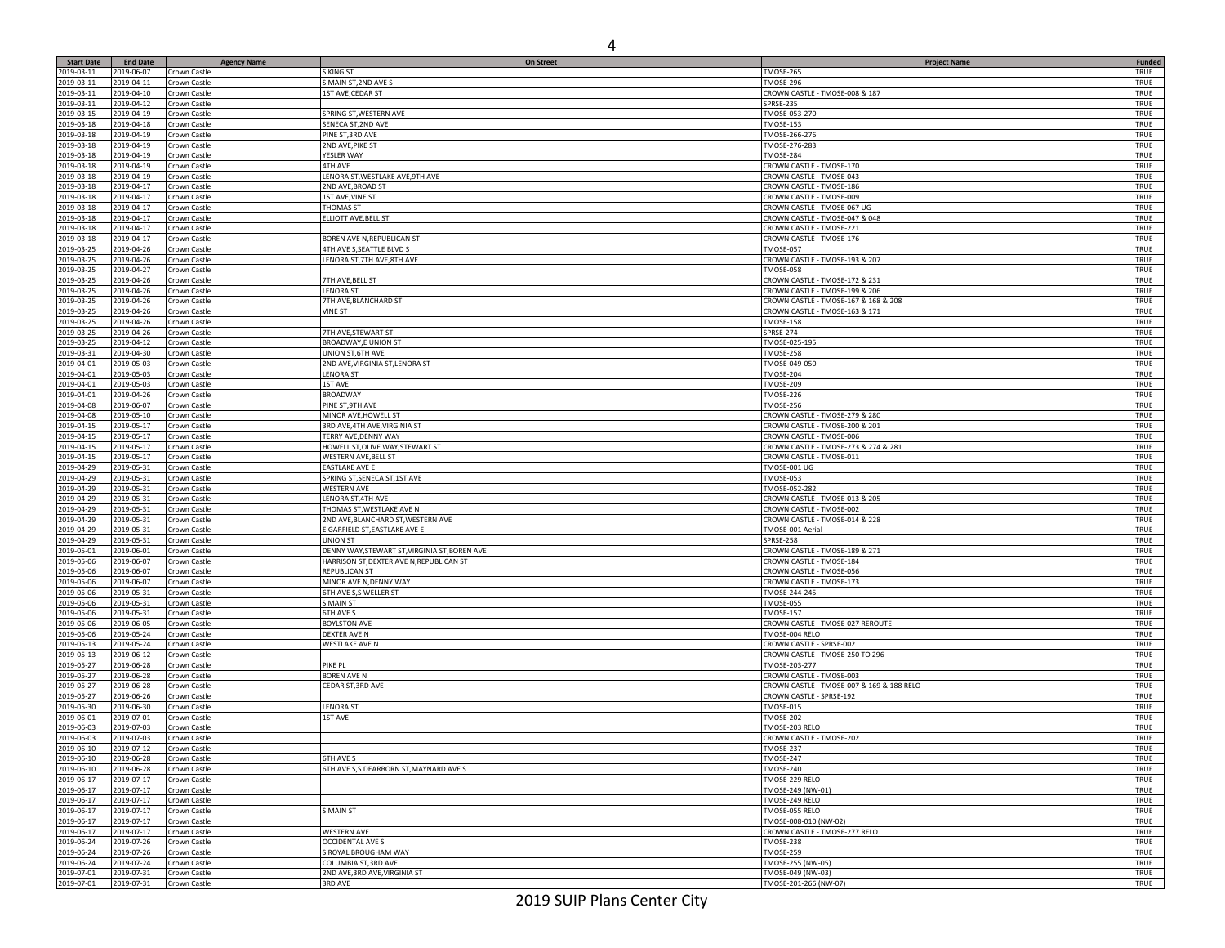| <b>Start Date</b> | <b>End Date</b> |                              | <b>On Street</b>                              |                                           | Funded      |
|-------------------|-----------------|------------------------------|-----------------------------------------------|-------------------------------------------|-------------|
| 2019-03-11        | 2019-06-07      | <b>Agency Name</b>           | S KING ST                                     | <b>Project Name</b><br>TMOSE-265          | TRUE        |
|                   |                 | Crown Castle                 |                                               |                                           |             |
| 2019-03-11        | 2019-04-11      | Crown Castle                 | S MAIN ST, 2ND AVE S                          | TMOSE-296                                 | TRUE        |
| 2019-03-11        | 2019-04-10      | Crown Castle                 | 1ST AVE, CEDAR ST                             | CROWN CASTLE - TMOSE-008 & 187            | TRUE        |
| 2019-03-11        | 2019-04-12      | Crown Castle                 |                                               | <b>SPRSE-235</b>                          | TRUE        |
| 2019-03-15        | 2019-04-19      | Crown Castle                 | SPRING ST, WESTERN AVE                        | TMOSE-053-270                             | TRUE        |
| 2019-03-18        | 2019-04-18      | Crown Castle                 | SENECA ST, 2ND AVE                            | <b>TMOSE-153</b>                          | TRUE        |
| 2019-03-18        | 2019-04-19      | Crown Castle                 | PINE ST, 3RD AVE                              | TMOSE-266-276                             | TRUE        |
| 2019-03-18        | 2019-04-19      | Crown Castle                 | 2ND AVE, PIKE ST                              | TMOSE-276-283                             | TRUE        |
| 2019-03-18        | 2019-04-19      | Crown Castle                 | YESLER WAY                                    | TMOSE-284                                 | TRUE        |
| 2019-03-18        | 2019-04-19      | Crown Castle                 | 4TH AVE                                       | CROWN CASTLE - TMOSE-170                  | TRUE        |
| 2019-03-18        | 2019-04-19      | Crown Castle                 | LENORA ST, WESTLAKE AVE, 9TH AVE              | CROWN CASTLE - TMOSE-043                  | TRUE        |
| 2019-03-18        | 2019-04-17      | Crown Castle                 | 2ND AVE, BROAD ST                             | CROWN CASTLE - TMOSE-186                  | TRUE        |
| 2019-03-18        | 2019-04-17      | Crown Castle                 | 1ST AVE, VINE ST                              | CROWN CASTLE - TMOSE-009                  | TRUE        |
| 2019-03-18        | 2019-04-17      | Crown Castle                 | THOMAS ST                                     | CROWN CASTLE - TMOSE-067 UG               | TRUE        |
| 2019-03-18        | 2019-04-17      | Crown Castle                 | ELLIOTT AVE, BELL ST                          | CROWN CASTLE - TMOSE-047 & 048            | TRUE        |
| 2019-03-18        | 2019-04-17      | Crown Castle                 |                                               | CROWN CASTLE - TMOSE-221                  | TRUE        |
| 2019-03-18        | 2019-04-17      | Crown Castle                 | BOREN AVE N, REPUBLICAN ST                    | CROWN CASTLE - TMOSE-176                  | TRUE        |
| 2019-03-25        | 2019-04-26      | Crown Castle                 | 4TH AVE S,SEATTLE BLVD S                      | <b>TMOSE-057</b>                          | TRUE        |
|                   |                 |                              | LENORA ST, 7TH AVE, 8TH AVE                   |                                           |             |
| 2019-03-25        | 2019-04-26      | Crown Castle                 |                                               | CROWN CASTLE - TMOSE-193 & 207            | TRUE        |
| 2019-03-25        | 2019-04-27      | Crown Castle                 |                                               | TMOSE-058                                 | TRUE        |
| 2019-03-25        | 2019-04-26      | Crown Castle                 | 7TH AVE, BELL ST                              | CROWN CASTLE - TMOSE-172 & 231            | TRUE        |
| 2019-03-25        | 2019-04-26      | Crown Castle                 | <b>LENORA ST</b>                              | CROWN CASTLE - TMOSE-199 & 206            | TRUE        |
| 2019-03-25        | 2019-04-26      | Crown Castle                 | 7TH AVE, BLANCHARD ST                         | CROWN CASTLE - TMOSE-167 & 168 & 208      | TRUE        |
| 2019-03-25        | 2019-04-26      | Crown Castle                 | <b>VINE ST</b>                                | CROWN CASTLE - TMOSE-163 & 171            | TRUE        |
| 2019-03-25        | 2019-04-26      | Crown Castle                 |                                               | <b>TMOSE-158</b>                          | TRUE        |
| 2019-03-25        | 2019-04-26      | Crown Castle                 | 7TH AVE,STEWART ST                            | SPRSE-274                                 | TRUE        |
| 2019-03-25        | 2019-04-12      | Crown Castle                 | BROADWAY,E UNION ST                           | TMOSE-025-195                             | TRUE        |
| 2019-03-31        | 2019-04-30      | Crown Castle                 | UNION ST, 6TH AVE                             | <b>TMOSE-258</b>                          | TRUE        |
| 2019-04-01        | 2019-05-03      | Crown Castle                 | 2ND AVE, VIRGINIA ST, LENORA ST               | TMOSE-049-050                             | TRUE        |
| 2019-04-01        | 2019-05-03      | Crown Castle                 | <b>LENORA ST</b>                              | TMOSE-204                                 | TRUE        |
| 2019-04-01        | 2019-05-03      | Crown Castle                 | 1ST AVE                                       | <b>TMOSE-209</b>                          | TRUE        |
| 2019-04-01        | 2019-04-26      | Crown Castle                 | <b>BROADWAY</b>                               | TMOSE-226                                 | TRUE        |
| 2019-04-08        | 2019-06-07      | Crown Castle                 | PINE ST, 9TH AVE                              | <b>TMOSE-256</b>                          | TRUE        |
| 2019-04-08        | 2019-05-10      | Crown Castle                 |                                               |                                           | TRUE        |
|                   |                 |                              | MINOR AVE, HOWELL ST                          | CROWN CASTLE - TMOSE-279 & 280            |             |
| 2019-04-15        | 2019-05-17      | Crown Castle                 | 3RD AVE, 4TH AVE, VIRGINIA ST                 | CROWN CASTLE - TMOSE-200 & 201            | TRUE        |
| 2019-04-15        | 2019-05-17      | Crown Castle                 | TERRY AVE, DENNY WAY                          | CROWN CASTLE - TMOSE-006                  | TRUE        |
| 2019-04-15        | 2019-05-17      | Crown Castle                 | HOWELL ST, OLIVE WAY, STEWART ST              | CROWN CASTLE - TMOSE-273 & 274 & 281      | TRUE        |
| 2019-04-15        | 2019-05-17      | Crown Castle                 | WESTERN AVE, BELL ST                          | CROWN CASTLE - TMOSE-011                  | TRUE        |
| 2019-04-29        | 2019-05-31      | Crown Castle                 | EASTLAKE AVE E                                | TMOSE-001 UG                              | TRUE        |
| 2019-04-29        | 2019-05-31      | Crown Castle                 | SPRING ST, SENECA ST, 1ST AVE                 | TMOSE-053                                 | TRUE        |
| 2019-04-29        | 2019-05-31      | Crown Castle                 | <b>WESTERN AVE</b>                            | TMOSE-052-282                             | TRUE        |
| 2019-04-29        | 2019-05-31      | Crown Castle                 | LENORA ST,4TH AVE                             | CROWN CASTLE - TMOSE-013 & 205            | TRUE        |
| 2019-04-29        | 2019-05-31      | Crown Castle                 | THOMAS ST, WESTLAKE AVE N                     | CROWN CASTLE - TMOSE-002                  | TRUE        |
| 2019-04-29        | 2019-05-31      | Crown Castle                 | 2ND AVE, BLANCHARD ST, WESTERN AVE            | CROWN CASTLE - TMOSE-014 & 228            | TRUE        |
| 2019-04-29        | 2019-05-31      | Crown Castle                 | E GARFIELD ST,EASTLAKE AVE E                  | TMOSE-001 Aerial                          | TRUE        |
| 2019-04-29        | 2019-05-31      | Crown Castle                 | UNION ST                                      | SPRSE-258                                 | TRUE        |
| 2019-05-01        | 2019-06-01      | Crown Castle                 | DENNY WAY, STEWART ST, VIRGINIA ST, BOREN AVE | CROWN CASTLE - TMOSE-189 & 271            | TRUE        |
| 2019-05-06        | 2019-06-07      | Crown Castle                 | HARRISON ST, DEXTER AVE N, REPUBLICAN ST      | CROWN CASTLE - TMOSE-184                  | TRUE        |
| 2019-05-06        | 2019-06-07      | Crown Castle                 | REPUBLICAN ST                                 | CROWN CASTLE - TMOSE-056                  | TRUE        |
| 2019-05-06        | 2019-06-07      |                              | MINOR AVE N, DENNY WAY                        | CROWN CASTLE - TMOSE-173                  | TRUE        |
| 2019-05-06        | 2019-05-31      | Crown Castle<br>Crown Castle | 6TH AVE S,S WELLER ST                         | TMOSE-244-245                             | TRUE        |
|                   |                 |                              |                                               |                                           |             |
| 2019-05-06        | 2019-05-31      | Crown Castle                 | S MAIN ST                                     | TMOSE-055                                 | TRUE        |
| 2019-05-06        | 2019-05-31      | Crown Castle                 | <b>6TH AVE S</b>                              | TMOSE-157                                 | TRUE        |
| 2019-05-06        | 2019-06-05      | Crown Castle                 | <b>BOYLSTON AVE</b>                           | CROWN CASTLE - TMOSE-027 REROUTE          | TRUE        |
| 2019-05-06        | 2019-05-24      | Crown Castle                 | DEXTER AVE N                                  | TMOSE-004 RELO                            | TRUE        |
| 2019-05-13        | 2019-05-24      | Crown Castle                 | <b>WESTLAKE AVE N</b>                         | CROWN CASTLE - SPRSE-002                  | TRUE        |
| 2019-05-13        | 2019-06-12      | Crown Castle                 |                                               | CROWN CASTLE - TMOSE-250 TO 296           | TRUE        |
| 2019-05-27        | 2019-06-28      | Crown Castle                 | pike pl                                       | TMOSE-203-277                             | TRUE        |
| 2019-05-27        | 2019-06-28      | Crown Castle                 | BOREN AVE N                                   | CROWN CASTLE - TMOSE-003                  | TRUE        |
| 2019-05-27        | 2019-06-28      | Crown Castle                 | CEDAR ST, 3RD AVE                             | CROWN CASTLE - TMOSE-007 & 169 & 188 RELO | TRUE        |
| 2019-05-27        | 2019-06-26      | Crown Castle                 |                                               | CROWN CASTLE - SPRSE-192                  | TRUE        |
| 2019-05-30        | 2019-06-30      | Crown Castle                 | LENORA ST                                     | <b>TMOSE-015</b>                          | TRUE        |
| 2019-06-01        | 2019-07-01      | Crown Castle                 | 1ST AVE                                       | <b>TMOSE-202</b>                          | TRUE        |
| 2019-06-03        | 2019-07-03      | Crown Castle                 |                                               | TMOSE-203 RELO                            | TRUE        |
| 2019-06-03        | 2019-07-03      | Crown Castle                 |                                               | CROWN CASTLE - TMOSE-202                  | TRUE        |
| 2019-06-10        | 2019-07-12      |                              |                                               | MOSE-237                                  | TRUE        |
| 2019-06-10        | 2019-06-28      | Crown Castle<br>Crown Castle | 6TH AVE S                                     | <b>TMOSE-247</b>                          | TRUE        |
|                   |                 |                              |                                               |                                           |             |
| 2019-06-10        | 2019-06-28      | Crown Castle                 | 6TH AVE S,S DEARBORN ST, MAYNARD AVE S        | <b>TMOSE-240</b>                          | TRUE        |
| 2019-06-17        | 2019-07-17      | Crown Castle                 |                                               | TMOSE-229 RELO                            | <b>TRUE</b> |
| 2019-06-17        | 2019-07-17      | Crown Castle                 |                                               | TMOSE-249 (NW-01)                         | TRUE        |
| 2019-06-17        | 2019-07-17      | Crown Castle                 |                                               | TMOSE-249 RELO                            | TRUE        |
| 2019-06-17        | 2019-07-17      | Crown Castle                 | S MAIN ST                                     | TMOSE-055 RELO                            | TRUE        |
| 2019-06-17        | 2019-07-17      | Crown Castle                 |                                               | TMOSE-008-010 (NW-02)                     | TRUE        |
| 2019-06-17        | 2019-07-17      | Crown Castle                 | <b>WESTERN AVE</b>                            | CROWN CASTLE - TMOSE-277 RELO             | TRUE        |
| 2019-06-24        | 2019-07-26      | Crown Castle                 | <b>OCCIDENTAL AVE S</b>                       | <b>TMOSE-238</b>                          | TRUE        |
| 2019-06-24        | 2019-07-26      | Crown Castle                 | S ROYAL BROUGHAM WAY                          | <b>TMOSE-259</b>                          | TRUE        |
| 2019-06-24        | 2019-07-24      | Crown Castle                 | COLUMBIA ST, 3RD AVE                          | TMOSE-255 (NW-05)                         | <b>TRUE</b> |
| 2019-07-01        | 2019-07-31      | Crown Castle                 | 2ND AVE, 3RD AVE, VIRGINIA ST                 | TMOSE-049 (NW-03)                         | TRUE        |
| 2019-07-01        | 2019-07-31      | Crown Castle                 | 3RD AVE                                       | TMOSE-201-266 (NW-07)                     | TRUE        |
|                   |                 |                              |                                               |                                           |             |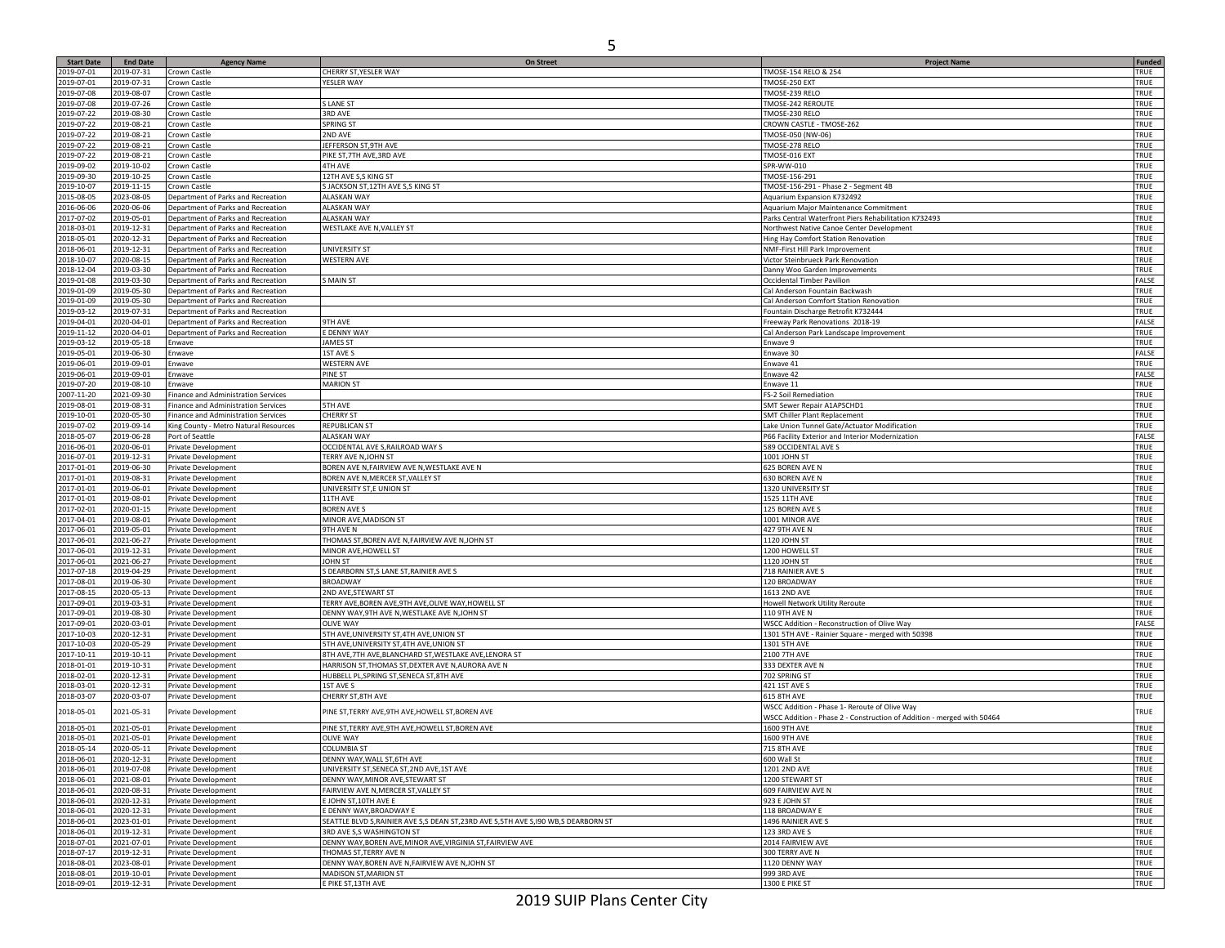| <b>Start Date</b>        | <b>End Date</b>          |                                                                          | <b>On Street</b>                                                                       |                                                                        | <b>Funded</b> |
|--------------------------|--------------------------|--------------------------------------------------------------------------|----------------------------------------------------------------------------------------|------------------------------------------------------------------------|---------------|
| 2019-07-01               | 2019-07-31               | <b>Agency Name</b><br>Crown Castle                                       | CHERRY ST, YESLER WAY                                                                  | <b>Project Name</b><br>TMOSE-154 RELO & 254                            | TRUE          |
| 2019-07-01               | 2019-07-31               | Crown Castle                                                             | YESLER WAY                                                                             | TMOSE-250 EXT                                                          | TRUE          |
| 2019-07-08               | 2019-08-07               | Crown Castle                                                             |                                                                                        | TMOSE-239 RELO                                                         | TRUE          |
| 2019-07-08               | 2019-07-26               | Crown Castle                                                             | S LANE ST                                                                              | TMOSE-242 REROUTE                                                      | TRUE          |
| 2019-07-22               | 2019-08-30               | Crown Castle                                                             | <b>3RD AVE</b>                                                                         | TMOSE-230 RELO                                                         | TRUE          |
| 2019-07-22               | 2019-08-21               | Crown Castle                                                             | SPRING ST                                                                              | CROWN CASTLE - TMOSE-262                                               | TRUE          |
| 2019-07-22               | 2019-08-21               | Crown Castle                                                             | 2ND AVE                                                                                | TMOSE-050 (NW-06)                                                      | TRUE          |
| 2019-07-22               | 2019-08-21               | Crown Castle                                                             | JEFFERSON ST,9TH AVE                                                                   | TMOSE-278 RELO                                                         | TRUE          |
| 2019-07-22               | 2019-08-21               | Crown Castle                                                             | PIKE ST, 7TH AVE, 3RD AVE                                                              | TMOSE-016 EXT                                                          | TRUE          |
| 2019-09-02               | 2019-10-02               | Crown Castle                                                             | <b>4TH AVE</b>                                                                         | SPR-WW-010                                                             | TRUE          |
| 2019-09-30               | 2019-10-25               | Crown Castle                                                             | 12TH AVE S,S KING ST                                                                   | TMOSE-156-291                                                          | TRUE          |
| 2019-10-07               | 2019-11-15               | Crown Castle                                                             | S JACKSON ST, 12TH AVE S, S KING ST                                                    | TMOSE-156-291 - Phase 2 - Segment 4B                                   | TRUE          |
| 2015-08-05               | 2023-08-05               | Department of Parks and Recreation                                       | <b>ALASKAN WAY</b>                                                                     | Aquarium Expansion K732492                                             | TRUE          |
| 2016-06-06               | 2020-06-06               | Department of Parks and Recreation                                       | <b>ALASKAN WAY</b>                                                                     | Aquarium Major Maintenance Commitment                                  | TRUE          |
| 2017-07-02               | 2019-05-01               | Department of Parks and Recreation                                       | ALASKAN WAY                                                                            | Parks Central Waterfront Piers Rehabilitation K732493                  | TRUE          |
| 2018-03-01               | 2019-12-31               | Department of Parks and Recreation                                       | WESTLAKE AVE N, VALLEY ST                                                              | Northwest Native Canoe Center Development                              | TRUE          |
| 2018-05-01               | 2020-12-31               | Department of Parks and Recreation                                       |                                                                                        | Hing Hay Comfort Station Renovation                                    | TRUE          |
| 2018-06-01               | 2019-12-31               | Department of Parks and Recreation                                       | UNIVERSITY ST                                                                          | NMF-First Hill Park Improvement                                        | TRUE          |
| 2018-10-07               | 2020-08-15               | Department of Parks and Recreation                                       | <b>WESTERN AVE</b>                                                                     | Victor Steinbrueck Park Renovation                                     | TRUE<br>TRUE  |
| 2018-12-04<br>2019-01-08 | 2019-03-30<br>2019-03-30 | Department of Parks and Recreation<br>Department of Parks and Recreation | <b>SMAIN ST</b>                                                                        | Danny Woo Garden Improvements<br>Occidental Timber Pavilion            | FALSE         |
| 2019-01-09               | 2019-05-30               | Department of Parks and Recreation                                       |                                                                                        | Cal Anderson Fountain Backwash                                         | TRUE          |
| 2019-01-09               | 2019-05-30               | Department of Parks and Recreation                                       |                                                                                        | Cal Anderson Comfort Station Renovation                                | TRUE          |
| 2019-03-12               | 2019-07-31               | Department of Parks and Recreation                                       |                                                                                        | Fountain Discharge Retrofit K732444                                    | TRUE          |
| 2019-04-01               | 2020-04-01               | Department of Parks and Recreation                                       | 9TH AVE                                                                                | Freeway Park Renovations 2018-19                                       | FALSE         |
| 2019-11-12               | 2020-04-01               | Department of Parks and Recreation                                       | E DENNY WAY                                                                            | Cal Anderson Park Landscape Improvement                                | TRUE          |
| 2019-03-12               | 2019-05-18               | Enwave                                                                   | <b>JAMES ST</b>                                                                        | Enwave 9                                                               | TRUE          |
| 2019-05-01               | 2019-06-30               | Enwave                                                                   | 1ST AVE S                                                                              | Enwave 30                                                              | FALSE         |
| 2019-06-01               | 2019-09-01               | Enwave                                                                   | <b>WESTERN AVE</b>                                                                     | Enwave 41                                                              | TRUE          |
| 2019-06-01               | 2019-09-01               | Enwave                                                                   | <b>PINE ST</b>                                                                         | Enwave 42                                                              | FALSE         |
| 2019-07-20               | 2019-08-10               | Enwave                                                                   | <b>MARION ST</b>                                                                       | Enwave 11                                                              | TRUE          |
| 2007-11-20               | 2021-09-30               | Finance and Administration Services                                      |                                                                                        | FS-2 Soil Remediation                                                  | TRUE          |
| 2019-08-01               | 2019-08-31               | Finance and Administration Services                                      | <b>5TH AVE</b>                                                                         | SMT Sewer Repair A1APSCHD1                                             | TRUE          |
| 2019-10-01               | 2020-05-30               | Finance and Administration Services                                      | <b>CHERRY ST</b>                                                                       | SMT Chiller Plant Replacement                                          | TRUE          |
| 2019-07-02               | 2019-09-14               | King County - Metro Natural Resources                                    | <b>REPUBLICAN ST</b>                                                                   | Lake Union Tunnel Gate/Actuator Modification                           | TRUE          |
| 2018-05-07               | 2019-06-28               | Port of Seattle                                                          | ALASKAN WAY                                                                            | P66 Facility Exterior and Interior Modernization                       | FALSE         |
| 2016-06-01               | 2020-06-01               | Private Development                                                      | OCCIDENTAL AVE S, RAILROAD WAY S                                                       | 589 OCCIDENTAL AVE S                                                   | TRUE          |
| 2016-07-01               | 2019-12-31               | Private Development                                                      | TERRY AVE N, JOHN ST                                                                   | 1001 JOHN ST                                                           | TRUE          |
| 2017-01-01               | 2019-06-30               | Private Development                                                      | BOREN AVE N, FAIRVIEW AVE N, WESTLAKE AVE N                                            | 625 BOREN AVE N                                                        | TRUE          |
| 2017-01-01               | 2019-08-31               | Private Development                                                      | BOREN AVE N, MERCER ST, VALLEY ST                                                      | 630 BOREN AVE N                                                        | TRUE          |
| 2017-01-01               | 2019-06-01               | Private Development                                                      | UNIVERSITY ST,E UNION ST                                                               | 1320 UNIVERSITY ST                                                     | TRUE          |
| 2017-01-01               | 2019-08-01               | Private Development                                                      | 11TH AVE                                                                               | 1525 11TH AVE                                                          | TRUE          |
| 2017-02-01               | 2020-01-15               | Private Development                                                      | <b>BOREN AVE S</b>                                                                     | 125 BOREN AVE S                                                        | TRUE          |
| 2017-04-01               | 2019-08-01               | Private Development                                                      | MINOR AVE, MADISON ST                                                                  | 1001 MINOR AVE                                                         | TRUE          |
| 2017-06-01               | 2019-05-01               | Private Development                                                      | 9TH AVE N                                                                              | 427 9TH AVE N                                                          | TRUE          |
| 2017-06-01               | 2021-06-27               | Private Development                                                      | THOMAS ST, BOREN AVE N, FAIRVIEW AVE N, JOHN ST                                        | 1120 JOHN ST                                                           | TRUE          |
| 2017-06-01               | 2019-12-31               | Private Development                                                      | MINOR AVE, HOWELL ST                                                                   | 1200 HOWELL ST                                                         | TRUE          |
| 2017-06-01               | 2021-06-27               | Private Development                                                      | JOHN ST                                                                                | 1120 JOHN ST                                                           | TRUE          |
| 2017-07-18<br>2017-08-01 | 2019-04-29<br>2019-06-30 | Private Development                                                      | S DEARBORN ST, SLANE ST, RAINIER AVE S                                                 | 718 RAINIER AVE S                                                      | TRUE<br>TRUE  |
| 2017-08-15               | 2020-05-13               | Private Development<br>Private Development                               | <b>BROADWAY</b><br>2ND AVE, STEWART ST                                                 | 120 BROADWAY<br>1613 2ND AVE                                           | TRUE          |
| 2017-09-01               | 2019-03-31               | Private Development                                                      | TERRY AVE, BOREN AVE, 9TH AVE, OLIVE WAY, HOWELL ST                                    | Howell Network Utility Reroute                                         | TRUE          |
| 2017-09-01               | 2019-08-30               | Private Development                                                      | DENNY WAY, 9TH AVE N, WESTLAKE AVE N, JOHN ST                                          | 110 9TH AVE N                                                          | TRUE          |
| 2017-09-01               | 2020-03-01               | Private Development                                                      | <b>OLIVE WAY</b>                                                                       | WSCC Addition - Reconstruction of Olive Way                            | FALSE         |
| 2017-10-03               | 2020-12-31               | Private Development                                                      | 5TH AVE, UNIVERSITY ST, 4TH AVE, UNION ST                                              | 1301 5TH AVE - Rainier Square - merged with 50398                      | TRUE          |
| 2017-10-03               | 2020-05-29               | Private Development                                                      | 5TH AVE, UNIVERSITY ST, 4TH AVE, UNION ST                                              | 1301 5TH AVE                                                           | TRUE          |
| 2017-10-11               | 2019-10-11               | Private Development                                                      | 8TH AVE, 7TH AVE, BLANCHARD ST, WESTLAKE AVE, LENORA ST                                | 2100 7TH AVE                                                           | TRUE          |
| 2018-01-01               | 2019-10-31               | Private Development                                                      | HARRISON ST, THOMAS ST, DEXTER AVE N, AURORA AVE N                                     | 333 DEXTER AVE N                                                       | TRUE          |
| 2018-02-01               | 2020-12-31               | Private Development                                                      | HUBBELL PL, SPRING ST, SENECA ST, 8TH AVE                                              | 702 SPRING ST                                                          | TRUE          |
| 2018-03-01               | 2020-12-31               | Private Development                                                      | 1ST AVE S                                                                              | 421 1ST AVE S                                                          | TRUE          |
| 2018-03-07               | 2020-03-07               | Private Development                                                      | CHERRY ST,8TH AVE                                                                      | 615 8TH AVE                                                            | TRUE          |
|                          |                          |                                                                          |                                                                                        | WSCC Addition - Phase 1- Reroute of Olive Way                          |               |
| 2018-05-01               | 2021-05-31               | Private Development                                                      | PINE ST, TERRY AVE, 9TH AVE, HOWELL ST, BOREN AVE                                      | WSCC Addition - Phase 2 - Construction of Addition - merged with 50464 | TRUE          |
| 2018-05-01               | 2021-05-01               | Private Development                                                      | PINE ST, TERRY AVE, 9TH AVE, HOWELL ST, BOREN AVE                                      | 1600 9TH AVE                                                           | TRUE          |
| 2018-05-01               | 2021-05-01               | Private Development                                                      | <b>OLIVE WAY</b>                                                                       | 1600 9TH AVE                                                           | TRUE          |
| 2018-05-14               | 2020-05-11               | Private Development                                                      | COLUMBIA ST                                                                            | <b>715 8TH AVE</b>                                                     | TRUE          |
| 2018-06-01               | 2020-12-31               | Private Development                                                      | DENNY WAY, WALL ST, 6TH AVE                                                            | 600 Wall St                                                            | TRUE          |
| 2018-06-01               | 2019-07-08               | Private Development                                                      | UNIVERSITY ST, SENECA ST, 2ND AVE, 1ST AVE                                             | 1201 2ND AVE                                                           | TRUE          |
| 2018-06-01               | 2021-08-01               | <b>Private Development</b>                                               | DENNY WAY, MINOR AVE, STEWART ST                                                       | 1200 STEWART ST                                                        | TRUE          |
| 2018-06-01               | 2020-08-31               | Private Development                                                      | FAIRVIEW AVE N, MERCER ST, VALLEY ST                                                   | 609 FAIRVIEW AVE N                                                     | TRUE          |
| 2018-06-01               | 2020-12-31               | Private Development                                                      | E JOHN ST, 10TH AVE E                                                                  | 923 E JOHN ST                                                          | TRUE          |
| 2018-06-01               | 2020-12-31               | Private Development                                                      | E DENNY WAY, BROADWAY E                                                                | 118 BROADWAY E                                                         | TRUE          |
| 2018-06-01               | 2023-01-01               | Private Development                                                      | SEATTLE BLVD S, RAINIER AVE S, S DEAN ST, 23RD AVE S, 5TH AVE S, 190 WB, S DEARBORN ST | 1496 RAINIER AVE S                                                     | TRUE          |
| 2018-06-01               | 2019-12-31               | Private Development                                                      | 3RD AVE S,S WASHINGTON ST                                                              | 123 3RD AVE S                                                          | TRUE          |
| 2018-07-01               | 2021-07-01               | Private Development                                                      | DENNY WAY, BOREN AVE, MINOR AVE, VIRGINIA ST, FAIRVIEW AVE                             | 2014 FAIRVIEW AVE                                                      | TRUE          |
| 2018-07-17               | 2019-12-31               | Private Development                                                      | THOMAS ST, TERRY AVE N                                                                 | 300 TERRY AVE N                                                        | TRUE          |
| 2018-08-01               | 2023-08-01               | Private Development                                                      | DENNY WAY, BOREN AVE N, FAIRVIEW AVE N, JOHN ST                                        | 1120 DENNY WAY                                                         | TRUE          |
| 2018-08-01               | 2019-10-01               | Private Development                                                      | MADISON ST, MARION ST                                                                  | 999 3RD AVE                                                            | TRUE          |
| 2018-09-01               | 2019-12-31               | Private Development                                                      | E PIKE ST, 13TH AVE                                                                    | 1300 E PIKE ST                                                         | TRUE          |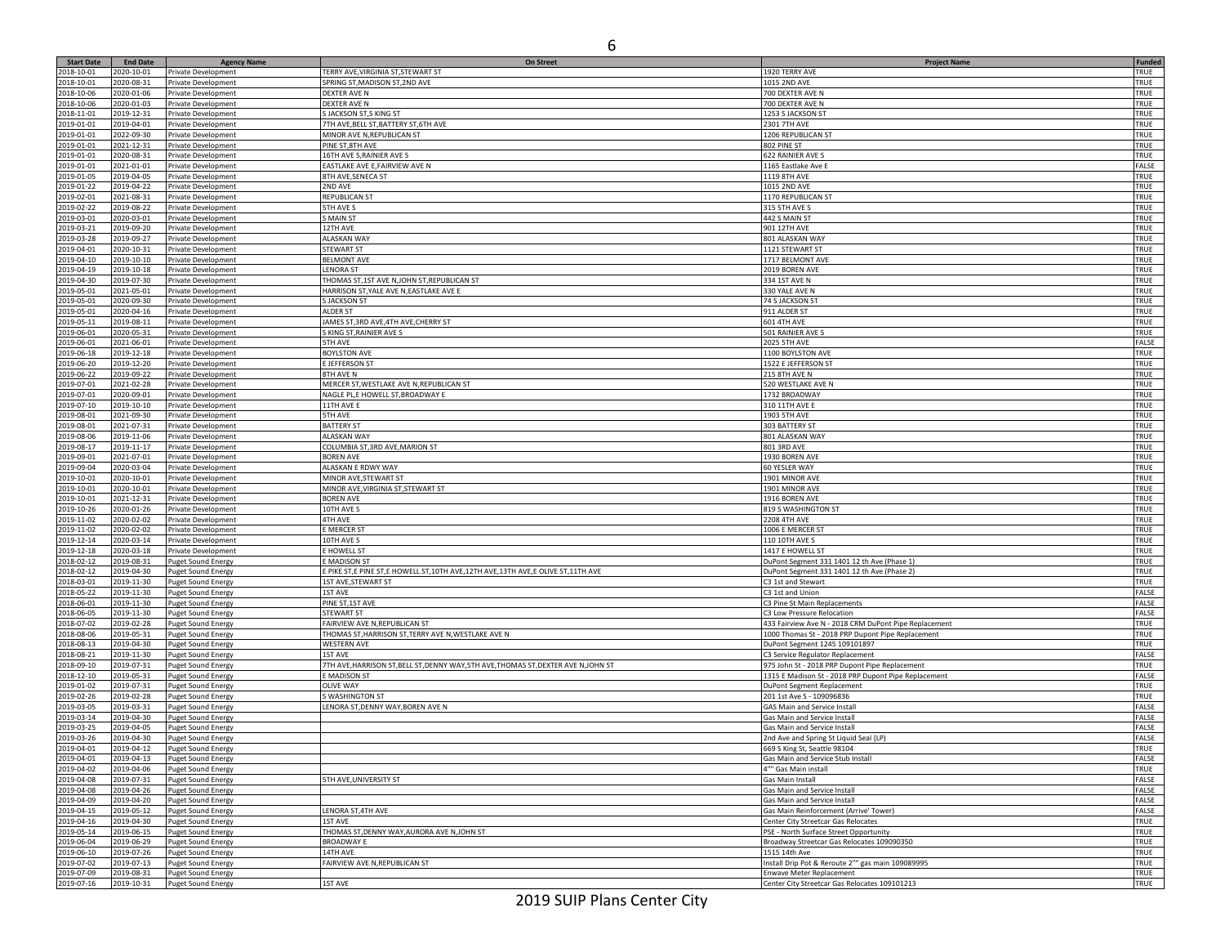| <b>Start Date</b>        | <b>End Date</b>          | <b>Agency Name</b>        | On Street                                                                             |                                                       | Funded      |
|--------------------------|--------------------------|---------------------------|---------------------------------------------------------------------------------------|-------------------------------------------------------|-------------|
| 2018-10-01               | 2020-10-01               |                           | TERRY AVE, VIRGINIA ST, STEWART ST                                                    | <b>Project Name</b><br>1920 TERRY AVE                 | TRUE        |
|                          |                          | Private Development       |                                                                                       |                                                       |             |
| 2018-10-01               | 2020-08-31               | Private Development       | SPRING ST, MADISON ST, 2ND AVE                                                        | 1015 2ND AVE                                          | TRUE        |
| 2018-10-06               | 2020-01-06               | Private Development       | <b>DEXTER AVE N</b>                                                                   | 700 DEXTER AVE N                                      | TRUE        |
| 2018-10-06               | 2020-01-03               | Private Development       | <b>DEXTER AVE N</b>                                                                   | 700 DEXTER AVE N                                      | TRUE        |
| 2018-11-01               | 2019-12-31               | Private Development       | S JACKSON ST, S KING ST                                                               | 1253 S JACKSON ST                                     | TRUE        |
| 2019-01-01               | 2019-04-01               | Private Development       | 7TH AVE, BELL ST, BATTERY ST, 6TH AVE                                                 | 2301 7TH AVE                                          | TRUE        |
| 2019-01-01               | 2022-09-30               | Private Development       | MINOR AVE N, REPUBLICAN ST                                                            | 1206 REPUBLICAN ST                                    | TRUE        |
| 2019-01-01               | 2021-12-31               | Private Development       | PINE ST, 8TH AVE                                                                      | 802 PINE ST                                           | TRUE        |
| 2019-01-01               | 2020-08-31               | Private Development       | 16TH AVE S, RAINIER AVE S                                                             | 622 RAINIER AVE S                                     | TRUE        |
| 2019-01-01               | 2021-01-01               | Private Development       | EASTLAKE AVE E, FAIRVIEW AVE N                                                        | 1165 Eastlake Ave E                                   | FALSE       |
| 2019-01-05               | 2019-04-05               |                           | 8TH AVE, SENECA ST                                                                    |                                                       | TRUE        |
|                          |                          | Private Development       |                                                                                       | 1119 8TH AVE                                          |             |
| 2019-01-22               | 2019-04-22               | Private Development       | 2ND AVE                                                                               | 1015 2ND AVE                                          | TRUE        |
| 2019-02-01               | 2021-08-31               | Private Development       | REPUBLICAN ST                                                                         | 1170 REPUBLICAN ST                                    | TRUE        |
| 2019-02-22               | 2019-08-22               | Private Development       | <b>5TH AVE S</b>                                                                      | <b>315 5TH AVE S</b>                                  | TRUE        |
| 2019-03-01               | 2020-03-01               | Private Development       | <b>S MAIN ST</b>                                                                      | 442 S MAIN ST                                         | TRUE        |
| 2019-03-21               | 2019-09-20               | Private Development       | 12TH AVE                                                                              | 901 12TH AVE                                          | TRUE        |
| 2019-03-28               | 2019-09-27               | Private Development       | <b>ALASKAN WAY</b>                                                                    | 801 ALASKAN WAY                                       | TRUE        |
| 2019-04-01               | 2020-10-31               | Private Development       | <b>STEWART ST</b>                                                                     | 1121 STEWART ST                                       | TRUE        |
| 2019-04-10               | 2019-10-10               | Private Development       | <b>BELMONT AVE</b>                                                                    | 1717 BELMONT AVE                                      | TRUE        |
| 2019-04-19               | 2019-10-18               | Private Development       | <b>LENORA ST</b>                                                                      | 2019 BOREN AVE                                        | TRUE        |
| 2019-04-30               | 2019-07-30               | Private Development       | THOMAS ST,1ST AVE N, JOHN ST, REPUBLICAN ST                                           | 334 1ST AVE N                                         | TRUE        |
| 2019-05-01               | 2021-05-01               | Private Development       | HARRISON ST, YALE AVE N, EASTLAKE AVE E                                               | 330 YALE AVE N                                        | TRUE        |
| 2019-05-01               | 2020-09-30               | Private Development       | <b>S JACKSON ST</b>                                                                   | 74 S JACKSON ST                                       | TRUE        |
|                          |                          |                           | <b>ALDER ST</b>                                                                       | 911 ALDER ST                                          |             |
| 2019-05-01               | 2020-04-16               | Private Development       |                                                                                       |                                                       | TRUE        |
| 2019-05-11               | 2019-08-11               | Private Development       | JAMES ST, 3RD AVE, 4TH AVE, CHERRY ST                                                 | <b>601 4TH AVE</b>                                    | TRUE        |
| 2019-06-01               | 2020-05-31               | Private Development       | S KING ST, RAINIER AVE S                                                              | 501 RAINIER AVE S                                     | TRUE        |
| 2019-06-01               | 2021-06-01               | Private Development       | <b>5TH AVE</b>                                                                        | <b>2025 5TH AVE</b>                                   | FALSE       |
| 2019-06-18               | 2019-12-18               | Private Development       | <b>BOYLSTON AVE</b>                                                                   | 1100 BOYLSTON AVE                                     | TRUE        |
| 2019-06-20               | 2019-12-20               | Private Development       | <b>E JEFFERSON ST</b>                                                                 | 1522 E JEFFERSON ST                                   | TRUE        |
| 2019-06-22               | 2019-09-22               | Private Development       | 8TH AVE N                                                                             | <b>215 8TH AVE N</b>                                  | TRUE        |
| 2019-07-01               | 2021-02-28               | Private Development       | MERCER ST, WESTLAKE AVE N, REPUBLICAN ST                                              | 520 WESTLAKE AVE N                                    | TRUE        |
| 2019-07-01               | 2020-09-01               | Private Development       | NAGLE PL,E HOWELL ST, BROADWAY E                                                      | 1732 BROADWAY                                         | TRUE        |
| 2019-07-10               | 2019-10-10               | Private Development       | 11TH AVE E                                                                            | 310 11TH AVE E                                        | TRUE        |
| 2019-08-01               | 2021-09-30               | Private Development       | <b>5TH AVE</b>                                                                        | 1903 5TH AVE                                          | TRUE        |
| 2019-08-01               | 2021-07-31               | Private Development       | <b>BATTERY ST</b>                                                                     | 303 BATTERY ST                                        | TRUE        |
|                          |                          |                           |                                                                                       |                                                       |             |
| 2019-08-06               | 2019-11-06               | Private Development       | <b>ALASKAN WAY</b>                                                                    | 801 ALASKAN WAY                                       | TRUE        |
| 2019-08-17               | 2019-11-17               | Private Development       | COLUMBIA ST, 3RD AVE, MARION ST                                                       | 801 3RD AVE                                           | TRUE        |
| 2019-09-01               | 2021-07-01               | Private Development       | <b>BOREN AVE</b>                                                                      | 1930 BOREN AVE                                        | TRUE        |
| 2019-09-04               | 2020-03-04               | Private Development       | ALASKAN E RDWY WAY                                                                    | 60 YESLER WAY                                         | TRUE        |
| 2019-10-01               | 2020-10-01               | Private Development       | MINOR AVE, STEWART ST                                                                 | 1901 MINOR AVE                                        | TRUE        |
| 2019-10-01               | 2020-10-01               | Private Development       | MINOR AVE, VIRGINIA ST, STEWART ST                                                    | 1901 MINOR AVE                                        | TRUE        |
| 2019-10-01               | 2021-12-31               | Private Development       | <b>BOREN AVE</b>                                                                      | 1916 BOREN AVE                                        | TRUE        |
| 2019-10-26               | 2020-01-26               | Private Development       | 10TH AVE S                                                                            | 819 S WASHINGTON ST                                   | TRUE        |
| 2019-11-02               | 2020-02-02               | Private Development       | 4TH AVE                                                                               | <b>2208 4TH AVE</b>                                   | TRUE        |
| 2019-11-02               | 2020-02-02               | Private Development       | <b>E MERCER ST</b>                                                                    | 1006 E MERCER ST                                      | TRUE        |
| 2019-12-14               | 2020-03-14               | Private Development       | 10TH AVE S                                                                            | 110 10TH AVE S                                        | TRUE        |
| 2019-12-18               | 2020-03-18               | Private Development       | E HOWELL ST                                                                           | 1417 E HOWELL ST                                      | TRUE        |
| 2018-02-12               |                          |                           |                                                                                       |                                                       | TRUE        |
|                          | 2019-08-31               | Puget Sound Energy        | E MADISON ST                                                                          | DuPont Segment 331 1401 12 th Ave (Phase 1)           |             |
| 2018-02-12               | 2019-04-30               | Puget Sound Energy        | E PIKE ST, E PINE ST, E HOWELL ST, 10TH AVE, 12TH AVE, 13TH AVE, E OLIVE ST, 11TH AVE | DuPont Segment 331 1401 12 th Ave (Phase 2)           | TRUE        |
| 018-03-01                | 2019-11-30               | Puget Sound Energy        | 1ST AVE, STEWART ST                                                                   | C3 1st and Stewart                                    | TRUE        |
| 2018-05-22               | 2019-11-30               | <b>Puget Sound Energy</b> | 1ST AVE                                                                               | C3 1st and Union                                      | FALSE       |
| 2018-06-01               | 2019-11-30               | Puget Sound Energy        | PINE ST, 1ST AVE                                                                      | C3 Pine St Main Replacements                          | FALSE       |
| 2018-06-05               | 2019-11-30               | Puget Sound Energy        | <b>STEWART ST</b>                                                                     | C3 Low Pressure Relocation                            | FALSE       |
| 2018-07-02               | 2019-02-28               | <b>Puget Sound Energy</b> | FAIRVIEW AVE N, REPUBLICAN ST                                                         | 433 Fairview Ave N - 2018 CRM DuPont Pipe Replacement | TRUE        |
| 2018-08-06               | 2019-05-31               | Puget Sound Energy        | THOMAS ST, HARRISON ST, TERRY AVE N, WESTLAKE AVE N                                   | 1000 Thomas St - 2018 PRP Dupont Pipe Replacement     | TRUE        |
| 2018-08-13               | 2019-04-30               | Puget Sound Energy        | <b>WESTERN AVE</b>                                                                    | DuPont Segment 1245 109101897                         | TRUE        |
| 2018-08-21               | 2019-11-30               | Puget Sound Energy        | 1ST AVE                                                                               | C3 Service Regulator Replacement                      | FALSE       |
| 2018-09-10               | 2019-07-31               | Puget Sound Energy        | 7TH AVE, HARRISON ST, BELL ST, DENNY WAY, 5TH AVE, THOMAS ST, DEXTER AVE N, JOHN ST   | 975 John St - 2018 PRP Dupont Pipe Replacement        | TRUE        |
| 2018-12-10               | 2019-05-31               | Puget Sound Energy        | E MADISON ST                                                                          | 1315 E Madison St - 2018 PRP Dupont Pipe Replacement  | FALSE       |
| 2019-01-02               | 2019-07-31               | Puget Sound Energy        | <b>OLIVE WAY</b>                                                                      | DuPont Segment Replacement                            | TRUE        |
| 2019-02-26               | 2019-02-28               | Puget Sound Energy        | S WASHINGTON ST                                                                       | 201 1st Ave S - 109096836                             | TRUE        |
|                          |                          |                           |                                                                                       |                                                       |             |
| 2019-03-05               | 2019-03-31               | Puget Sound Energy        | LENORA ST, DENNY WAY, BOREN AVE N                                                     | GAS Main and Service Instal                           | FALSE       |
| 2019-03-14               | 2019-04-30               | Puget Sound Energy        |                                                                                       | Gas Main and Service Instal                           | FALSE       |
| 2019-03-25               | 2019-04-05               | <b>Puget Sound Energy</b> |                                                                                       | Gas Main and Service Instal                           | FALSE       |
| 2019-03-26               | 2019-04-30               | <b>Puget Sound Energy</b> |                                                                                       | 2nd Ave and Spring St Liquid Seal (LP)                | FALSE       |
| 119-04-01                | 2019-04-12               | <b>Puget Sound Energ</b>  |                                                                                       | GGQ S King St Seattle Q810/                           | TRIJE       |
| 2019-04-01               | 2019-04-13               | <b>Puget Sound Energy</b> |                                                                                       | Gas Main and Service Stub Install                     | FALSE       |
| 2019-04-02               | 2019-04-06               | <b>Puget Sound Energy</b> |                                                                                       | 4"" Gas Main install                                  | TRUE        |
| 2019-04-08               | 2019-07-31               | <b>Puget Sound Energy</b> | 5TH AVE, UNIVERSITY ST                                                                | Gas Main Install                                      | FALSE       |
| 2019-04-08               | 2019-04-26               | <b>Puget Sound Energy</b> |                                                                                       | Gas Main and Service Install                          | FALSE       |
| 2019-04-09               | 2019-04-20               | <b>Puget Sound Energy</b> |                                                                                       | Gas Main and Service Install                          | FALSE       |
| 2019-04-15               | 2019-05-12               | <b>Puget Sound Energy</b> | LENORA ST, 4TH AVE                                                                    | Gas Main Reinforcement (Arrive' Tower)                | FALSE       |
| 2019-04-16               | 2019-04-30               | <b>Puget Sound Energy</b> | 1ST AVE                                                                               | Center City Streetcar Gas Relocates                   | TRUE        |
| 2019-05-14               | 2019-06-15               | <b>Puget Sound Energy</b> | THOMAS ST, DENNY WAY, AURORA AVE N, JOHN ST                                           | PSE - North Surface Street Opportunity                | TRUE        |
|                          |                          |                           | <b>BROADWAY E</b>                                                                     | Broadway Streetcar Gas Relocates 109090350            | TRUE        |
| 2019-06-04<br>2019-06-10 | 2019-06-29<br>2019-07-26 | <b>Puget Sound Energy</b> | 14TH AVE                                                                              |                                                       |             |
|                          |                          | <b>Puget Sound Energy</b> |                                                                                       | 1515 14th Ave                                         | TRUE        |
| 2019-07-02               | 2019-07-13               | <b>Puget Sound Energy</b> | FAIRVIEW AVE N, REPUBLICAN ST                                                         | Install Drip Pot & Reroute 2"" gas main 109089995     | TRUE        |
| 2019-07-09               | 2019-08-31               | <b>Puget Sound Energy</b> |                                                                                       | <b>Enwave Meter Replacement</b>                       | <b>TRUE</b> |
| 2019-07-16               | 2019-10-31               | <b>Puget Sound Energy</b> | 1ST AVE                                                                               | Center City Streetcar Gas Relocates 109101213         | TRUE        |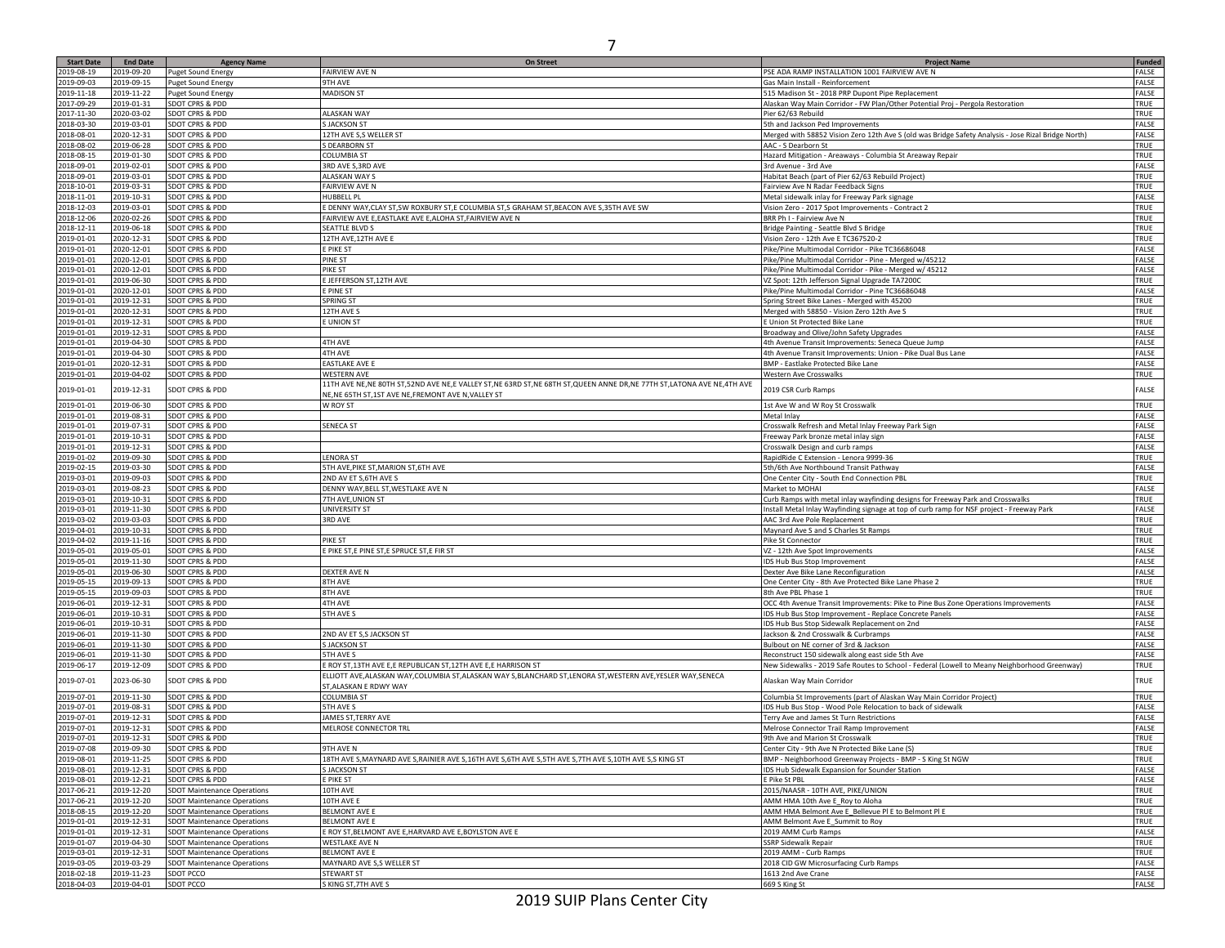| <b>Start Date</b> | <b>End Date</b> |                                    | On Street                                                                                                           |                                                                                                     | <b>Funded</b> |
|-------------------|-----------------|------------------------------------|---------------------------------------------------------------------------------------------------------------------|-----------------------------------------------------------------------------------------------------|---------------|
| 2019-08-19        | 2019-09-20      | <b>Agency Name</b>                 | FAIRVIEW AVE N                                                                                                      | <b>Project Name</b><br>PSE ADA RAMP INSTALLATION 1001 FAIRVIEW AVE N                                | FALSE         |
|                   |                 | Puget Sound Energy                 |                                                                                                                     |                                                                                                     |               |
| 2019-09-03        | 2019-09-15      | <b>Puget Sound Energy</b>          | 9TH AVE                                                                                                             | Gas Main Install - Reinforcement                                                                    | FALSE         |
| 2019-11-18        | 2019-11-22      | <b>Puget Sound Energy</b>          | <b>MADISON ST</b>                                                                                                   | 515 Madison St - 2018 PRP Dupont Pipe Replacement                                                   | FALSE         |
| 2017-09-29        | 2019-01-31      | SDOT CPRS & PDD                    |                                                                                                                     | Alaskan Way Main Corridor - FW Plan/Other Potential Proj - Pergola Restoration                      | TRUE          |
| 2017-11-30        | 2020-03-02      | SDOT CPRS & PDD                    | ALASKAN WAY                                                                                                         | Pier 62/63 Rebuild                                                                                  | TRUE          |
| 2018-03-30        | 2019-03-01      | SDOT CPRS & PDD                    | <b>S JACKSON ST</b>                                                                                                 | 5th and Jackson Ped Improvements                                                                    | FALSE         |
| 2018-08-01        | 2020-12-31      | SDOT CPRS & PDD                    | 12TH AVE S,S WELLER ST                                                                                              | Merged with 58852 Vision Zero 12th Ave S (old was Bridge Safety Analysis - Jose Rizal Bridge North) | FALSE         |
| 2018-08-02        | 2019-06-28      | SDOT CPRS & PDD                    | S DEARBORN ST                                                                                                       | AAC - S Dearborn St                                                                                 | TRUE          |
| 2018-08-15        | 2019-01-30      | SDOT CPRS & PDD                    | <b>COLUMBIA ST</b>                                                                                                  | Hazard Mitigation - Areaways - Columbia St Areaway Repair                                           | TRUE          |
| 2018-09-01        | 2019-02-01      | SDOT CPRS & PDD                    | 3RD AVE S, 3RD AVE                                                                                                  | 3rd Avenue - 3rd Ave                                                                                | FALSE         |
| 2018-09-01        | 2019-03-01      | SDOT CPRS & PDD                    | ALASKAN WAY S                                                                                                       | Habitat Beach (part of Pier 62/63 Rebuild Project)                                                  | TRUE          |
|                   |                 |                                    |                                                                                                                     |                                                                                                     |               |
| 2018-10-01        | 2019-03-31      | SDOT CPRS & PDD                    | FAIRVIEW AVE N                                                                                                      | Fairview Ave N Radar Feedback Signs                                                                 | TRUE          |
| 2018-11-01        | 2019-10-31      | SDOT CPRS & PDD                    | HUBBELL PL                                                                                                          | Metal sidewalk inlay for Freeway Park signage                                                       | FALSE         |
| 2018-12-03        | 2019-03-01      | SDOT CPRS & PDD                    | E DENNY WAY, CLAY ST, SW ROXBURY ST, E COLUMBIA ST, S GRAHAM ST, BEACON AVE S, 35TH AVE SW                          | Vision Zero - 2017 Spot Improvements - Contract 2                                                   | TRUE          |
| 2018-12-06        | 2020-02-26      | SDOT CPRS & PDD                    | FAIRVIEW AVE E,EASTLAKE AVE E,ALOHA ST,FAIRVIEW AVE N                                                               | BRR Ph I - Fairview Ave N                                                                           | TRUE          |
| 2018-12-11        | 2019-06-18      | SDOT CPRS & PDD                    | SEATTLE BLVD S                                                                                                      | Bridge Painting - Seattle Blvd S Bridge                                                             | TRUE          |
| 2019-01-01        | 2020-12-31      | SDOT CPRS & PDD                    | 12TH AVE, 12TH AVE E                                                                                                | Vision Zero - 12th Ave E TC367520-2                                                                 | TRUE          |
| 2019-01-01        | 2020-12-01      | SDOT CPRS & PDD                    | E PIKE ST                                                                                                           | Pike/Pine Multimodal Corridor - Pike TC36686048                                                     | FALSE         |
| 2019-01-01        | 2020-12-01      | SDOT CPRS & PDD                    | PINE ST                                                                                                             | Pike/Pine Multimodal Corridor - Pine - Merged w/45212                                               | FALSE         |
| 2019-01-01        | 2020-12-01      | SDOT CPRS & PDD                    | PIKE ST                                                                                                             | Pike/Pine Multimodal Corridor - Pike - Merged w/ 45212                                              | FALSE         |
| 2019-01-01        | 2019-06-30      | SDOT CPRS & PDD                    | <b>EJEFFERSON ST,12TH AVE</b>                                                                                       | VZ Spot: 12th Jefferson Signal Upgrade TA72000                                                      | TRUE          |
| 2019-01-01        | 2020-12-01      | SDOT CPRS & PDD                    | E PINE ST                                                                                                           | Pike/Pine Multimodal Corridor - Pine TC36686048                                                     | FALSE         |
| 2019-01-01        | 2019-12-31      | SDOT CPRS & PDD                    | SPRING ST                                                                                                           |                                                                                                     | TRUE          |
|                   |                 |                                    |                                                                                                                     | Spring Street Bike Lanes - Merged with 45200                                                        |               |
| 2019-01-01        | 2020-12-31      | SDOT CPRS & PDD                    | 12TH AVE S                                                                                                          | Merged with 58850 - Vision Zero 12th Ave S                                                          | TRUE          |
| 2019-01-01        | 2019-12-31      | SDOT CPRS & PDD                    | <b>EUNION ST</b>                                                                                                    | E Union St Protected Bike Lane                                                                      | TRUE          |
| 2019-01-01        | 2019-12-31      | SDOT CPRS & PDD                    |                                                                                                                     | Broadway and Olive/John Safety Upgrades                                                             | FALSE         |
| 2019-01-01        | 2019-04-30      | SDOT CPRS & PDD                    | <b>4TH AVE</b>                                                                                                      | 4th Avenue Transit Improvements: Seneca Queue Jump                                                  | FALSE         |
| 2019-01-01        | 2019-04-30      | SDOT CPRS & PDD                    | 4TH AVE                                                                                                             | 4th Avenue Transit Improvements: Union - Pike Dual Bus Lane                                         | FALSE         |
| 2019-01-01        | 2020-12-31      | SDOT CPRS & PDD                    | EASTLAKE AVE E                                                                                                      | BMP - Eastlake Protected Bike Lane                                                                  | FALSE         |
| 2019-01-01        | 2019-04-02      | SDOT CPRS & PDD                    | WESTERN AVE                                                                                                         | Western Ave Crosswalks                                                                              | TRUE          |
|                   |                 |                                    | 11TH AVE NE,NE 80TH ST,52ND AVE NE,E VALLEY ST,NE 63RD ST,NE 68TH ST,QUEEN ANNE DR,NE 77TH ST,LATONA AVE NE,4TH AVE |                                                                                                     |               |
| 2019-01-01        | 2019-12-31      | SDOT CPRS & PDD                    | NE, NE 65TH ST, 1ST AVE NE, FREMONT AVE N, VALLEY ST                                                                | 2019 CSR Curb Ramps                                                                                 | FALSE         |
| 2019-01-01        | 2019-06-30      | SDOT CPRS & PDD                    | W ROY ST                                                                                                            | 1st Ave W and W Roy St Crosswalk                                                                    | TRUE          |
|                   |                 | SDOT CPRS & PDD                    |                                                                                                                     |                                                                                                     |               |
| 2019-01-01        | 2019-08-31      |                                    |                                                                                                                     | Metal Inlay                                                                                         | FALSE         |
| 2019-01-01        | 2019-07-31      | SDOT CPRS & PDD                    | SENECA ST                                                                                                           | Crosswalk Refresh and Metal Inlay Freeway Park Sign                                                 | FALSE         |
| 2019-01-01        | 2019-10-31      | SDOT CPRS & PDD                    |                                                                                                                     | Freeway Park bronze metal inlay sign                                                                | FALSE         |
| 2019-01-01        | 2019-12-31      | SDOT CPRS & PDD                    |                                                                                                                     | Crosswalk Design and curb ramps                                                                     | FALSE         |
| 2019-01-02        | 2019-09-30      | SDOT CPRS & PDD                    | <b>LENORA ST</b>                                                                                                    | RapidRide C Extension - Lenora 9999-36                                                              | TRUE          |
| 2019-02-15        | 2019-03-30      | SDOT CPRS & PDD                    | 5TH AVE, PIKE ST, MARION ST, 6TH AVE                                                                                | 5th/6th Ave Northbound Transit Pathway                                                              | FALSE         |
| 2019-03-01        | 2019-09-03      | SDOT CPRS & PDD                    | 2ND AV ET S, 6TH AVE S                                                                                              | One Center City - South End Connection PBL                                                          | TRUE          |
| 2019-03-01        | 2019-08-23      | SDOT CPRS & PDD                    | DENNY WAY, BELL ST, WESTLAKE AVE N                                                                                  | Market to MOHAI                                                                                     | FALSE         |
| 2019-03-01        | 2019-10-31      | SDOT CPRS & PDD                    | 7TH AVE, UNION ST                                                                                                   | Curb Ramps with metal inlay wayfinding designs for Freeway Park and Crosswalks                      | TRUE          |
| 2019-03-01        | 2019-11-30      | SDOT CPRS & PDD                    | UNIVERSITY ST                                                                                                       | Install Metal Inlay Wayfinding signage at top of curb ramp for NSF project - Freeway Park           | FALSE         |
| 2019-03-02        | 2019-03-03      | SDOT CPRS & PDD                    | 3RD AVE                                                                                                             | AAC 3rd Ave Pole Replacement                                                                        | TRUE          |
|                   |                 | SDOT CPRS & PDD                    |                                                                                                                     |                                                                                                     | TRUE          |
| 2019-04-01        | 2019-10-31      |                                    |                                                                                                                     | Maynard Ave S and S Charles St Ramps                                                                |               |
| 2019-04-02        | 2019-11-16      | SDOT CPRS & PDD                    | PIKE ST                                                                                                             | Pike St Connector                                                                                   | TRUE          |
| 2019-05-01        | 2019-05-01      | SDOT CPRS & PDD                    | E PIKE ST,E PINE ST,E SPRUCE ST,E FIR ST                                                                            | VZ - 12th Ave Spot Improvements                                                                     | FALSE         |
| 2019-05-01        | 2019-11-30      | SDOT CPRS & PDD                    |                                                                                                                     | IDS Hub Bus Stop Improvement                                                                        | FALSE         |
| 2019-05-01        | 2019-06-30      | SDOT CPRS & PDD                    | DEXTER AVE N                                                                                                        | Dexter Ave Bike Lane Reconfiguration                                                                | FALSE         |
| 2019-05-15        | 2019-09-13      | SDOT CPRS & PDD                    | 8TH AVE                                                                                                             | One Center City - 8th Ave Protected Bike Lane Phase 2                                               | TRUE          |
| 2019-05-15        | 2019-09-03      | SDOT CPRS & PDD                    | 8TH AVE                                                                                                             | 8th Ave PBL Phase 1                                                                                 | TRUE          |
| 2019-06-01        | 2019-12-31      | SDOT CPRS & PDD                    | <b>4TH AVE</b>                                                                                                      | OCC 4th Avenue Transit Improvements: Pike to Pine Bus Zone Operations Improvements                  | FALSE         |
| 2019-06-01        | 2019-10-31      | SDOT CPRS & PDD                    | 5TH AVE S                                                                                                           | IDS Hub Bus Stop Improvement - Replace Concrete Panels                                              | FALSE         |
| 2019-06-01        | 2019-10-31      | SDOT CPRS & PDD                    |                                                                                                                     | IDS Hub Bus Stop Sidewalk Replacement on 2nd                                                        | FALSE         |
| 2019-06-01        | 2019-11-30      | SDOT CPRS & PDD                    | 2ND AV ET S,S JACKSON ST                                                                                            | Jackson & 2nd Crosswalk & Curbramps                                                                 | FALSE         |
| 2019-06-01        | 2019-11-30      | SDOT CPRS & PDD                    | <b>S JACKSON ST</b>                                                                                                 | Bulbout on NE corner of 3rd & Jackson                                                               | FALSE         |
| 2019-06-01        | 2019-11-30      | SDOT CPRS & PDD                    | 5TH AVE S                                                                                                           | Reconstruct 150 sidewalk along east side 5th Ave                                                    | FALSE         |
|                   |                 |                                    |                                                                                                                     |                                                                                                     |               |
| 2019-06-17        | 2019-12-09      | SDOT CPRS & PDD                    | E ROY ST,13TH AVE E,E REPUBLICAN ST,12TH AVE E,E HARRISON ST                                                        | New Sidewalks - 2019 Safe Routes to School - Federal (Lowell to Meany Neighborhood Greenway)        | TRUE          |
| 2019-07-01        | 2023-06-30      | SDOT CPRS & PDD                    | ELLIOTT AVE,ALASKAN WAY,COLUMBIA ST,ALASKAN WAY S,BLANCHARD ST,LENORA ST,WESTERN AVE,YESLER WAY,SENECA              | Alaskan Way Main Corridor                                                                           | TRUE          |
|                   |                 |                                    | ST, ALASKAN E RDWY WAY                                                                                              |                                                                                                     |               |
| 2019-07-01        | 2019-11-30      | SDOT CPRS & PDD                    | <b>COLUMBIA ST</b>                                                                                                  | Columbia St Improvements (part of Alaskan Way Main Corridor Project)                                | TRUE          |
| 2019-07-01        | 2019-08-31      | SDOT CPRS & PDD                    | 5TH AVE S                                                                                                           | IDS Hub Bus Stop - Wood Pole Relocation to back of sidewalk                                         | FALSE         |
| 2019-07-01        | 2019-12-31      | SDOT CPRS & PDD                    | JAMES ST, TERRY AVE                                                                                                 | Terry Ave and James St Turn Restrictions                                                            | FALSE         |
| 2019-07-01        | 2019-12-31      | SDOT CPRS & PDD                    | MELROSE CONNECTOR TRL                                                                                               | Melrose Connector Trail Ramp Improvement                                                            | FALSE         |
| 2019-07-01        | 2019-12-31      | SDOT CPRS & PDD                    |                                                                                                                     | 9th Ave and Marion St Crosswalk                                                                     | TRUE          |
| 2019-07-08        | 2019-09-30      | SDOT CPRS & PDD                    | 9TH AVE N                                                                                                           | Center City - 9th Ave N Protected Bike Lane (S)                                                     | TRUE          |
| 2019-08-01        | 2019-11-25      | SDOT CPRS & PDD                    | 18TH AVE S, MAYNARD AVE S, RAINIER AVE S, 16TH AVE S, 6TH AVE S, 5TH AVE S, 7TH AVE S, 10TH AVE S, S KING ST        | BMP - Neighborhood Greenway Projects - BMP - S King St NGW                                          | TRUE          |
| 2019-08-01        | 2019-12-31      | SDOT CPRS & PDD                    | S JACKSON ST                                                                                                        | IDS Hub Sidewalk Expansion for Sounder Station                                                      | FALSE         |
| 2019-08-01        | 2019-12-21      | SDOT CPRS & PDD                    | E PIKE ST                                                                                                           | E Pike St PBL                                                                                       | FALSE         |
|                   |                 | <b>SDOT Maintenance Operations</b> |                                                                                                                     |                                                                                                     |               |
| 2017-06-21        | 2019-12-20      |                                    | 10TH AVE                                                                                                            | 2015/NAASR - 10TH AVE, PIKE/UNION                                                                   | TRUE          |
| 2017-06-21        | 2019-12-20      | <b>SDOT Maintenance Operations</b> | 10TH AVE E                                                                                                          | AMM HMA 10th Ave E Roy to Aloha                                                                     | TRUE          |
| 2018-08-15        | 2019-12-20      | <b>SDOT Maintenance Operations</b> | <b>BELMONT AVE E</b>                                                                                                | AMM HMA Belmont Ave E_Bellevue PI E to Belmont PI E                                                 | TRUE          |
| 2019-01-01        | 2019-12-31      | <b>SDOT Maintenance Operations</b> | <b>BELMONT AVE E</b>                                                                                                | AMM Belmont Ave E_Summit to Roy                                                                     | TRUE          |
| 2019-01-01        | 2019-12-31      | <b>SDOT Maintenance Operations</b> | E ROY ST.BELMONT AVE E.HARVARD AVE E.BOYLSTON AVE E                                                                 | 2019 AMM Curb Ramps                                                                                 | FALSE         |
| 2019-01-07        | 2019-04-30      | <b>SDOT Maintenance Operations</b> | WESTLAKE AVE N                                                                                                      | SSRP Sidewalk Repair                                                                                | TRUE          |
| 2019-03-01        | 2019-12-31      | <b>SDOT Maintenance Operations</b> | <b>BELMONT AVE E</b>                                                                                                | 2019 AMM - Curb Ramps                                                                               | TRUE          |
| 2019-03-05        | 2019-03-29      | <b>SDOT Maintenance Operations</b> | MAYNARD AVE S,S WELLER ST                                                                                           | 2018 CID GW Microsurfacing Curb Ramps                                                               | FALSE         |
| 2018-02-18        | 2019-11-23      | SDOT PCCO                          | STEWART ST                                                                                                          | 1613 2nd Ave Crane                                                                                  | FALSE         |
| 2018-04-03        | 2019-04-01      | SDOT PCCO                          | S KING ST, 7TH AVE S                                                                                                | 669 S King St                                                                                       | FALSE         |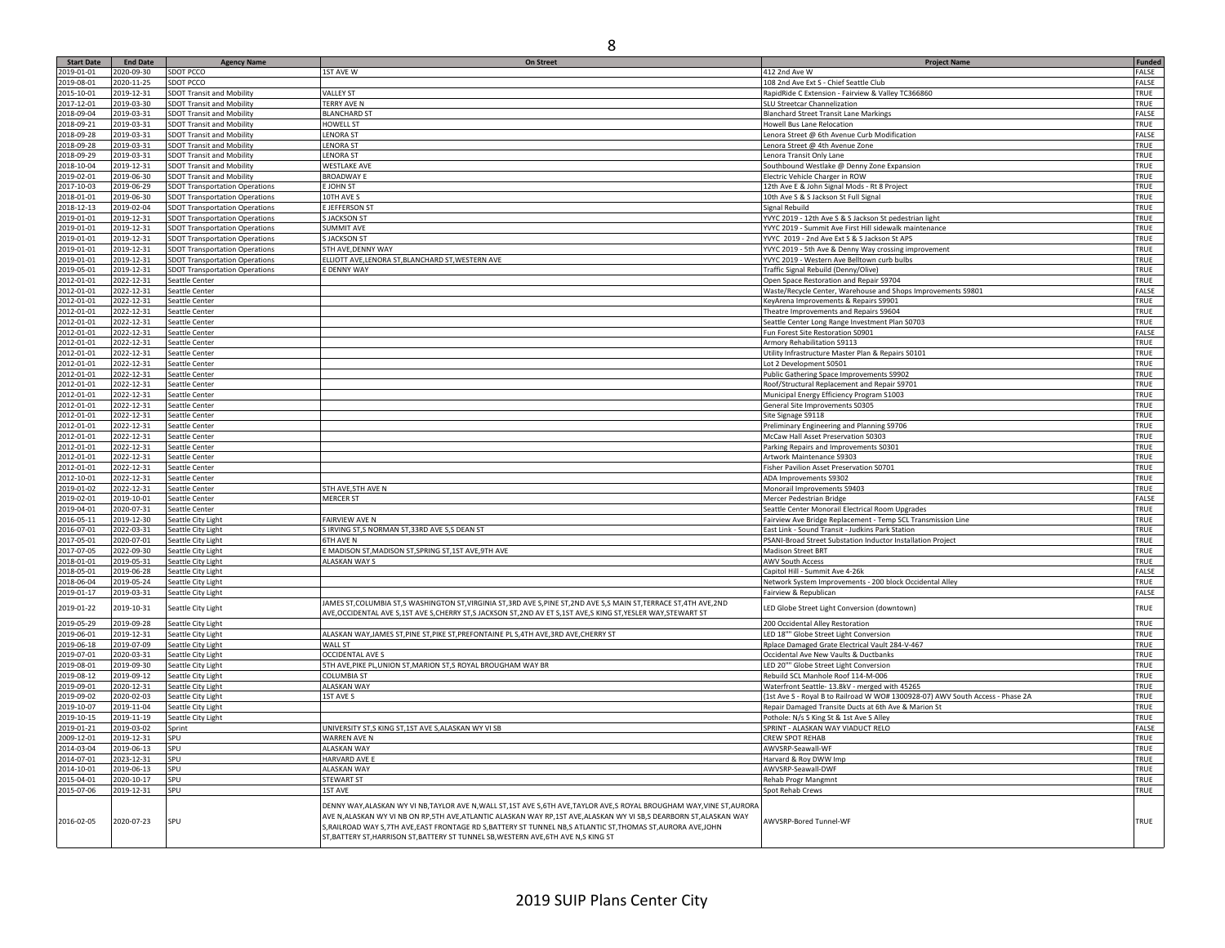| <b>Start Date</b> | <b>End Date</b> | <b>Agency Name</b>                    | <b>On Street</b>                                                                                                         | <b>Project Name</b>                                                           | Funded |
|-------------------|-----------------|---------------------------------------|--------------------------------------------------------------------------------------------------------------------------|-------------------------------------------------------------------------------|--------|
| 2019-01-01        | 2020-09-30      | SDOT PCCO                             | 1ST AVE W                                                                                                                | 412 2nd Ave W                                                                 | FALSE  |
| 2019-08-01        | 2020-11-25      | SDOT PCCO                             |                                                                                                                          | 108 2nd Ave Ext S - Chief Seattle Club                                        | FALSE  |
|                   |                 |                                       | <b>VALLEY ST</b>                                                                                                         |                                                                               |        |
| 2015-10-01        | 2019-12-31      | <b>SDOT Transit and Mobility</b>      |                                                                                                                          | RapidRide C Extension - Fairview & Valley TC366860                            | TRUE   |
| 2017-12-01        | 2019-03-30      | <b>SDOT Transit and Mobility</b>      | <b>TERRY AVE N</b>                                                                                                       | SLU Streetcar Channelization                                                  | TRUE   |
| 2018-09-04        | 2019-03-31      | <b>SDOT Transit and Mobility</b>      | <b>BLANCHARD ST</b>                                                                                                      | <b>Blanchard Street Transit Lane Markings</b>                                 | FALSE  |
| 2018-09-21        | 2019-03-31      | <b>SDOT Transit and Mobility</b>      | <b>HOWELL ST</b>                                                                                                         | <b>Howell Bus Lane Relocation</b>                                             | TRUE   |
| 2018-09-28        | 2019-03-31      | <b>SDOT Transit and Mobility</b>      | <b>LENORA ST</b>                                                                                                         | Lenora Street @ 6th Avenue Curb Modification                                  | FALSE  |
| 2018-09-28        | 2019-03-31      | <b>SDOT Transit and Mobility</b>      | <b>LENORA ST</b>                                                                                                         | Lenora Street @ 4th Avenue Zone                                               | TRUE   |
| 2018-09-29        | 2019-03-31      | <b>SDOT Transit and Mobility</b>      | <b>LENORA ST</b>                                                                                                         | Lenora Transit Only Lane                                                      | TRUE   |
| 2018-10-04        | 2019-12-31      | <b>SDOT Transit and Mobility</b>      | <b>WESTLAKE AVE</b>                                                                                                      | Southbound Westlake @ Denny Zone Expansion                                    | TRUE   |
|                   |                 |                                       |                                                                                                                          |                                                                               | TRUE   |
| 2019-02-01        | 2019-06-30      | <b>SDOT Transit and Mobility</b>      | <b>BROADWAY E</b>                                                                                                        | Electric Vehicle Charger in ROW                                               |        |
| 2017-10-03        | 2019-06-29      | <b>SDOT Transportation Operations</b> | E JOHN ST                                                                                                                | 12th Ave E & John Signal Mods - Rt 8 Project                                  | TRUE   |
| 2018-01-01        | 2019-06-30      | <b>SDOT Transportation Operations</b> | 10TH AVE S                                                                                                               | 10th Ave S & S Jackson St Full Signal                                         | TRUE   |
| 2018-12-13        | 2019-02-04      | <b>SDOT Transportation Operations</b> | <b>E JEFFERSON ST</b>                                                                                                    | Signal Rebuild                                                                | TRUE   |
| 2019-01-01        | 2019-12-31      | <b>SDOT Transportation Operations</b> | <b>S JACKSON ST</b>                                                                                                      | YVYC 2019 - 12th Ave S & S Jackson St pedestrian light                        | TRUE   |
| 2019-01-01        | 2019-12-31      | <b>SDOT Transportation Operations</b> | <b>SUMMIT AVE</b>                                                                                                        | YVYC 2019 - Summit Ave First Hill sidewalk maintenance                        | TRUE   |
| 2019-01-01        | 2019-12-31      | <b>SDOT Transportation Operations</b> | S JACKSON ST                                                                                                             | YVYC 2019 - 2nd Ave Ext S & S Jackson St APS                                  | TRUE   |
| 2019-01-01        | 2019-12-31      | <b>SDOT Transportation Operations</b> | 5TH AVE, DENNY WAY                                                                                                       | YVYC 2019 - 5th Ave & Denny Way crossing improvement                          | TRUE   |
| 2019-01-01        |                 |                                       | ELLIOTT AVE, LENORA ST, BLANCHARD ST, WESTERN AVE                                                                        |                                                                               | TRUE   |
|                   | 2019-12-31      | <b>SDOT Transportation Operations</b> |                                                                                                                          | YVYC 2019 - Western Ave Belltown curb bulbs                                   |        |
| 2019-05-01        | 2019-12-31      | <b>SDOT Transportation Operations</b> | E DENNY WAY                                                                                                              | Traffic Signal Rebuild (Denny/Olive)                                          | TRUE   |
| 2012-01-01        | 2022-12-31      | Seattle Center                        |                                                                                                                          | Open Space Restoration and Repair S9704                                       | TRUE   |
| 2012-01-01        | 2022-12-31      | Seattle Center                        |                                                                                                                          | Waste/Recycle Center, Warehouse and Shops Improvements S9801                  | FALSE  |
| 2012-01-01        | 2022-12-31      | Seattle Center                        |                                                                                                                          | KeyArena Improvements & Repairs S9901                                         | TRUE   |
| 2012-01-01        | 2022-12-31      | Seattle Center                        |                                                                                                                          | Theatre Improvements and Repairs S9604                                        | TRUE   |
| 2012-01-01        | 2022-12-31      | Seattle Center                        |                                                                                                                          | Seattle Center Long Range Investment Plan S0703                               | TRUE   |
| 2012-01-01        | 2022-12-31      | Seattle Center                        |                                                                                                                          | un Forest Site Restoration S0901                                              | FALSE  |
| 2012-01-01        |                 |                                       |                                                                                                                          | Armory Rehabilitation S9113                                                   | TRUE   |
|                   | 2022-12-31      | Seattle Center                        |                                                                                                                          |                                                                               |        |
| 2012-01-01        | 2022-12-31      | Seattle Center                        |                                                                                                                          | Jtility Infrastructure Master Plan & Repairs S0101                            | TRUE   |
| 2012-01-01        | 2022-12-31      | Seattle Center                        |                                                                                                                          | Lot 2 Development S0501                                                       | TRUE   |
| 2012-01-01        | 2022-12-31      | Seattle Center                        |                                                                                                                          | Public Gathering Space Improvements S9902                                     | TRUE   |
| 2012-01-01        | 2022-12-31      | Seattle Center                        |                                                                                                                          | Roof/Structural Replacement and Repair S9701                                  | TRUE   |
| 2012-01-01        | 2022-12-31      | Seattle Center                        |                                                                                                                          | Municipal Energy Efficiency Program S1003                                     | TRUE   |
| 2012-01-01        | 2022-12-31      | Seattle Center                        |                                                                                                                          | General Site Improvements S0305                                               | TRUE   |
| 2012-01-01        | 2022-12-31      | Seattle Center                        |                                                                                                                          | Site Signage S9118                                                            | TRUE   |
| 2012-01-01        | 2022-12-31      |                                       |                                                                                                                          |                                                                               | TRUE   |
|                   |                 | Seattle Center                        |                                                                                                                          | Preliminary Engineering and Planning S9706                                    |        |
| 2012-01-01        | 2022-12-31      | Seattle Center                        |                                                                                                                          | McCaw Hall Asset Preservation S0303                                           | TRUE   |
| 2012-01-01        | 2022-12-31      | Seattle Center                        |                                                                                                                          | Parking Repairs and Improvements S0301                                        | TRUE   |
| 2012-01-01        | 2022-12-31      | Seattle Center                        |                                                                                                                          | Artwork Maintenance S9303                                                     | TRUE   |
| 2012-01-01        | 2022-12-31      | Seattle Center                        |                                                                                                                          | Fisher Pavilion Asset Preservation S0701                                      | TRUE   |
| 2012-10-01        | 2022-12-31      | Seattle Center                        |                                                                                                                          | ADA Improvements S9302                                                        | TRUE   |
| 2019-01-02        | 2022-12-31      | Seattle Center                        | 5TH AVE, 5TH AVE N                                                                                                       | Monorail Improvements S9403                                                   | TRUE   |
| 2019-02-01        | 2019-10-01      | Seattle Center                        | <b>MERCER ST</b>                                                                                                         | Mercer Pedestrian Bridge                                                      | FALSE  |
| 2019-04-01        | 2020-07-31      | Seattle Center                        |                                                                                                                          | Seattle Center Monorail Electrical Room Upgrades                              | TRUE   |
|                   |                 |                                       |                                                                                                                          |                                                                               |        |
| 2016-05-11        | 2019-12-30      | Seattle City Light                    | <b>FAIRVIEW AVE N</b>                                                                                                    | Fairview Ave Bridge Replacement - Temp SCL Transmission Line                  | TRUE   |
| 2016-07-01        | 2022-03-31      | Seattle City Light                    | S IRVING ST,S NORMAN ST, 33RD AVE S,S DEAN ST                                                                            | East Link - Sound Transit - Judkins Park Station                              | TRUE   |
| 2017-05-01        | 2020-07-01      | Seattle City Light                    | <b>6TH AVE N</b>                                                                                                         | PSANI-Broad Street Substation Inductor Installation Project                   | TRUE   |
| 2017-07-05        | 2022-09-30      | Seattle City Light                    | E MADISON ST, MADISON ST, SPRING ST, 1ST AVE, 9TH AVE                                                                    | <b>Madison Street BRT</b>                                                     | TRUE   |
| 2018-01-01        | 2019-05-31      | Seattle City Light                    | ALASKAN WAY S                                                                                                            | <b>AWV South Access</b>                                                       | TRUE   |
| 2018-05-01        | 2019-06-28      | Seattle City Light                    |                                                                                                                          | Capitol Hill - Summit Ave 4-26k                                               | FALSE  |
| 2018-06-04        | 2019-05-24      | Seattle City Light                    |                                                                                                                          | Network System Improvements - 200 block Occidental Alley                      | TRUE   |
| 2019-01-17        | 2019-03-31      | Seattle City Light                    |                                                                                                                          | Fairview & Republican                                                         | FALSE  |
|                   |                 |                                       | JAMES ST, COLUMBIA ST, SWASHINGTON ST, VIRGINIA ST, 3RD AVE S, PINE ST, 2ND AVE S, SMAIN ST, TERRACE ST, 4TH AVE, 2ND    |                                                                               |        |
| 2019-01-22        | 2019-10-31      | Seattle City Light                    |                                                                                                                          | LED Globe Street Light Conversion (downtown)                                  | TRUE   |
|                   |                 |                                       | AVE, OCCIDENTAL AVE S, 1ST AVE S, CHERRY ST, S JACKSON ST, 2ND AV ET S, 1ST AVE, S KING ST, YESLER WAY, STEWART ST       |                                                                               |        |
| 2019-05-29        | 2019-09-28      | Seattle City Light                    |                                                                                                                          | 200 Occidental Alley Restoration                                              | TRUE   |
| 2019-06-01        | 2019-12-31      | Seattle City Light                    | ALASKAN WAY, JAMES ST, PINE ST, PIKE ST, PREFONTAINE PL S, 4TH AVE, 3RD AVE, CHERRY ST                                   | LED 18"" Globe Street Light Conversion                                        | TRUE   |
| 2019-06-18        | 2019-07-09      | Seattle City Light                    | WALL ST                                                                                                                  | Rplace Damaged Grate Electrical Vault 284-V-467                               | TRUE   |
| 2019-07-01        | 2020-03-31      | Seattle City Light                    | <b>OCCIDENTAL AVE S</b>                                                                                                  | Occidental Ave New Vaults & Ductbanks                                         | TRUE   |
| 2019-08-01        | 2019-09-30      | Seattle City Light                    | 5TH AVE, PIKE PL, UNION ST, MARION ST, S ROYAL BROUGHAM WAY BR                                                           | .ED 20"" Globe Street Light Conversion                                        | TRUE   |
| 2019-08-12        | 2019-09-12      | Seattle City Light                    | <b>COLUMBIA ST</b>                                                                                                       | Rebuild SCL Manhole Roof 114-M-006                                            | TRUE   |
|                   |                 |                                       |                                                                                                                          |                                                                               |        |
| 2019-09-01        | 2020-12-31      | Seattle City Light                    | <b>ALASKAN WAY</b>                                                                                                       | Waterfront Seattle-13.8kV - merged with 45265                                 | TRUE   |
| 2019-09-02        | 2020-02-03      | Seattle City Light                    | 1ST AVE S                                                                                                                | 1st Ave S - Royal B to Railroad W WO# 1300928-07) AWV South Access - Phase 2A | TRUE   |
| 2019-10-07        | 2019-11-04      | Seattle City Light                    |                                                                                                                          | Repair Damaged Transite Ducts at 6th Ave & Marion St                          | TRUE   |
| 2019-10-15        | 2019-11-19      | Seattle City Light                    |                                                                                                                          | Pothole: N/s S King St & 1st Ave S Alley                                      | TRUE   |
| 2019-01-21        | 2019-03-02      | Sprint                                | UNIVERSITY ST,S KING ST,1ST AVE S,ALASKAN WY VI SB                                                                       | SPRINT - ALASKAN WAY VIADUCT RELO                                             | FALSE  |
| 2009-12-01        | 2019-12-31      | SPU                                   | WARREN AVE N                                                                                                             | REW SPOT REHAB                                                                | TRUE   |
| 2014-03-04        | 2019-06-13      | SPU                                   | <b>ALASKAN WAY</b>                                                                                                       | <b>NWVSRP-Seawall-WF</b>                                                      | TRUE   |
|                   |                 |                                       |                                                                                                                          |                                                                               |        |
| 2014-07-01        | 2023-12-31      | SPU                                   | <b>HARVARD AVE E</b>                                                                                                     | Harvard & Roy DWW Imp                                                         | TRUE   |
| 2014-10-01        | 2019-06-13      | SPU                                   | <b>ALASKAN WAY</b>                                                                                                       | AWVSRP-Seawall-DWF                                                            | TRUE   |
| 2015-04-01        | 2020-10-17      | SPU                                   | <b>STEWART ST</b>                                                                                                        | Rehab Progr Mangmnt                                                           | TRUE   |
| 2015-07-06        | 2019-12-31      | SPU                                   | 1ST AVE                                                                                                                  | Spot Rehab Crews                                                              | TRUE   |
|                   |                 |                                       |                                                                                                                          |                                                                               |        |
|                   |                 |                                       | DENNY WAY, ALASKAN WY VI NB, TAYLOR AVE N, WALL ST, 1ST AVE S, 6TH AVE, TAYLOR AVE, SROYAL BROUGHAM WAY, VINE ST, AURORA |                                                                               |        |
| 2016-02-05        | 2020-07-23      | SPII                                  | AVE N, ALASKAN WY VI NB ON RP,5TH AVE, ATLANTIC ALASKAN WAY RP,1ST AVE, ALASKAN WY VI SB,S DEARBORN ST, ALASKAN WAY      | AWVSRP-Bored Tunnel-WF                                                        | TRUE   |
|                   |                 |                                       | S, RAILROAD WAY S, 7TH AVE, EAST FRONTAGE RD S, BATTERY ST TUNNEL NB, S ATLANTIC ST, THOMAS ST, AURORA AVE, JOHN         |                                                                               |        |
|                   |                 |                                       | ST, BATTERY ST, HARRISON ST, BATTERY ST TUNNEL SB, WESTERN AVE, 6TH AVE N, S KING ST                                     |                                                                               |        |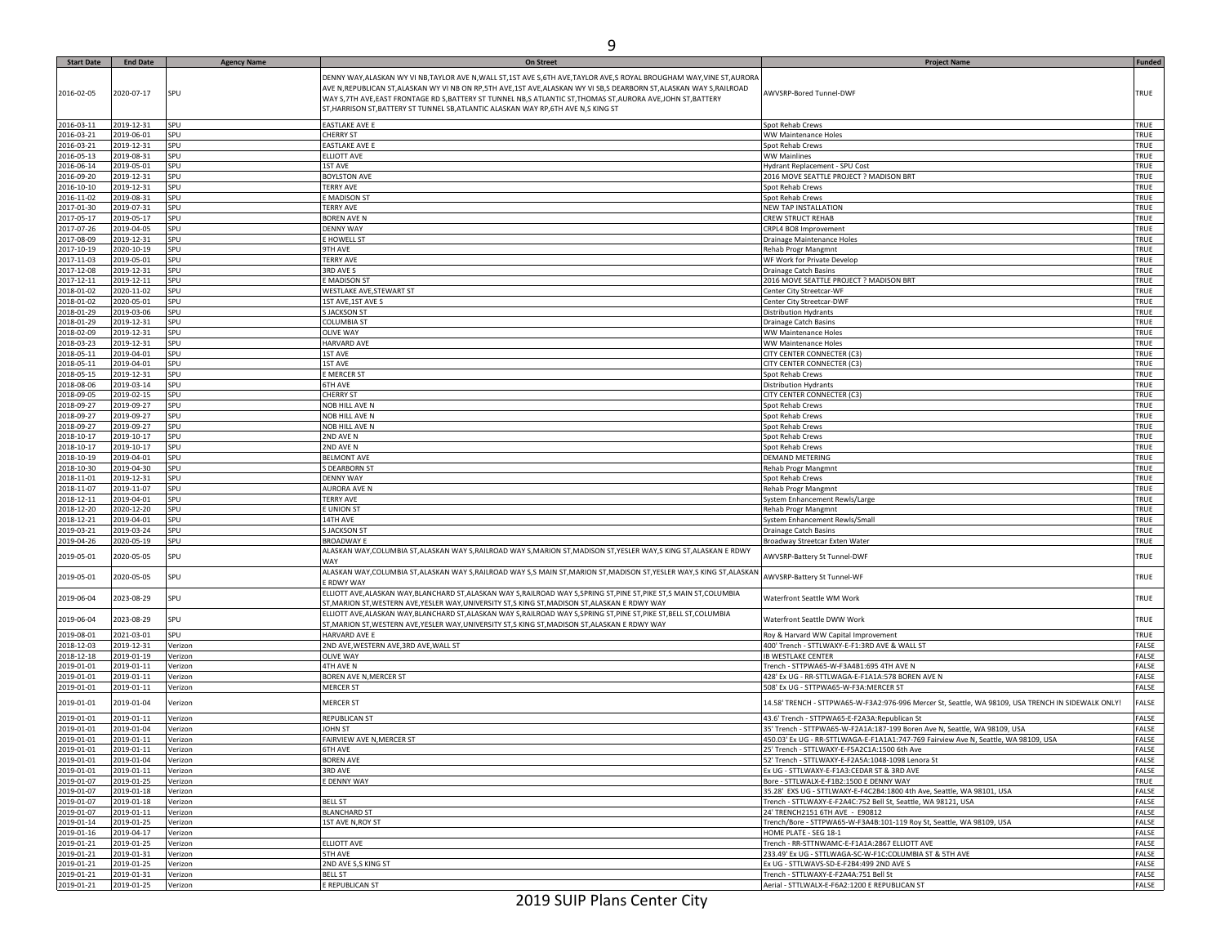| <b>Start Date</b> | <b>End Date</b> | <b>Agency Name</b> | <b>On Street</b>                                                                                                      | Project Name                                                                                       | <b>Funded</b> |
|-------------------|-----------------|--------------------|-----------------------------------------------------------------------------------------------------------------------|----------------------------------------------------------------------------------------------------|---------------|
|                   |                 |                    | DENNY WAY,ALASKAN WY VI NB,TAYLOR AVE N,WALL ST,1ST AVE S,6TH AVE,TAYLOR AVE,S ROYAL BROUGHAM WAY,VINE ST,AURORA      |                                                                                                    |               |
|                   |                 |                    |                                                                                                                       |                                                                                                    |               |
| 2016-02-05        | 2020-07-17      | SPU                | AVE N,REPUBLICAN ST,ALASKAN WY VI NB ON RP,5TH AVE,1ST AVE,ALASKAN WY VI SB,S DEARBORN ST,ALASKAN WAY S,RAILROAD      | AWVSRP-Bored Tunnel-DWF                                                                            | TRUE          |
|                   |                 |                    | WAY S, 7TH AVE, EAST FRONTAGE RD S, BATTERY ST TUNNEL NB, S ATLANTIC ST, THOMAS ST, AURORA AVE, JOHN ST, BATTERY      |                                                                                                    |               |
|                   |                 |                    | ST, HARRISON ST, BATTERY ST TUNNEL SB, ATLANTIC ALASKAN WAY RP, 6TH AVE N, S KING ST                                  |                                                                                                    |               |
|                   |                 |                    |                                                                                                                       |                                                                                                    |               |
| 2016-03-11        | 2019-12-31      | SPU                | <b>EASTLAKE AVE E</b>                                                                                                 | Spot Rehab Crews                                                                                   | TRUE          |
| 2016-03-21        | 2019-06-01      | SPU                | <b>CHERRY ST</b>                                                                                                      | WW Maintenance Holes                                                                               | TRUE          |
| 2016-03-21        | 2019-12-31      | SPU                | <b>EASTLAKE AVE E</b>                                                                                                 | Spot Rehab Crews                                                                                   | TRUE          |
| 2016-05-13        | 2019-08-31      | SPU                | ELLIOTT AVE                                                                                                           | <b>WW Mainlines</b>                                                                                | TRUE          |
| 2016-06-14        | 2019-05-01      | SPU                | 1ST AVE                                                                                                               | Hydrant Replacement - SPU Cost                                                                     | TRUE          |
| 2016-09-20        | 2019-12-31      | SPU                | <b>BOYLSTON AVE</b>                                                                                                   | 2016 MOVE SEATTLE PROJECT ? MADISON BRT                                                            | TRUE          |
| 2016-10-10        | 2019-12-31      | SPU                |                                                                                                                       |                                                                                                    | TRUE          |
|                   |                 |                    | <b>TERRY AVE</b>                                                                                                      | Spot Rehab Crews                                                                                   |               |
| 2016-11-02        | 2019-08-31      | SPU                | E MADISON ST                                                                                                          | Spot Rehab Crews                                                                                   | TRUE          |
| 2017-01-30        | 2019-07-31      | SPU                | <b>TERRY AVE</b>                                                                                                      | NEW TAP INSTALLATION                                                                               | TRUE          |
| 2017-05-17        | 2019-05-17      | SPU                | <b>BOREN AVE N</b>                                                                                                    | <b>CREW STRUCT REHAB</b>                                                                           | TRUE          |
| 2017-07-26        | 2019-04-05      | SPU                | <b>DENNY WAY</b>                                                                                                      | CRPL4 BO8 Improvement                                                                              | TRUE          |
| 2017-08-09        | 2019-12-31      | SPU                | E HOWELL ST                                                                                                           | Drainage Maintenance Holes                                                                         | TRUE          |
| 2017-10-19        | 2020-10-19      | SPU                | 9TH AVE                                                                                                               | Rehab Progr Mangmnt                                                                                | TRUE          |
| 2017-11-03        |                 | SPU                |                                                                                                                       |                                                                                                    | TRUE          |
|                   | 2019-05-01      |                    | <b>TERRY AVE</b>                                                                                                      | WF Work for Private Develop                                                                        |               |
| 2017-12-08        | 2019-12-31      | SPU                | 3RD AVE S                                                                                                             | <b>Drainage Catch Basins</b>                                                                       | TRUE          |
| 2017-12-11        | 2019-12-11      | SPU                | E MADISON ST                                                                                                          | 2016 MOVE SEATTLE PROJECT ? MADISON BRT                                                            | TRUE          |
| 2018-01-02        | 2020-11-02      | SPU                | WESTLAKE AVE, STEWART ST                                                                                              | Center City Streetcar-WF                                                                           | TRUE          |
| 2018-01-02        | 2020-05-01      | SPU                | 1ST AVE, 1ST AVE S                                                                                                    | Center City Streetcar-DWF                                                                          | TRUE          |
| 2018-01-29        | 2019-03-06      | SPU                | <b>S JACKSON ST</b>                                                                                                   | <b>Distribution Hydrants</b>                                                                       | TRUE          |
| 2018-01-29        | 2019-12-31      | SPU                | <b>COLUMBIA ST</b>                                                                                                    |                                                                                                    | TRUE          |
|                   |                 |                    |                                                                                                                       | Drainage Catch Basins                                                                              |               |
| 2018-02-09        | 2019-12-31      | SPU                | <b>OLIVE WAY</b>                                                                                                      | WW Maintenance Holes                                                                               | TRUE          |
| 2018-03-23        | 2019-12-31      | SPU                | <b>HARVARD AVE</b>                                                                                                    | WW Maintenance Holes                                                                               | TRUE          |
| 2018-05-11        | 2019-04-01      | SPU                | 1ST AVE                                                                                                               | CITY CENTER CONNECTER (C3                                                                          | TRUE          |
| 2018-05-11        | 2019-04-01      | SPU                | 1ST AVE                                                                                                               | CITY CENTER CONNECTER (C3)                                                                         | TRUE          |
| 2018-05-15        | 2019-12-31      | SPU                | E MERCER ST                                                                                                           | Spot Rehab Crews                                                                                   | TRUE          |
| 2018-08-06        | 2019-03-14      | SPU                | <b>6TH AVE</b>                                                                                                        | <b>Distribution Hydrants</b>                                                                       | TRUE          |
|                   |                 |                    |                                                                                                                       |                                                                                                    |               |
| 2018-09-05        | 2019-02-15      | SPU                | <b>CHERRY ST</b>                                                                                                      | CITY CENTER CONNECTER (C3)                                                                         | TRUE          |
| 2018-09-27        | 2019-09-27      | SPU                | NOB HILL AVE N                                                                                                        | Spot Rehab Crews                                                                                   | TRUE          |
| 2018-09-27        | 2019-09-27      | SPU                | NOB HILL AVE N                                                                                                        | Spot Rehab Crews                                                                                   | TRUE          |
| 2018-09-27        | 2019-09-27      | SPU                | NOB HILL AVE N                                                                                                        | Spot Rehab Crews                                                                                   | TRUE          |
| 2018-10-17        | 2019-10-17      | SPU                | 2ND AVE N                                                                                                             | Spot Rehab Crews                                                                                   | TRUE          |
| 2018-10-17        | 2019-10-17      | SPU                | 2ND AVE N                                                                                                             | Spot Rehab Crews                                                                                   | TRUE          |
| 2018-10-19        | 2019-04-01      | SPU                | <b>BELMONT AVE</b>                                                                                                    | DEMAND METERING                                                                                    | TRUE          |
| 2018-10-30        | 2019-04-30      | SPU                |                                                                                                                       |                                                                                                    | TRUE          |
|                   |                 |                    | S DEARBORN ST                                                                                                         | Rehab Progr Mangmnt                                                                                |               |
| 2018-11-01        | 2019-12-31      | SPU                | <b>DENNY WAY</b>                                                                                                      | Spot Rehab Crews                                                                                   | TRUE          |
| 2018-11-07        | 2019-11-07      | SPU                | <b>AURORA AVE N</b>                                                                                                   | Rehab Progr Mangmnt                                                                                | TRUE          |
| 2018-12-11        | 2019-04-01      | SPU                | <b>TERRY AVE</b>                                                                                                      | System Enhancement Rewls/Large                                                                     | TRUE          |
| 2018-12-20        | 2020-12-20      | SPU                | E UNION ST                                                                                                            | Rehab Progr Mangmnt                                                                                | TRUE          |
| 2018-12-21        | 2019-04-01      | SPU                | 14TH AVE                                                                                                              | System Enhancement Rewls/Small                                                                     | TRUE          |
| 2019-03-21        | 2019-03-24      | SPU                | <b>S JACKSON ST</b>                                                                                                   | <b>Drainage Catch Basins</b>                                                                       | TRUE          |
|                   |                 |                    |                                                                                                                       |                                                                                                    |               |
| 2019-04-26        | 2020-05-19      | SPU                | <b>BROADWAY E</b>                                                                                                     | Broadway Streetcar Exten Water                                                                     | TRUE          |
| 2019-05-01        | 2020-05-05      | SPU                | ALASKAN WAY,COLUMBIA ST,ALASKAN WAY S,RAILROAD WAY S,MARION ST,MADISON ST,YESLER WAY,S KING ST,ALASKAN E RDWY         | AWVSRP-Battery St Tunnel-DWF                                                                       | TRUE          |
|                   |                 |                    | WAY                                                                                                                   |                                                                                                    |               |
|                   |                 |                    | ALASKAN WAY,COLUMBIA ST,ALASKAN WAY S,RAILROAD WAY S,S MAIN ST,MARION ST,MADISON ST,YESLER WAY,S KING ST,ALASKAN      |                                                                                                    |               |
| 2019-05-01        | 2020-05-05      | SPU                | E RDWY WAY                                                                                                            | AWVSRP-Battery St Tunnel-WF                                                                        | TRUE          |
|                   |                 |                    |                                                                                                                       |                                                                                                    |               |
| 2019-06-04        | 2023-08-29      | SPU                | ELLIOTT AVE,ALASKAN WAY,BLANCHARD ST,ALASKAN WAY S,RAILROAD WAY S,SPRING ST,PINE ST,PIKE ST,S MAIN ST,COLUMBIA        | Waterfront Seattle WM Work                                                                         | TRUE          |
|                   |                 |                    | ST, MARION ST, WESTERN AVE, YESLER WAY, UNIVERSITY ST, S KING ST, MADISON ST, ALASKAN E RDWY WAY                      |                                                                                                    |               |
| 2019-06-04        | 2023-08-29      | SPU                | ELLIOTT AVE, ALASKAN WAY, BLANCHARD ST, ALASKAN WAY S, RAILROAD WAY S, SPRING ST, PINE ST, PIKE ST, BELL ST, COLUMBIA | Waterfront Seattle DWW Work                                                                        | TRUE          |
|                   |                 |                    | ST, MARION ST, WESTERN AVE, YESLER WAY, UNIVERSITY ST, S KING ST, MADISON ST, ALASKAN E RDWY WAY                      |                                                                                                    |               |
| 2019-08-01        | 2021-03-01      | SPU                | HARVARD AVE E                                                                                                         | Roy & Harvard WW Capital Improvement                                                               | TRUE          |
| 2018-12-03        | 2019-12-31      | Verizon            | 2ND AVE, WESTERN AVE, 3RD AVE, WALL ST                                                                                | 400' Trench - STTLWAXY-E-F1:3RD AVE & WALL ST                                                      | FALSE         |
| 2018-12-18        | 2019-01-19      | Verizon            | <b>OLIVE WAY</b>                                                                                                      | <b>IB WESTLAKE CENTER</b>                                                                          | FALSE         |
| 2019-01-01        | 2019-01-11      | Verizon            | 4TH AVE N                                                                                                             | Trench - STTPWA65-W-F3A4B1:695 4TH AVE N                                                           | FALSE         |
|                   |                 |                    |                                                                                                                       |                                                                                                    |               |
| 2019-01-01        | 2019-01-11      | Verizon            | BOREN AVE N, MERCER ST                                                                                                | 428' Ex UG - RR-STTLWAGA-E-F1A1A:578 BOREN AVE N                                                   | FALSE         |
| 2019-01-01        | 2019-01-11      | Verizon            | <b>MERCER ST</b>                                                                                                      | 508' Ex UG - STTPWA65-W-F3A:MERCER ST                                                              | FALSE         |
|                   |                 |                    |                                                                                                                       |                                                                                                    |               |
| 2019-01-01        | 2019-01-04      | Verizon            | <b>MERCER ST</b>                                                                                                      | 14.58' TRENCH - STTPWA65-W-F3A2:976-996 Mercer St, Seattle, WA 98109, USA TRENCH IN SIDEWALK ONLY! | FALSE         |
| 2019-01-01        | 2019-01-11      | Verizon            | REPUBLICAN ST                                                                                                         | 43.6' Trench - STTPWA65-E-F2A3A:Republican St                                                      | FALSE         |
|                   |                 |                    |                                                                                                                       |                                                                                                    |               |
| 2019-01-01        | 2019-01-04      | Verizon            | <b>JOHN ST</b>                                                                                                        | 35' Trench - STTPWA65-W-F2A1A:187-199 Boren Ave N, Seattle, WA 98109, USA                          | FALSE         |
| 2019-01-01        | 2019-01-11      | Verizon            | FAIRVIEW AVE N, MERCER ST                                                                                             | 450.03' Ex UG - RR-STTLWAGA-E-F1A1A1:747-769 Fairview Ave N, Seattle, WA 98109, USA                | FALSE         |
| 2019-01-01        | 2019-01-11      | Verizon            | 6TH AVE                                                                                                               | 25' Trench - STTLWAXY-E-F5A2C1A:1500 6th Ave                                                       | FALSE         |
| 2019-01-01        | 2019-01-04      | Verizon            | <b>BOREN AVE</b>                                                                                                      | 52' Trench - STTLWAXY-E-F2A5A:1048-1098 Lenora St                                                  | FALSE         |
| 2019-01-01        | 2019-01-11      | Verizon            | 3RD AVE                                                                                                               | Ex UG - STTLWAXY-E-F1A3:CEDAR ST & 3RD AVE                                                         | FALSE         |
| 2019-01-07        | 2019-01-25      | Verizon            | E DENNY WAY                                                                                                           | Bore - STTLWALX-E-F1B2:1500 E DENNY WAY                                                            | TRUE          |
| 2019-01-07        | 2019-01-18      | Verizon            |                                                                                                                       | 35.28' EXS UG - STTLWAXY-E-F4C2B4:1800 4th Ave, Seattle, WA 98101, USA                             | FALSE         |
|                   |                 |                    |                                                                                                                       |                                                                                                    |               |
| 2019-01-07        | 2019-01-18      | Verizon            | <b>BELL ST</b>                                                                                                        | Trench - STTLWAXY-E-F2A4C:752 Bell St, Seattle, WA 98121, USA                                      | FALSE         |
| 2019-01-07        | 2019-01-11      | Verizon            | <b>BLANCHARD ST</b>                                                                                                   | 24' TRENCH2151 6TH AVE - E90812                                                                    | FALSE         |
| 2019-01-14        | 2019-01-25      | Verizon            | 1ST AVE N, ROY ST                                                                                                     | Trench/Bore - STTPWA65-W-F3A4B:101-119 Roy St, Seattle, WA 98109, USA                              | FALSE         |
| 2019-01-16        | 2019-04-17      | Verizon            |                                                                                                                       | HOME PLATE - SEG 18-1                                                                              | FALSE         |
| 2019-01-21        | 2019-01-25      | Verizon            | ELLIOTT AVE                                                                                                           | Trench - RR-STTNWAMC-E-F1A1A:2867 ELLIOTT AVE                                                      | FALSE         |
| 2019-01-21        | 2019-01-31      | Verizon            | 5TH AVE                                                                                                               | 233.49' Ex UG - STTLWAGA-SC-W-F1C:COLUMBIA ST & 5TH AVE                                            | FALSE         |
|                   |                 |                    |                                                                                                                       |                                                                                                    |               |
| 2019-01-21        | 2019-01-25      | Verizon            | 2ND AVE S,S KING ST                                                                                                   | Ex UG - STTLWAVS-SD-E-F2B4:499 2ND AVE S                                                           | FALSE         |
| 2019-01-21        | 2019-01-31      | Verizon            | <b>BELL ST</b>                                                                                                        | Trench - STTLWAXY-E-F2A4A:751 Bell St                                                              | FALSE         |
| 2019-01-21        | 2019-01-25      | Verizon            | E REPUBLICAN ST                                                                                                       | Aerial - STTLWALX-E-F6A2:1200 E REPUBLICAN ST                                                      | FALSE         |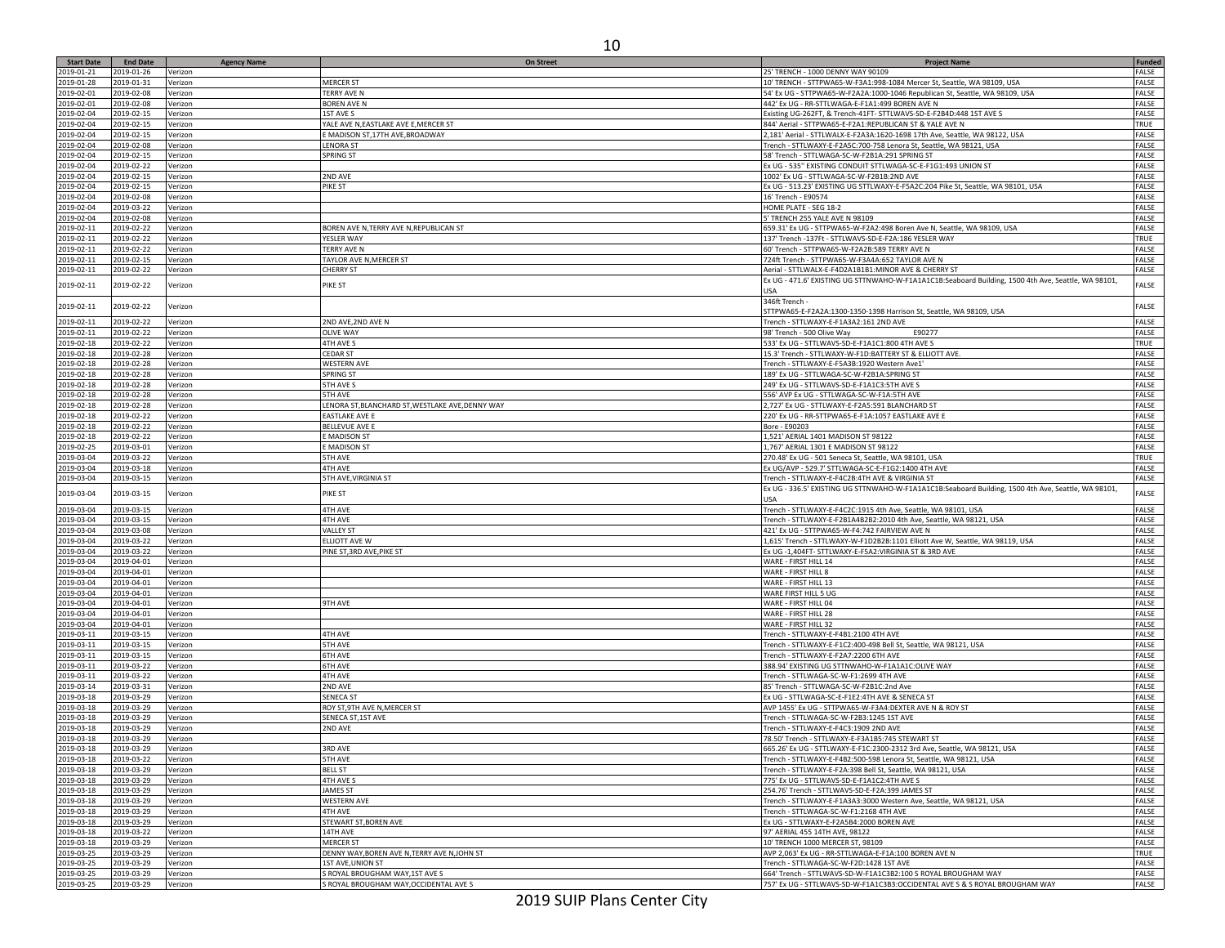| <b>Start Date</b> | <b>End Date</b> | <b>Agency Name</b> | <b>On Street</b>                                | <b>Project Name</b>                                                                                 | Funded       |
|-------------------|-----------------|--------------------|-------------------------------------------------|-----------------------------------------------------------------------------------------------------|--------------|
| 2019-01-21        | 2019-01-26      | Verizon            |                                                 | 25' TRENCH - 1000 DENNY WAY 90109                                                                   | FALSE        |
| 2019-01-28        | 2019-01-31      | Verizon            | <b>MERCER ST</b>                                | 10' TRENCH - STTPWA65-W-F3A1:998-1084 Mercer St, Seattle, WA 98109, USA                             | FALSE        |
|                   |                 |                    |                                                 |                                                                                                     |              |
| 2019-02-01        | 2019-02-08      | Verizon            | <b>TERRY AVE N</b>                              | 54' Ex UG - STTPWA65-W-F2A2A:1000-1046 Republican St, Seattle, WA 98109, USA                        | FALSE        |
| 2019-02-01        | 2019-02-08      | Verizon            | <b>BOREN AVE N</b>                              | 442' Ex UG - RR-STTLWAGA-E-F1A1:499 BOREN AVE N                                                     | FALSE        |
| 2019-02-04        | 2019-02-15      | Verizon            | 1ST AVE S                                       | Existing UG-262FT, & Trench-41FT- STTLWAVS-SD-E-F2B4D:448 1ST AVE S                                 | FALSE        |
| 2019-02-04        | 2019-02-15      | Verizon            | YALE AVE N, EASTLAKE AVE E, MERCER ST           | 844' Aerial - STTPWA65-E-F2A1:REPUBLICAN ST & YALE AVE N                                            | TRUE         |
| 2019-02-04        | 2019-02-15      |                    |                                                 | 2,181' Aerial - STTLWALX-E-F2A3A:1620-1698 17th Ave, Seattle, WA 98122, USA                         | FALSE        |
|                   |                 | Verizon            | E MADISON ST,17TH AVE, BROADWAY                 |                                                                                                     |              |
| 2019-02-04        | 2019-02-08      | Verizon            | LENORA ST                                       | Trench - STTLWAXY-E-F2A5C:700-758 Lenora St, Seattle, WA 98121, USA                                 | FALSE        |
| 2019-02-04        | 2019-02-15      | Verizon            | <b>SPRING ST</b>                                | 58' Trench - STTLWAGA-SC-W-F2B1A:291 SPRING ST                                                      | FALSE        |
| 2019-02-04        | 2019-02-22      | Verizon            |                                                 | Ex UG - 535" EXISTING CONDUIT STTLWAGA-SC-E-F1G1:493 UNION ST                                       | FALSE        |
|                   |                 |                    |                                                 |                                                                                                     |              |
| 2019-02-04        | 2019-02-15      | Verizon            | 2ND AVE                                         | 1002' Ex UG - STTLWAGA-SC-W-F2B1B:2ND AVE                                                           | FALSE        |
| 2019-02-04        | 2019-02-15      | Verizon            | PIKE ST                                         | Ex UG - 513.23' EXISTING UG STTLWAXY-E-F5A2C:204 Pike St, Seattle, WA 98101, USA                    | FALSE        |
| 2019-02-04        | 2019-02-08      | Verizon            |                                                 | 16' Trench - E90574                                                                                 | FALSE        |
| 2019-02-04        | 2019-03-22      | Verizon            |                                                 | HOME PLATE - SEG 18-2                                                                               | FALSE        |
| 2019-02-04        |                 |                    |                                                 |                                                                                                     | FALSE        |
|                   | 2019-02-08      | Verizon            |                                                 | 5' TRENCH 255 YALE AVE N 98109                                                                      |              |
| 2019-02-11        | 2019-02-22      | Verizon            | BOREN AVE N, TERRY AVE N, REPUBLICAN ST         | 659.31' Ex UG - STTPWA65-W-F2A2:498 Boren Ave N, Seattle, WA 98109, USA                             | FALSE        |
| 2019-02-11        | 2019-02-22      | Verizon            | YESLER WAY                                      | 137' Trench -137Ft - STTLWAVS-SD-E-F2A:186 YESLER WAY                                               | TRUE         |
| 2019-02-11        | 2019-02-22      | Verizon            | <b>TERRY AVE N</b>                              | 60' Trench - STTPWA65-W-F2A2B:589 TERRY AVE N                                                       | FALSE        |
|                   | 2019-02-15      |                    |                                                 |                                                                                                     | FALSE        |
| 2019-02-11        |                 | Verizon            | TAYLOR AVE N, MERCER ST                         | 724ft Trench - STTPWA65-W-F3A4A:652 TAYLOR AVE N                                                    |              |
| 2019-02-11        | 2019-02-22      | Verizon            | <b>CHERRY ST</b>                                | Aerial - STTLWALX-E-F4D2A1B1B1:MINOR AVE & CHERRY ST                                                | FALSE        |
|                   |                 |                    |                                                 | Ex UG - 471.6' EXISTING UG STTNWAHO-W-F1A1A1C1B:Seaboard Building, 1500 4th Ave, Seattle, WA 98101, |              |
| 2019-02-11        | 2019-02-22      | Verizon            | PIKE ST                                         | <b>USA</b>                                                                                          | FALSE        |
|                   |                 |                    |                                                 | 346ft Trench                                                                                        |              |
| 2019-02-11        | 2019-02-22      | Verizon            |                                                 |                                                                                                     | FALSE        |
|                   |                 |                    |                                                 | STTPWA65-E-F2A2A:1300-1350-1398 Harrison St, Seattle, WA 98109, USA                                 |              |
| 2019-02-11        | 2019-02-22      | Verizon            | 2ND AVE, 2ND AVE N                              | Trench - STTLWAXY-E-F1A3A2:161 2ND AVE                                                              | FALSE        |
| 2019-02-11        | 2019-02-22      | Verizon            | <b>OLIVE WAY</b>                                | E90277<br>98' Trench - 500 Olive Way                                                                | FALSE        |
|                   |                 |                    |                                                 |                                                                                                     |              |
| 2019-02-18        | 2019-02-22      | Verizon            | 4TH AVE S                                       | 533' Ex UG - STTLWAVS-SD-E-F1A1C1:800 4TH AVE S                                                     | TRUE         |
| 2019-02-18        | 2019-02-28      | Verizon            | <b>CEDAR ST</b>                                 | 15.3' Trench - STTLWAXY-W-F1D:BATTERY ST & ELLIOTT AVE                                              | FALSE        |
| 2019-02-18        | 2019-02-28      | Verizon            | <b>WESTERN AVI</b>                              | Trench - STTLWAXY-E-F5A3B:1920 Western Ave1                                                         | FALSE        |
| 2019-02-18        | 2019-02-28      | Verizon            | <b>SPRING ST</b>                                | 189' Ex UG - STTLWAGA-SC-W-F2B1A:SPRING ST                                                          | FALSE        |
|                   |                 |                    |                                                 |                                                                                                     |              |
| 2019-02-18        | 2019-02-28      | Verizon            | 5TH AVE S                                       | 249' Ex UG - STTLWAVS-SD-E-F1A1C3:5TH AVE S                                                         | FALSE        |
| 2019-02-18        | 2019-02-28      | Verizon            | 5TH AVE                                         | 556' AVP Ex UG - STTLWAGA-SC-W-F1A:5TH AVE                                                          | FALSE        |
| 2019-02-18        | 2019-02-28      | Verizon            | ENORA ST, BLANCHARD ST, WESTLAKE AVE, DENNY WAY | 2,727' Ex UG - STTLWAXY-E-F2A5:591 BLANCHARD ST                                                     | FALSE        |
| 2019-02-18        | 2019-02-22      | Verizon            | <b>EASTLAKE AVE E</b>                           | 220' Ex UG - RR-STTPWA65-E-F1A:1057 EASTLAKE AVE E                                                  | FALSE        |
|                   |                 |                    |                                                 |                                                                                                     |              |
| 2019-02-18        | 2019-02-22      | Verizon            | <b>BELLEVUE AVE E</b>                           | Bore - E90203                                                                                       | FALSE        |
| 2019-02-18        | 2019-02-22      | Verizon            | E MADISON ST                                    | 1,521' AERIAL 1401 MADISON ST 98122                                                                 | FALSE        |
| 2019-02-25        | 2019-03-01      | Verizon            | E MADISON ST                                    | 1,767' AERIAL 1301 E MADISON ST 98122                                                               | FALSE        |
| 2019-03-04        | 2019-03-22      | Verizon            | 5TH AVE                                         | 270.48' Ex UG - 501 Seneca St, Seattle, WA 98101, USA                                               | TRUE         |
|                   |                 |                    |                                                 |                                                                                                     |              |
| 2019-03-04        | 2019-03-18      | Verizon            | 4TH AVE                                         | Ex UG/AVP - 529.7' STTLWAGA-SC-E-F1G2:1400 4TH AVE                                                  | FALSE        |
| 2019-03-04        | 2019-03-15      | Verizon            | 5TH AVE, VIRGINIA ST                            | Trench - STTLWAXY-E-F4C2B:4TH AVE & VIRGINIA ST                                                     | FALSE        |
|                   |                 |                    |                                                 | Ex UG - 336.5' EXISTING UG STTNWAHO-W-F1A1A1C1B:Seaboard Building, 1500 4th Ave, Seattle, WA 98101, |              |
| 2019-03-04        | 2019-03-15      | Verizon            | PIKE ST                                         | USA                                                                                                 | FALSE        |
|                   |                 |                    |                                                 |                                                                                                     |              |
| 2019-03-04        | 2019-03-15      | Verizon            | <b>4TH AVE</b>                                  | Trench - STTLWAXY-E-F4C2C:1915 4th Ave, Seattle, WA 98101, USA                                      | FALSE        |
| 2019-03-04        | 2019-03-15      | Verizon            | 4TH AVE                                         | Trench - STTLWAXY-E-F2B1A4B2B2:2010 4th Ave, Seattle, WA 98121, USA                                 | FALSE        |
| 2019-03-04        | 2019-03-08      | Verizon            | <b>VALLEY ST</b>                                | 421' Ex UG - STTPWA65-W-F4:742 FAIRVIEW AVE N                                                       | FALSE        |
| 2019-03-04        | 2019-03-22      | Verizon            | ELLIOTT AVE W                                   | 1,615' Trench - STTLWAXY-W-F1D2B2B:1101 Elliott Ave W, Seattle, WA 98119, USA                       | FALSE        |
|                   |                 |                    |                                                 |                                                                                                     |              |
| 2019-03-04        | 2019-03-22      | Verizon            | PINE ST, 3RD AVE, PIKE ST                       | Ex UG -1,404FT- STTLWAXY-E-F5A2:VIRGINIA ST & 3RD AVE                                               | FALSE        |
| 2019-03-04        | 2019-04-01      | Verizon            |                                                 | WARE - FIRST HILL 14                                                                                | FALSE        |
| 2019-03-04        | 2019-04-01      | Verizon            |                                                 | WARE - FIRST HILL 8                                                                                 | FALSE        |
| 2019-03-04        | 2019-04-01      | Verizon            |                                                 | WARE - FIRST HILL 13                                                                                | FALSE        |
|                   |                 |                    |                                                 |                                                                                                     |              |
| 2019-03-04        | 2019-04-01      | Verizon            |                                                 | WARE FIRST HILL 5 UG                                                                                | FALSE        |
| 2019-03-04        | 2019-04-01      | Verizon            | 9TH AVE                                         | WARE - FIRST HILL 04                                                                                | FALSE        |
| 2019-03-04        | 2019-04-01      | Verizon            |                                                 | WARE - FIRST HILL 28                                                                                | FALSE        |
| 2019-03-04        | 2019-04-01      | Verizon            |                                                 | WARE - FIRST HILL 32                                                                                | FALSE        |
| 2019-03-11        | 2019-03-15      |                    | 4TH AVE                                         |                                                                                                     |              |
|                   |                 | Verizon            |                                                 | Trench - STTLWAXY-E-F4B1:2100 4TH AVE                                                               | FALSE        |
| 2019-03-11        | 2019-03-15      | Verizon            | 5TH AVE                                         | Trench - STTLWAXY-E-F1C2:400-498 Bell St, Seattle, WA 98121, USA                                    | FALSE        |
| 2019-03-11        | 2019-03-15      | Verizon            | <b>6TH AVE</b>                                  | Trench - STTLWAXY-E-F2A7:2200 6TH AVE                                                               | FALSE        |
| 2019-03-11        | 2019-03-22      | Verizon            | <b>6TH AVE</b>                                  | 388.94' EXISTING UG STTNWAHO-W-F1A1A1C:OLIVE WAY                                                    | FALSE        |
|                   |                 |                    | 4TH AVE                                         |                                                                                                     |              |
| 2019-03-11        | 2019-03-22      | Verizon            |                                                 | Trench - STTLWAGA-SC-W-F1:2699 4TH AVE                                                              | FALSE        |
| 2019-03-14        | 2019-03-31      | Verizon            | 2ND AVE                                         | 85' Trench - STTLWAGA-SC-W-F2B1C:2nd Ave                                                            | FALSE        |
| 2019-03-18        | 2019-03-29      | Verizon            | <b>SENECA ST</b>                                | Ex UG - STTLWAGA-SC-E-F1E2:4TH AVE & SENECA ST                                                      | FALSE        |
| 2019-03-18        | 2019-03-29      | Verizon            | ROY ST, 9TH AVE N, MERCER ST                    | AVP 1455' Ex UG - STTPWA65-W-F3A4:DEXTER AVE N & ROY ST                                             | FALSE        |
| 2019-03-18        | 2019-03-29      | Verizon            | SENECA ST, 1ST AVE                              | Trench - STTLWAGA-SC-W-F2B3:1245 1ST AVE                                                            | <b>FALSE</b> |
|                   |                 |                    |                                                 |                                                                                                     |              |
| 2019-03-18        | 2019-03-29      | Verizon            | 2ND AVE                                         | Trench - STTLWAXY-E-F4C3:1909 2ND AVE                                                               | FALSE        |
| 2019-03-18        | 2019-03-29      | Verizon            |                                                 | 78.50' Trench - STTLWAXY-E-F3A1B5:745 STEWART ST                                                    | FALSE        |
| 2019-03-18        | 2019-03-29      | Verizon            | 3RD AVE                                         | 665.26' Ex UG - STTLWAXY-E-F1C:2300-2312 3rd Ave, Seattle, WA 98121, USA                            | FALSE        |
| 2019-03-18        | 2019-03-22      | Verizon            | 5TH AVE                                         | Trench - STTLWAXY-E-F4B2:500-598 Lenora St, Seattle, WA 98121, USA                                  | FALSE        |
|                   |                 |                    |                                                 |                                                                                                     |              |
| 2019-03-18        | 2019-03-29      | Verizon            | <b>BELL ST</b>                                  | Trench - STTLWAXY-E-F2A:398 Bell St, Seattle, WA 98121, USA                                         | FALSE        |
| 2019-03-18        | 2019-03-29      | Verizon            | 4TH AVE S                                       | 775' Ex UG - STTLWAVS-SD-E-F1A1C2:4TH AVE S                                                         | FALSE        |
| 2019-03-18        | 2019-03-29      | Verizon            | <b>JAMES ST</b>                                 | 254.76' Trench - STTLWAVS-SD-E-F2A:399 JAMES ST                                                     | FALSE        |
| 2019-03-18        | 2019-03-29      | Verizon            | <b>WESTERN AVE</b>                              | Trench - STTLWAXY-E-F1A3A3:3000 Western Ave, Seattle, WA 98121, USA                                 | FALSE        |
|                   |                 |                    |                                                 |                                                                                                     | FALSE        |
| 2019-03-18        | 2019-03-29      | Verizon            | 4TH AVE                                         | Trench - STTLWAGA-SC-W-F1:2168 4TH AVE                                                              |              |
| 2019-03-18        | 2019-03-29      | Verizon            | STEWART ST, BOREN AVE                           | Ex UG - STTLWAXY-E-F2A5B4:2000 BOREN AVE                                                            | FALSE        |
| 2019-03-18        | 2019-03-22      | Verizon            | 14TH AVE                                        | 97' AERIAL 455 14TH AVE, 98122                                                                      | FALSE        |
| 2019-03-18        | 2019-03-29      | Verizon            | <b>MERCER ST</b>                                | 10' TRENCH 1000 MERCER ST, 98109                                                                    | FALSE        |
| 2019-03-25        | 2019-03-29      | Verizon            | DENNY WAY, BOREN AVE N, TERRY AVE N, JOHN ST    | AVP 2,063' Ex UG - RR-STTLWAGA-E-F1A:100 BOREN AVE N                                                | TRUE         |
|                   |                 |                    |                                                 |                                                                                                     |              |
| 2019-03-25        | 2019-03-29      | Verizon            | 1ST AVE, UNION ST                               | Trench - STTLWAGA-SC-W-F2D:1428 1ST AVE                                                             | FALSE        |
| 2019-03-25        | 2019-03-29      | Verizon            | S ROYAL BROUGHAM WAY, 1ST AVE S                 | 664' Trench - STTLWAVS-SD-W-F1A1C3B2:100 S ROYAL BROUGHAM WAY                                       | FALSE        |
| 2019-03-25        | 2019-03-29      | Verizon            | S ROYAL BROUGHAM WAY, OCCIDENTAL AVE S          | 757' Ex UG - STTLWAVS-SD-W-F1A1C3B3:OCCIDENTAL AVE S & S ROYAL BROUGHAM WAY                         | FALSE        |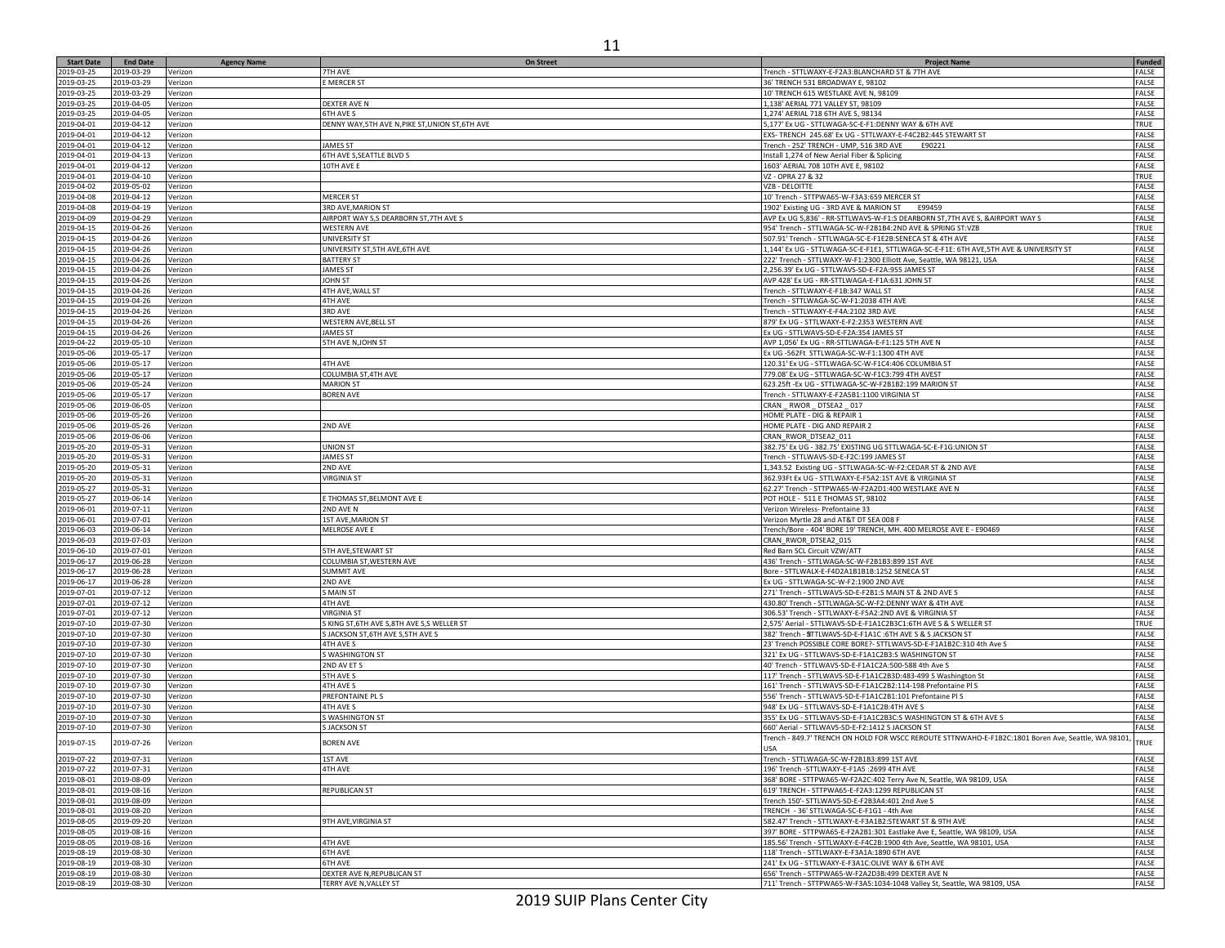| <b>Start Date</b>        | <b>End Date</b>          | <b>Agency Name</b> | <b>On Street</b>                                             | <b>Project Name</b>                                                                                                                       | Funded                       |
|--------------------------|--------------------------|--------------------|--------------------------------------------------------------|-------------------------------------------------------------------------------------------------------------------------------------------|------------------------------|
| 2019-03-25               | 2019-03-29               | Verizon            | 7TH AVE                                                      | Trench - STTLWAXY-E-F2A3:BLANCHARD ST & 7TH AVE                                                                                           | FALSE                        |
| 2019-03-25               | 2019-03-29               | Verizon            | E MERCER ST                                                  | 36' TRENCH 531 BROADWAY E, 98102                                                                                                          | FALSE                        |
| 2019-03-25               | 2019-03-29               | Verizon            |                                                              | 10' TRENCH 615 WESTLAKE AVE N, 98109                                                                                                      | FALSE                        |
| 2019-03-25<br>2019-03-25 | 2019-04-05<br>2019-04-05 | Verizon            | DEXTER AVE N<br>6TH AVE S                                    | 1,138' AERIAL 771 VALLEY ST, 98109                                                                                                        | <b>FALSE</b>                 |
| 2019-04-01               | 2019-04-12               | Verizon<br>Verizon | DENNY WAY, 5TH AVE N, PIKE ST, UNION ST, 6TH AVE             | 1,274' AERIAL 718 6TH AVE S, 98134<br>5,177' Ex UG - STTLWAGA-SC-E-F1:DENNY WAY & 6TH AVE                                                 | FALSE<br>TRUE                |
| 2019-04-01               | 2019-04-12               | Verizon            |                                                              | EXS- TRENCH 245.68' Ex UG - STTLWAXY-E-F4C2B2:445 STEWART ST                                                                              | FALSE                        |
| 2019-04-01               | 2019-04-12               | Verizon            | <b>JAMES ST</b>                                              | Trench - 252' TRENCH - UMP, 516 3RD AVE<br>E90221                                                                                         | FALSE                        |
| 2019-04-01               | 2019-04-13               | Verizon            | 6TH AVE S, SEATTLE BLVD S                                    | Install 1,274 of New Aerial Fiber & Splicing                                                                                              | FALSE                        |
| 2019-04-01               | 2019-04-12               | Verizon            | 10TH AVE E                                                   | 1603' AERIAL 708 10TH AVE E, 98102                                                                                                        | FALSE                        |
| 2019-04-01               | 2019-04-10               | Verizon            |                                                              | VZ - OPRA 27 & 32                                                                                                                         | TRUE                         |
| 2019-04-02               | 2019-05-02               | Verizon            |                                                              | VZB - DELOITTE                                                                                                                            | <b>FALSE</b>                 |
| 2019-04-08               | 2019-04-12               | Verizon            | <b>MERCER ST</b>                                             | 10' Trench - STTPWA65-W-F3A3:659 MERCER ST                                                                                                | FALSE                        |
| 2019-04-08               | 2019-04-19               | Verizon            | 3RD AVE, MARION ST                                           | 1902' Existing UG - 3RD AVE & MARION ST<br>E99459                                                                                         | FALSE                        |
| 2019-04-09<br>2019-04-15 | 2019-04-29<br>2019-04-26 | Verizon            | AIRPORT WAY S,S DEARBORN ST, 7TH AVE S<br><b>WESTERN AVE</b> | AVP Ex UG 5,836' - RR-STTLWAVS-W-F1:S DEARBORN ST,7TH AVE S, &AIRPORT WAY S<br>954' Trench - STTLWAGA-SC-W-F2B1B4:2ND AVE & SPRING ST:VZB | FALSE<br>TRUE                |
| 2019-04-15               | 2019-04-26               | Verizon<br>Verizon | UNIVERSITY ST                                                | 507.91' Trench - STTLWAGA-SC-E-F1E2B:SENECA ST & 4TH AVE                                                                                  | FALSE                        |
| 2019-04-15               | 2019-04-26               | Verizon            | UNIVERSITY ST, 5TH AVE, 6TH AVE                              | 1,144' Ex UG - STTLWAGA-SC-E-F1E1, STTLWAGA-SC-E-F1E: 6TH AVE,5TH AVE & UNIVERSITY ST                                                     | FALSE                        |
| 2019-04-15               | 2019-04-26               | Verizon            | <b>BATTERY ST</b>                                            | 222' Trench - STTLWAXY-W-F1:2300 Elliott Ave, Seattle, WA 98121, USA                                                                      | FALSE                        |
| 2019-04-15               | 2019-04-26               | Verizon            | <b>JAMES ST</b>                                              | 2,256.39' Ex UG - STTLWAVS-SD-E-F2A:955 JAMES ST                                                                                          | FALSE                        |
| 2019-04-15               | 2019-04-26               | Verizon            | <b>JOHN ST</b>                                               | AVP 428' Ex UG - RR-STTLWAGA-E-F1A:631 JOHN ST                                                                                            | FALSE                        |
| 2019-04-15               | 2019-04-26               | Verizon            | 4TH AVE, WALL ST                                             | Trench - STTLWAXY-E-F1B:347 WALL ST                                                                                                       | FALSE                        |
| 2019-04-15               | 2019-04-26               | Verizon            | 4TH AVE                                                      | Trench - STTLWAGA-SC-W-F1:2038 4TH AVE                                                                                                    | FALSE                        |
| 2019-04-15               | 2019-04-26               | Verizon            | 3RD AVE                                                      | Trench - STTLWAXY-E-F4A:2102 3RD AVE                                                                                                      | FALSE                        |
| 2019-04-15               | 2019-04-26               | Verizon            | WESTERN AVE, BELL ST                                         | 879' Ex UG - STTLWAXY-E-F2:2353 WESTERN AVE                                                                                               | FALSE                        |
| 2019-04-15<br>2019-04-22 | 2019-04-26<br>2019-05-10 | Verizon            | <b>JAMES ST</b><br>5TH AVE N, JOHN ST                        | Ex UG - STTLWAVS-SD-E-F2A:354 JAMES ST<br>AVP 1,056' Ex UG - RR-STTLWAGA-E-F1:125 5TH AVE N                                               | FALSE<br>FALSE               |
| 2019-05-06               | 2019-05-17               | Verizon<br>Verizon |                                                              | Ex UG -562Ft STTLWAGA-SC-W-F1:1300 4TH AVE                                                                                                | FALSE                        |
| 2019-05-06               | 2019-05-17               | Verizon            | 4TH AVE                                                      | 120.31' Ex UG - STTLWAGA-SC-W-F1C4:406 COLUMBIA ST                                                                                        | <b>FALSE</b>                 |
| 2019-05-06               | 2019-05-17               | Verizon            | COLUMBIA ST, 4TH AVE                                         | 779.08' Ex UG - STTLWAGA-SC-W-F1C3:799 4TH AVEST                                                                                          | FALSE                        |
| 2019-05-06               | 2019-05-24               | Verizon            | <b>MARION ST</b>                                             | 623.25ft - Ex UG - STTLWAGA-SC-W-F2B1B2:199 MARION ST                                                                                     | FALSE                        |
| 2019-05-06               | 2019-05-17               | Verizon            | <b>BOREN AVE</b>                                             | Trench - STTLWAXY-E-F2A5B1:1100 VIRGINIA ST                                                                                               | FALSE                        |
| 2019-05-06               | 2019-06-05               | Verizon            |                                                              | CRAN _ RWOR _ DTSEA2 _ 017                                                                                                                | FALSE                        |
| 2019-05-06               | 2019-05-26               | Verizon            |                                                              | HOME PLATE - DIG & REPAIR 1                                                                                                               | FALSE                        |
| 2019-05-06               | 2019-05-26               | Verizon            | 2ND AVE                                                      | HOME PLATE - DIG AND REPAIR 2                                                                                                             | FALSE                        |
| 2019-05-06               | 2019-06-06               | Verizon            |                                                              | CRAN_RWOR_DTSEA2_011                                                                                                                      | FALSE                        |
| 2019-05-20<br>2019-05-20 | 2019-05-31<br>2019-05-31 | Verizon<br>Verizon | <b>UNION ST</b><br><b>JAMES ST</b>                           | 382.75' Ex UG - 382.75' EXISTING UG STTLWAGA-SC-E-F1G:UNION ST<br>Trench - STTLWAVS-SD-E-F2C:199 JAMES ST                                 | <b>FALSE</b><br><b>FALSE</b> |
| 2019-05-20               | 2019-05-31               | Verizon            | 2ND AVE                                                      | 1,343.52 Existing UG - STTLWAGA-SC-W-F2:CEDAR ST & 2ND AVE                                                                                | FALSE                        |
| 2019-05-20               | 2019-05-31               | Verizon            | <b>VIRGINIA ST</b>                                           | 362.93Ft Ex UG - STTLWAXY-E-F5A2:1ST AVE & VIRGINIA ST                                                                                    | FALSE                        |
| 2019-05-27               | 2019-05-31               | Verizon            |                                                              | 62.27' Trench - STTPWA65-W-F2A2D1:400 WESTLAKE AVE N                                                                                      | FALSE                        |
| 2019-05-27               | 2019-06-14               | Verizon            | E THOMAS ST, BELMONT AVE E                                   | POT HOLE - 511 E THOMAS ST, 98102                                                                                                         | FALSE                        |
| 2019-06-01               | 2019-07-11               | Verizon            | 2ND AVE N                                                    | Verizon Wireless- Prefontaine 33                                                                                                          | FALSE                        |
| 2019-06-01               | 2019-07-01               | Verizon            | 1ST AVE, MARION ST                                           | Verizon Myrtle 28 and AT&T DT SEA 008 F                                                                                                   | FALSE                        |
| 2019-06-03               | 2019-06-14               | Verizon            | MELROSE AVE E                                                | Trench/Bore - 404' BORE 19' TRENCH, MH. 400 MELROSE AVE E - E90469                                                                        | FALSE                        |
| 2019-06-03               | 2019-07-03               | Verizon            |                                                              | CRAN_RWOR_DTSEA2_015                                                                                                                      | FALSE                        |
| 2019-06-10<br>2019-06-17 | 2019-07-01<br>2019-06-28 | Verizon            | <b>5TH AVE, STEWART ST</b>                                   | Red Barn SCL Circuit VZW/ATT                                                                                                              | FALSE<br>FALSE               |
| 2019-06-17               | 2019-06-28               | Verizon<br>Verizon | COLUMBIA ST, WESTERN AVE<br><b>SUMMIT AVE</b>                | 436' Trench - STTLWAGA-SC-W-F2B1B3:899 1ST AVE<br>Bore - STTLWALX-E-F4D2A1B1B1B:1252 SENECA ST                                            | FALSE                        |
| 2019-06-17               | 2019-06-28               | Verizon            | 2ND AVE                                                      | Ex UG - STTLWAGA-SC-W-F2:1900 2ND AVE                                                                                                     | FALSE                        |
| 2019-07-01               | 2019-07-12               | Verizon            | S MAIN ST                                                    | 271' Trench - STTLWAVS-SD-E-F2B1:S MAIN ST & 2ND AVE S                                                                                    | FALSE                        |
| 2019-07-01               | 2019-07-12               | Verizon            | 4TH AVE                                                      | 430.80' Trench - STTLWAGA-SC-W-F2:DENNY WAY & 4TH AVE                                                                                     | FALSE                        |
| 2019-07-01               | 2019-07-12               | Verizon            | <b>VIRGINIA ST</b>                                           | 306.53' Trench - STTLWAXY-E-F5A2:2ND AVE & VIRGINIA ST                                                                                    | FALSE                        |
| 2019-07-10               | 2019-07-30               | Verizon            | S KING ST, 6TH AVE S, 8TH AVE S, S WELLER ST                 | 2,575' Aerial - STTLWAVS-SD-E-F1A1C2B3C1:6TH AVE S & S WELLER ST                                                                          | TRUE                         |
| 2019-07-10               | 2019-07-30               | Verizon            | S JACKSON ST, 6TH AVE S, 5TH AVE S                           | 382' Trench - SITTLWAVS-SD-E-F1A1C : 6TH AVE S & S JACKSON ST                                                                             | FALSE                        |
| 2019-07-10               | 2019-07-30               | Verizon            | 4TH AVE S                                                    | 23' Trench POSSIBLE CORE BORE?- STTLWAVS-SD-E-F1A1B2C:310 4th Ave S                                                                       | FALSE                        |
| 2019-07-10               | 2019-07-30               | Verizon            | S WASHINGTON ST                                              | 321' Ex UG - STTLWAVS-SD-E-F1A1C2B3:S WASHINGTON ST                                                                                       | FALSE                        |
| 2019-07-10<br>2019-07-10 | 2019-07-30<br>2019-07-30 | Verizon            | 2ND AV ET S<br>5TH AVE S                                     | 40' Trench - STTLWAVS-SD-E-F1A1C2A:500-588 4th Ave S<br>117' Trench - STTLWAVS-SD-E-F1A1C2B3D:483-499 S Washington St                     | FALSE<br>FALSE               |
| 2019-07-10               | 2019-07-30               | Verizon<br>Verizon | 4TH AVE S                                                    | 161' Trench - STTLWAVS-SD-E-F1A1C2B2:114-198 Prefontaine PI S                                                                             | FALSE                        |
| 2019-07-10               | 2019-07-30               | Verizon            | PREFONTAINE PL S                                             | 556' Trench - STTLWAVS-SD-E-F1A1C2B1:101 Prefontaine PI S                                                                                 | FALSE                        |
| 2019-07-10               | 2019-07-30               | Verizon            | 4TH AVE S                                                    | 948' Ex UG - STTLWAVS-SD-E-F1A1C2B:4TH AVE S                                                                                              | FALSE                        |
| 2019-07-10               | 2019-07-30               | Verizon            | S WASHINGTON ST                                              | 355' Ex UG - STTLWAVS-SD-E-F1A1C2B3C:S WASHINGTON ST & 6TH AVE S                                                                          | FALSE                        |
| 2019-07-10               | 2019-07-30               | Verizon            | <b>S JACKSON ST</b>                                          | 660' Aerial - STTLWAVS-SD-E-F2:1412 S JACKSON ST                                                                                          | <b>FALSE</b>                 |
| 2019-07-15               | 2019-07-26               | Verizon            | <b>BOREN AVE</b>                                             | Trench - 849.7' TRENCH ON HOLD FOR WSCC REROUTE STTNWAHO-E-F1B2C:1801 Boren Ave, Seattle, WA 98101,                                       | TRUE                         |
| 2019-07-22               | 2019-07-31               | Verizon            | 1ST AVE                                                      | Trench - STTLWAGA-SC-W-F2B1B3:899 1ST AVE                                                                                                 | FALSE                        |
| 2019-07-22               | 2019-07-31               | Verizon            | 4TH AVE                                                      | 196' Trench -STTLWAXY-E-F1A5 :2699 4TH AVE                                                                                                | FALSE                        |
| 2019-08-01               | 2019-08-09               | Verizon            |                                                              | 368' BORE - STTPWA65-W-F2A2C:402 Terry Ave N, Seattle, WA 98109, USA                                                                      | FALSE                        |
| 2019-08-01               | 2019-08-16               | Verizon            | REPUBLICAN ST                                                | 619' TRENCH - STTPWA65-E-F2A3:1299 REPUBLICAN ST                                                                                          | FALSE                        |
| 2019-08-01               | 2019-08-09               | Verizon            |                                                              | Trench 150'- STTLWAVS-SD-E-F2B3A4:401 2nd Ave S                                                                                           | FALSE                        |
| 2019-08-01               | 2019-08-20               | Verizon            |                                                              | TRENCH - 36' STTLWAGA-SC-E-F1G1 - 4th Ave                                                                                                 | FALSE                        |
| 2019-08-05<br>2019-08-05 | 2019-09-20<br>2019-08-16 | Verizon            | 9TH AVE, VIRGINIA ST                                         | 582.47' Trench - STTLWAXY-E-F3A1B2:STEWART ST & 9TH AVE<br>397' BORE - STTPWA65-E-F2A2B1:301 Eastlake Ave E, Seattle, WA 98109, USA       | FALSE<br>FALSE               |
| 2019-08-05               | 2019-08-16               | Verizon<br>Verizon | 4TH AVE                                                      | 185.56' Trench - STTLWAXY-E-F4C2B:1900 4th Ave. Seattle, WA 98101, USA                                                                    | FALSE                        |
| 2019-08-19               | 2019-08-30               | Verizon            | 6TH AVE                                                      | 118' Trench - STTLWAXY-E-F3A1A:1890 6TH AVE                                                                                               | FALSE                        |
| 2019-08-19               | 2019-08-30               | Verizon            | 6TH AVE                                                      | 241' Ex UG - STTLWAXY-E-F3A1C:OLIVE WAY & 6TH AVE                                                                                         | FALSE                        |
| 2019-08-19               | 2019-08-30               | Verizon            | DEXTER AVE N, REPUBLICAN ST                                  | 656' Trench - STTPWA65-W-F2A2D3B:499 DEXTER AVE N                                                                                         | FALSE                        |
| 2019-08-19               | 2019-08-30               | Verizon            | TERRY AVE N, VALLEY ST                                       | 711' Trench - STTPWA65-W-F3A5:1034-1048 Valley St, Seattle, WA 98109, USA                                                                 | <b>FALSE</b>                 |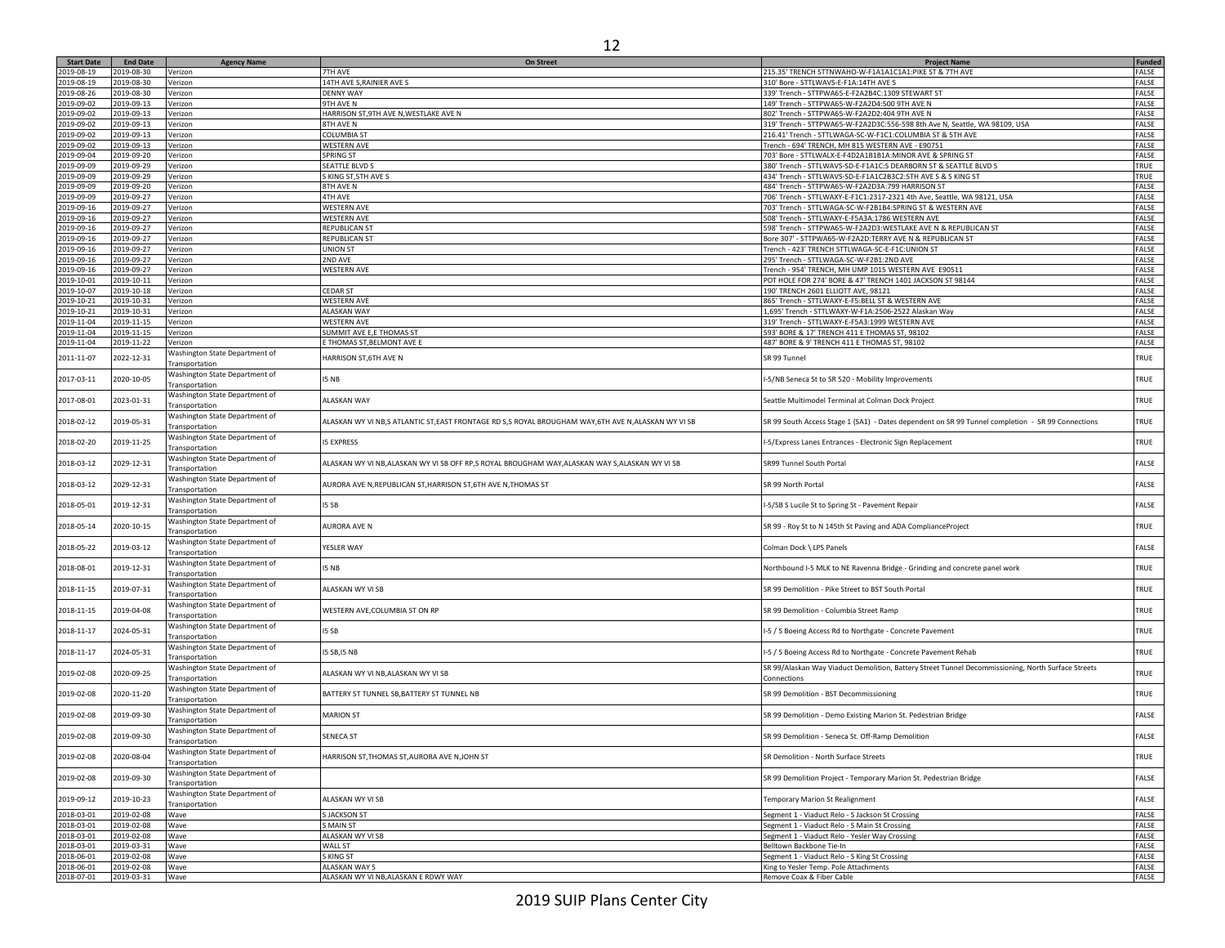|                   |                        |                    | ∸∸                                                                                                                                                                                                                                                                                                                                                                                                                           |                                                        |               |
|-------------------|------------------------|--------------------|------------------------------------------------------------------------------------------------------------------------------------------------------------------------------------------------------------------------------------------------------------------------------------------------------------------------------------------------------------------------------------------------------------------------------|--------------------------------------------------------|---------------|
| <b>Start Date</b> | <b>End Date</b>        | <b>Agency Name</b> | <b>On Street</b>                                                                                                                                                                                                                                                                                                                                                                                                             | <b>Project Name</b>                                    | Funded        |
| 19-08-19          | 2019-08-30             | Verizon            | 7TH AVE                                                                                                                                                                                                                                                                                                                                                                                                                      | 215.35' TRENCH STTNWAHO-W-F1A1A1C1A1:PIKE ST & 7TH AVE | FALSE         |
| 19-08-19          | 2019-08-30             | Verizon            | 14TH AVE S.RAINIER AVE S                                                                                                                                                                                                                                                                                                                                                                                                     | 310' Bore - STTLWAVS-E-F1A:14TH AVE S                  | <b>FALSE</b>  |
| 19-08-26          | 2019-08-30             | Verizon            | <b>DENNY WAY</b>                                                                                                                                                                                                                                                                                                                                                                                                             | 339' Trench - STTPWA65-E-F2A2B4C:1309 STEWART ST       | <b>FALSE</b>  |
| 19-09-02          | 2019-09-13             | Verizon            | 9TH AVE N                                                                                                                                                                                                                                                                                                                                                                                                                    | 149' Trench - STTPWA65-W-F2A2D4:500 9TH AVE N          | FALSE         |
|                   | $\sim$ 00.00 0010.0010 | $\cdots$           | $\mathbf{1} + \mathbf{1} + \mathbf{1} + \mathbf{1} + \mathbf{1} + \mathbf{1} + \mathbf{1} + \mathbf{1} + \mathbf{1} + \mathbf{1} + \mathbf{1} + \mathbf{1} + \mathbf{1} + \mathbf{1} + \mathbf{1} + \mathbf{1} + \mathbf{1} + \mathbf{1} + \mathbf{1} + \mathbf{1} + \mathbf{1} + \mathbf{1} + \mathbf{1} + \mathbf{1} + \mathbf{1} + \mathbf{1} + \mathbf{1} + \mathbf{1} + \mathbf{1} + \mathbf{1} + \mathbf{1} + \mathbf$ | $0.001 \times 10^{-10}$                                | $1 - 10 - 10$ |

| 2019-08-19               | 2019-08-30               | Verizon                                          | 7TH AVE                                                                                           | 215.35' TRENCH STTNWAHO-W-F1A1A1C1A1:PIKE ST & 7TH AVE                                                                                                                | FALSE          |
|--------------------------|--------------------------|--------------------------------------------------|---------------------------------------------------------------------------------------------------|-----------------------------------------------------------------------------------------------------------------------------------------------------------------------|----------------|
|                          | 2019-08-30               | Verizon                                          | 14TH AVE S, RAINIER AVE S                                                                         | 310' Bore - STTLWAVS-E-F1A:14TH AVE S                                                                                                                                 | FALSE          |
| 2019-08-26               | 2019-08-30               | Verizon                                          | <b>DENNY WAY</b>                                                                                  | 339' Trench - STTPWA65-E-F2A2B4C:1309 STEWART ST                                                                                                                      | FALSE          |
| 2019-09-02               | 2019-09-13               | Verizon                                          | 9TH AVE N                                                                                         | 149' Trench - STTPWA65-W-F2A2D4:500 9TH AVE N                                                                                                                         | FALSE          |
|                          |                          |                                                  | HARRISON ST, 9TH AVE N, WESTLAKE AVE N                                                            |                                                                                                                                                                       | FALSE          |
| 2019-09-02               | 2019-09-13               | Verizon                                          |                                                                                                   | 802' Trench - STTPWA65-W-F2A2D2:404 9TH AVE N                                                                                                                         |                |
| 2019-09-02               | 2019-09-13               | Verizon                                          | 8TH AVE N                                                                                         | 319' Trench - STTPWA65-W-F2A2D3C:556-598 8th Ave N, Seattle, WA 98109, USA                                                                                            | FALSE          |
| 2019-09-02               | 2019-09-13               | Verizon                                          | <b>COLUMBIA ST</b>                                                                                | 216.41' Trench - STTLWAGA-SC-W-F1C1:COLUMBIA ST & 5TH AVE                                                                                                             | FALSE          |
| 2019-09-02               | 2019-09-13               | Verizon                                          | <b>WESTERN AVE</b>                                                                                | Trench - 694' TRENCH, MH 815 WESTERN AVE - E90751                                                                                                                     | FALSE          |
| 2019-09-04               | 2019-09-20               | Verizon                                          | <b>SPRING ST</b>                                                                                  | 703' Bore - STTLWALX-E-F4D2A1B1B1A:MINOR AVE & SPRING ST                                                                                                              | FALSE          |
| 2019-09-09               | 2019-09-29               | Verizon                                          | <b>SEATTLE BLVD S</b>                                                                             | 380' Trench - STTLWAVS-SD-E-F1A1C:S DEARBORN ST & SEATTLE BLVD S                                                                                                      | TRUE           |
|                          |                          |                                                  |                                                                                                   |                                                                                                                                                                       |                |
| 2019-09-09               | 2019-09-29               | Verizon                                          | S KING ST, 5TH AVE S                                                                              | 434' Trench - STTLWAVS-SD-E-F1A1C2B3C2:5TH AVE S & S KING ST                                                                                                          | TRUE           |
| 2019-09-09               | 2019-09-20               | Verizon                                          | 8TH AVE N                                                                                         | 484' Trench - STTPWA65-W-F2A2D3A:799 HARRISON ST                                                                                                                      | FALSE          |
| 2019-09-09               | 2019-09-27               | Verizon                                          | <b>4TH AVE</b>                                                                                    | 706' Trench - STTLWAXY-E-F1C1:2317-2321 4th Ave, Seattle, WA 98121, USA                                                                                               | FALSE          |
| 2019-09-16               | 2019-09-27               | Verizon                                          | <b>WESTERN AVE</b>                                                                                | 703' Trench - STTLWAGA-SC-W-F2B1B4:SPRING ST & WESTERN AVE                                                                                                            | FALSE          |
| 2019-09-16               | 2019-09-27               | Verizon                                          | <b>WESTERN AVE</b>                                                                                | 508' Trench - STTLWAXY-E-F5A3A:1786 WESTERN AVE                                                                                                                       | FALSE          |
| 2019-09-16               | 2019-09-27               |                                                  | <b>REPUBLICAN ST</b>                                                                              | 598' Trench - STTPWA65-W-F2A2D3:WESTLAKE AVE N & REPUBLICAN ST                                                                                                        | FALSE          |
|                          |                          | Verizon                                          |                                                                                                   |                                                                                                                                                                       |                |
| 2019-09-16               | 2019-09-27               | Verizon                                          | <b>REPUBLICAN ST</b>                                                                              | Bore 307' - STTPWA65-W-F2A2D:TERRY AVE N & REPUBLICAN ST                                                                                                              | FALSE          |
| 2019-09-16               | 2019-09-27               | Verizon                                          | <b>UNION ST</b>                                                                                   | Trench - 423' TRENCH STTLWAGA-SC-E-F1C:UNION ST                                                                                                                       | FALSE          |
| 2019-09-16               | 2019-09-27               | Verizon                                          | 2ND AVE                                                                                           | 295' Trench - STTLWAGA-SC-W-F2B1:2ND AVE                                                                                                                              | FALSE          |
| 2019-09-16               | 2019-09-27               | Verizon                                          | <b>WESTERN AVE</b>                                                                                | Trench - 954' TRENCH, MH UMP 1015 WESTERN AVE E90511                                                                                                                  | FALSE          |
| 2019-10-01               | 2019-10-11               | Verizon                                          |                                                                                                   | POT HOLE FOR 274' BORE & 47' TRENCH 1401 JACKSON ST 98144                                                                                                             | FALSE          |
|                          |                          |                                                  |                                                                                                   |                                                                                                                                                                       |                |
| 2019-10-07               | 2019-10-18               | Verizon                                          | <b>CEDAR ST</b>                                                                                   | 190' TRENCH 2601 ELLIOTT AVE, 98121                                                                                                                                   | FALSE          |
| 2019-10-21               | 2019-10-31               | Verizon                                          | <b>WESTERN AVE</b>                                                                                | 865' Trench - STTLWAXY-E-F5:BELL ST & WESTERN AVE                                                                                                                     | FALSE          |
| 2019-10-21               | 2019-10-31               | Verizon                                          | <b>ALASKAN WAY</b>                                                                                | 1,695' Trench - STTLWAXY-W-F1A:2506-2522 Alaskan Way                                                                                                                  | FALSE          |
| 2019-11-04               | 2019-11-15               | Verizon                                          | <b>WESTERN AVE</b>                                                                                | 319' Trench - STTLWAXY-E-F5A3:1999 WESTERN AVE                                                                                                                        | FALSE          |
| 2019-11-04               | 2019-11-15               | Verizon                                          | SUMMIT AVE E,E THOMAS ST                                                                          | 593' BORE & 17' TRENCH 411 E THOMAS ST, 98102                                                                                                                         | FALSE          |
|                          |                          |                                                  |                                                                                                   |                                                                                                                                                                       |                |
| 2019-11-04               | 2019-11-22               | Verizon                                          | E THOMAS ST, BELMONT AVE E                                                                        | 487' BORE & 9' TRENCH 411 E THOMAS ST, 98102                                                                                                                          | FALSE          |
| 2011-11-07               | 2022-12-31               | Washington State Department of<br>Transportation | HARRISON ST, 6TH AVE N                                                                            | SR 99 Tunnel                                                                                                                                                          | TRUE           |
| 2017-03-11               | 2020-10-05               | Washington State Department of                   | I5 NB                                                                                             | I-5/NB Seneca St to SR 520 - Mobility Improvements                                                                                                                    | TRUE           |
|                          |                          | Transportation<br>Washington State Department of |                                                                                                   |                                                                                                                                                                       |                |
| 2017-08-01               | 2023-01-31               | Transportation<br>Washington State Department of | ALASKAN WAY                                                                                       | Seattle Multimodel Terminal at Colman Dock Project                                                                                                                    | TRUE           |
| 2018-02-12               | 2019-05-31               | Transportation                                   | ALASKAN WY VI NB,S ATLANTIC ST,EAST FRONTAGE RD S,S ROYAL BROUGHAM WAY,6TH AVE N,ALASKAN WY VI SB | SR 99 South Access Stage 1 (SA1) - Dates dependent on SR 99 Tunnel completion - SR 99 Connections                                                                     | TRUE           |
| 2018-02-20               | 2019-11-25               | Washington State Department of<br>Transportation | <b>IS EXPRESS</b>                                                                                 | I-5/Express Lanes Entrances - Electronic Sign Replacement                                                                                                             | TRUE           |
| 2018-03-12               | 2029-12-31               | Washington State Department of<br>Transportation | ALASKAN WY VI NB, ALASKAN WY VI SB OFF RP, S ROYAL BROUGHAM WAY, ALASKAN WAY S, ALASKAN WY VI SB  | SR99 Tunnel South Portal                                                                                                                                              | FALSE          |
| 2018-03-12               | 2029-12-31               | Washington State Department of                   | AURORA AVE N, REPUBLICAN ST, HARRISON ST, 6TH AVE N, THOMAS ST                                    | SR 99 North Portal                                                                                                                                                    | FALSE          |
| 2018-05-01               | 2019-12-31               | Transportation<br>Washington State Department of | I5 SB                                                                                             | I-5/SB S Lucile St to Spring St - Pavement Repair                                                                                                                     | FALSE          |
|                          |                          | Transportation<br>Washington State Department of |                                                                                                   |                                                                                                                                                                       |                |
| 2018-05-14               | 2020-10-15               | Transportation<br>Washington State Department of | <b>AURORA AVE N</b>                                                                               | SR 99 - Roy St to N 145th St Paving and ADA ComplianceProject                                                                                                         | TRUE           |
| 2018-05-22               | 2019-03-12               | Transportation                                   | YESLER WAY                                                                                        | Colman Dock \ LPS Panels                                                                                                                                              | FALSE          |
| 2018-08-01               | 2019-12-31               | Washington State Department of                   | I5 NB                                                                                             | Northbound I-5 MLK to NE Ravenna Bridge - Grinding and concrete panel work                                                                                            | TRUE           |
|                          |                          | Transportation                                   |                                                                                                   |                                                                                                                                                                       |                |
| 2018-11-15               | 2019-07-31               | Washington State Department of                   | ALASKAN WY VI SB                                                                                  | SR 99 Demolition - Pike Street to BST South Portal                                                                                                                    | TRUE           |
| 2018-11-15               | 2019-04-08               | Transportation<br>Washington State Department of | WESTERN AVE, COLUMBIA ST ON RP                                                                    | SR 99 Demolition - Columbia Street Ramp                                                                                                                               | TRUE           |
| 2018-11-17               | 2024-05-31               | Transportation<br>Washington State Department of | I5 SB                                                                                             | I-5 / S Boeing Access Rd to Northgate - Concrete Pavement                                                                                                             | TRUE           |
|                          |                          | Transportation<br>Washington State Department of |                                                                                                   |                                                                                                                                                                       |                |
| 2018-11-17               | 2024-05-31               | Transportation<br>Washington State Department of | 15 SB, 15 NB                                                                                      | I-5 / S Boeing Access Rd to Northgate - Concrete Pavement Rehab<br>SR 99/Alaskan Way Viaduct Demolition, Battery Street Tunnel Decommissioning, North Surface Streets | TRUE           |
| 2019-02-08               | 2020-09-25               | Transportation<br>Washington State Department of | ALASKAN WY VI NB, ALASKAN WY VI SB                                                                | Connections                                                                                                                                                           | TRUE           |
| 2019-02-08               | 2020-11-20               | Transportation                                   | BATTERY ST TUNNEL SB, BATTERY ST TUNNEL NB                                                        | SR 99 Demolition - BST Decommissioning                                                                                                                                | TRUE           |
| 2019-02-08               | 2019-09-30               | Washington State Department of<br>Transportation | <b>MARION ST</b>                                                                                  | SR 99 Demolition - Demo Existing Marion St. Pedestrian Bridge                                                                                                         | FALSE          |
| 2019-02-08               | 2019-09-30               | Washington State Department of<br>Transportation | SENECA ST                                                                                         | SR 99 Demolition - Seneca St. Off-Ramp Demolition                                                                                                                     | FALSE          |
| 2019-02-08               | 2020-08-04               | Washington State Department of<br>Transportation | HARRISON ST, THOMAS ST, AURORA AVE N, JOHN ST                                                     | SR Demolition - North Surface Streets                                                                                                                                 | TRUE           |
| 2019-02-08               | 2019-09-30               | Washington State Department of<br>Transportation |                                                                                                   | SR 99 Demolition Project - Temporary Marion St. Pedestrian Bridge                                                                                                     | FALSE          |
| 2019-09-12               | 2019-10-23               | Washington State Department of                   | ALASKAN WY VI SB                                                                                  | <b>Temporary Marion St Realignment</b>                                                                                                                                | FALSE          |
| 2018-03-01               | 2019-02-08               | Transportation<br>Wave                           | <b>S JACKSON ST</b>                                                                               | Segment 1 - Viaduct Relo - S Jackson St Crossing                                                                                                                      | FALSE          |
| 2018-03-01               | 2019-02-08               | Wave                                             | S MAIN ST                                                                                         | Segment 1 - Viaduct Relo - S Main St Crossing                                                                                                                         | FALSE          |
| 2018-03-01               | 2019-02-08               | Wave                                             | ALASKAN WY VI SB                                                                                  | Segment 1 - Viaduct Relo - Yesler Way Crossing                                                                                                                        | FALSE          |
|                          |                          |                                                  | <b>WALL ST</b>                                                                                    | Belltown Backbone Tie-In                                                                                                                                              |                |
| 2018-03-01               | 2019-03-31               | Wave                                             |                                                                                                   |                                                                                                                                                                       | FALSE          |
| 2018-06-01               | 2019-02-08               | Wave                                             | S KING ST                                                                                         | Segment 1 - Viaduct Relo - S King St Crossing                                                                                                                         | FALSE          |
| 2018-06-01<br>2018-07-01 | 2019-02-08<br>2019-03-31 | Wave<br>Wave                                     | ALASKAN WAY S<br>ALASKAN WY VI NB.ALASKAN E RDWY WAY                                              | King to Yesler Temp. Pole Attachments<br>Remove Coax & Fiber Cable                                                                                                    | FALSE<br>FALSE |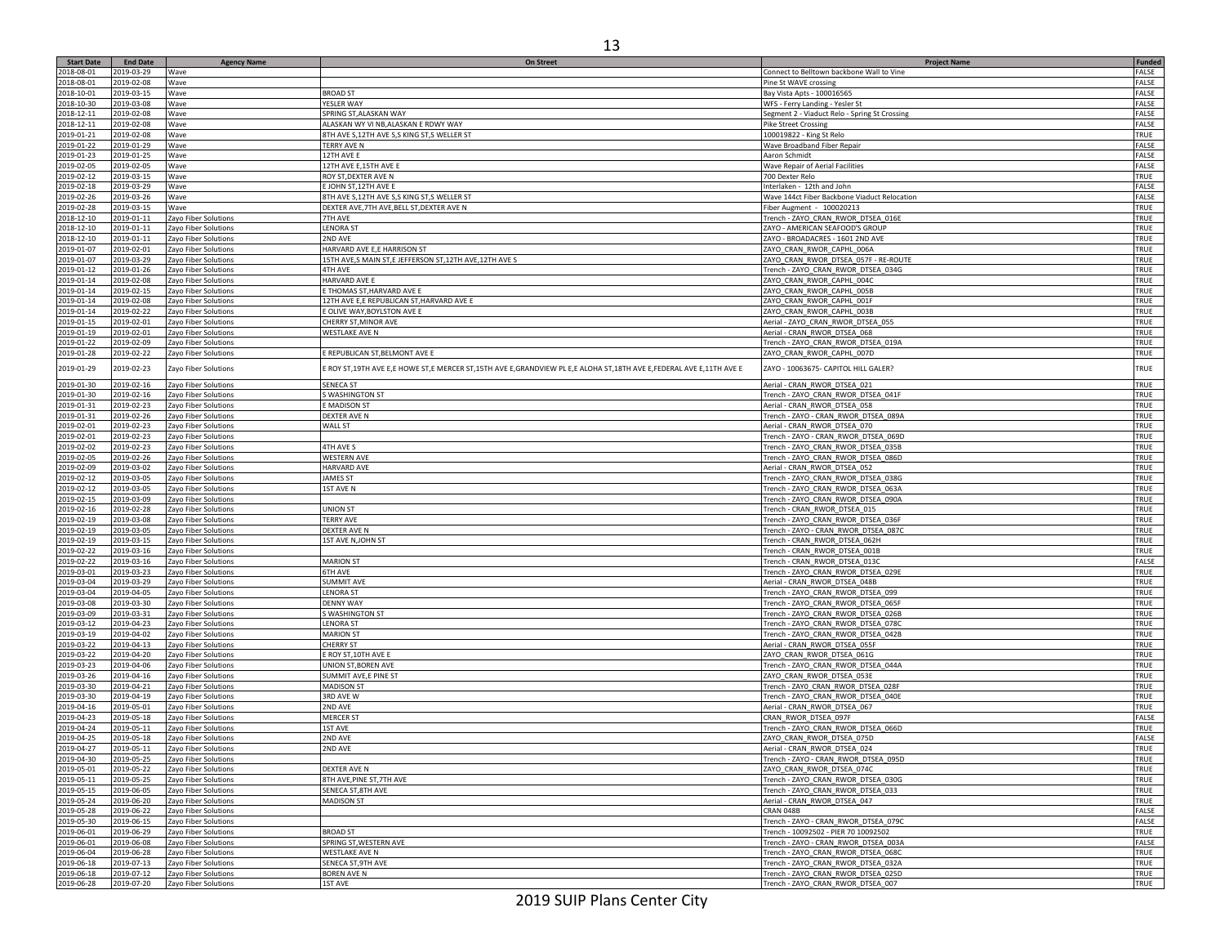| <b>Start Date</b> | <b>End Date</b> | <b>Agency Name</b>   | <b>On Street</b>                                                                                                   | <b>Project Name</b>                           | Funded       |
|-------------------|-----------------|----------------------|--------------------------------------------------------------------------------------------------------------------|-----------------------------------------------|--------------|
| 2018-08-01        | 2019-03-29      | Wave                 |                                                                                                                    | Connect to Belltown backbone Wall to Vine     | FALSE        |
| 2018-08-01        | 2019-02-08      | Wave                 |                                                                                                                    | Pine St WAVE crossing                         | FALSE        |
| 2018-10-01        | 2019-03-15      | Wave                 | <b>BROAD ST</b>                                                                                                    | Bay Vista Apts - 100016565                    | FALSE        |
| 2018-10-30        | 2019-03-08      | Wave                 | YESLER WAY                                                                                                         | WFS - Ferry Landing - Yesler St               | FALSE        |
| 2018-12-11        | 2019-02-08      | Wave                 | SPRING ST, ALASKAN WAY                                                                                             | Segment 2 - Viaduct Relo - Spring St Crossing | FALSE        |
| 2018-12-11        | 2019-02-08      | Wave                 | ALASKAN WY VI NB,ALASKAN E RDWY WAY                                                                                | <b>Pike Street Crossing</b>                   | FALSE        |
| 2019-01-21        | 2019-02-08      | Wave                 | 8TH AVE S, 12TH AVE S, S KING ST, S WELLER ST                                                                      | 100019822 - King St Relo                      | TRUE         |
| 2019-01-22        | 2019-01-29      | Wave                 | <b>TERRY AVE N</b>                                                                                                 | Wave Broadband Fiber Repair                   | FALSE        |
| 2019-01-23        | 2019-01-25      |                      |                                                                                                                    |                                               | FALSE        |
|                   |                 | Wave                 | 12TH AVE E                                                                                                         | Aaron Schmidt                                 |              |
| 2019-02-05        | 2019-02-05      | Wave                 | 12TH AVE E,15TH AVE E                                                                                              | Wave Repair of Aerial Facilities              | FALSE        |
| 2019-02-12        | 2019-03-15      | Wave                 | ROY ST, DEXTER AVE N                                                                                               | 700 Dexter Relo                               | TRUE         |
| 2019-02-18        | 2019-03-29      | Wave                 | E JOHN ST, 12TH AVE E                                                                                              | Interlaken - 12th and John                    | <b>FALSE</b> |
| 2019-02-26        | 2019-03-26      | Wave                 | 8TH AVE S,12TH AVE S,S KING ST,S WELLER ST                                                                         | Wave 144ct Fiber Backbone Viaduct Relocation  | FALSE        |
| 2019-02-28        | 2019-03-15      | Wave                 | DEXTER AVE, 7TH AVE, BELL ST, DEXTER AVE N                                                                         | Fiber Augment - 100020213                     | TRUE         |
| 2018-12-10        | 2019-01-11      | Zayo Fiber Solutions | 7TH AVE                                                                                                            | Trench - ZAYO_CRAN_RWOR_DTSEA_016E            | TRUE         |
| 2018-12-10        | 2019-01-11      | Zayo Fiber Solutions | <b>LENORA ST</b>                                                                                                   | ZAYO - AMERICAN SEAFOOD'S GROUP               | <b>TRUE</b>  |
| 2018-12-10        | 2019-01-11      | Zayo Fiber Solutions | 2ND AVE                                                                                                            | ZAYO - BROADACRES - 1601 2ND AVE              | TRUE         |
| 2019-01-07        | 2019-02-01      | Zayo Fiber Solutions | HARVARD AVE E,E HARRISON ST                                                                                        | ZAYO_CRAN_RWOR_CAPHL_006A                     | TRUE         |
| 2019-01-07        | 2019-03-29      | Zayo Fiber Solutions | 15TH AVE,S MAIN ST,E JEFFERSON ST,12TH AVE,12TH AVE S                                                              | ZAYO_CRAN_RWOR_DTSEA_057F - RE-ROUTE          | TRUE         |
| 2019-01-12        | 2019-01-26      | Zayo Fiber Solutions | 4TH AVE                                                                                                            | Trench - ZAYO_CRAN_RWOR_DTSEA_034G            | <b>TRUE</b>  |
| 2019-01-14        | 2019-02-08      |                      | HARVARD AVE E                                                                                                      | ZAYO_CRAN_RWOR_CAPHL_004C                     | TRUE         |
|                   |                 | Zayo Fiber Solutions |                                                                                                                    |                                               |              |
| 2019-01-14        | 2019-02-15      | Zayo Fiber Solutions | <b>THOMAS ST, HARVARD AVE E</b>                                                                                    | ZAYO_CRAN_RWOR_CAPHL_005B                     | TRUE         |
| 2019-01-14        | 2019-02-08      | Zayo Fiber Solutions | 12TH AVE E, <mark>E REPUBLICAN ST,HARVARD AVE E</mark>                                                             | ZAYO_CRAN_RWOR_CAPHL_001F                     | TRUE         |
| 2019-01-14        | 2019-02-22      | Zayo Fiber Solutions | E OLIVE WAY, BOYLSTON AVE E                                                                                        | ZAYO_CRAN_RWOR_CAPHL_003B                     | <b>TRUE</b>  |
| 2019-01-15        | 2019-02-01      | Zayo Fiber Solutions | CHERRY ST, MINOR AVE                                                                                               | Aerial - ZAYO_CRAN_RWOR_DTSEA_055             | TRUE         |
| 2019-01-19        | 2019-02-01      | Zayo Fiber Solutions | <b>WESTLAKE AVE N</b>                                                                                              | Aerial - CRAN_RWOR_DTSEA_068                  | TRUE         |
| 2019-01-22        | 2019-02-09      | Zayo Fiber Solutions |                                                                                                                    | Trench - ZAYO_CRAN_RWOR_DTSEA_019A            | TRUE         |
| 2019-01-28        | 2019-02-22      | Zayo Fiber Solutions | E REPUBLICAN ST, BELMONT AVE E                                                                                     | ZAYO_CRAN_RWOR_CAPHL_007D                     | TRUE         |
|                   |                 |                      |                                                                                                                    |                                               |              |
| 2019-01-29        | 2019-02-23      | Zayo Fiber Solutions | E ROY ST,19TH AVE E,E HOWE ST,E MERCER ST,15TH AVE E,GRANDVIEW PL E,E ALOHA ST,18TH AVE E,FEDERAL AVE E,11TH AVE E | ZAYO - 10063675- CAPITOL HILL GALER?          | TRUE         |
| 2019-01-30        | 2019-02-16      | Zayo Fiber Solutions | <b>SENECA ST</b>                                                                                                   | Aerial - CRAN RWOR DTSEA 021                  | TRUE         |
| 2019-01-30        | 2019-02-16      | Zayo Fiber Solutions | S WASHINGTON ST                                                                                                    | Trench - ZAYO_CRAN_RWOR_DTSEA_041F            | TRUE         |
| 2019-01-31        | 2019-02-23      |                      | <b>E MADISON ST</b>                                                                                                | Aerial - CRAN RWOR DTSEA 058                  | TRUE         |
|                   |                 | Zayo Fiber Solutions |                                                                                                                    |                                               |              |
| 2019-01-31        | 2019-02-26      | Zayo Fiber Solutions | DEXTER AVE N                                                                                                       | Trench - ZAYO - CRAN_RWOR_DTSEA_089A          | TRUE         |
| 2019-02-01        | 2019-02-23      | Zayo Fiber Solutions | WALL ST                                                                                                            | Aerial - CRAN_RWOR_DTSEA_070                  | TRUE         |
| 2019-02-01        | 2019-02-23      | Zayo Fiber Solutions |                                                                                                                    | Trench - ZAYO - CRAN_RWOR_DTSEA_069D          | TRUE         |
| 2019-02-02        | 2019-02-23      | Zayo Fiber Solutions | 4TH AVE S                                                                                                          | Trench - ZAYO_CRAN_RWOR_DTSEA_035B            | TRUE         |
| 2019-02-05        | 2019-02-26      | Zayo Fiber Solutions | WESTERN AVE                                                                                                        | Trench - ZAYO_CRAN_RWOR_DTSEA_086D            | TRUE         |
| 2019-02-09        | 2019-03-02      | Zayo Fiber Solutions | <b>HARVARD AVE</b>                                                                                                 | Aerial - CRAN RWOR DTSEA 052                  | TRUE         |
| 2019-02-12        | 2019-03-05      | Zayo Fiber Solutions | <b>JAMES ST</b>                                                                                                    | Trench - ZAYO_CRAN_RWOR_DTSEA_038G            | TRUE         |
| 2019-02-12        | 2019-03-05      | Zayo Fiber Solutions | 1ST AVE N                                                                                                          | Trench - ZAYO CRAN RWOR DTSEA 063A            | TRUE         |
| 2019-02-15        | 2019-03-09      | Zayo Fiber Solutions |                                                                                                                    | Trench - ZAYO_CRAN_RWOR_DTSEA_090A            | TRUE         |
| 2019-02-16        | 2019-02-28      | Zayo Fiber Solutions | UNION ST                                                                                                           | Trench - CRAN_RWOR_DTSEA_015                  | TRUE         |
| 2019-02-19        | 2019-03-08      | Zayo Fiber Solutions | <b><i>TERRY AVE</i></b>                                                                                            | Trench - ZAYO_CRAN_RWOR_DTSEA_036F            | TRUE         |
| 2019-02-19        | 2019-03-05      | Zayo Fiber Solutions | DEXTER AVE N                                                                                                       | Trench - ZAYO - CRAN_RWOR_DTSEA_087C          | <b>TRUE</b>  |
|                   | 2019-03-15      |                      |                                                                                                                    | Trench - CRAN_RWOR_DTSEA_062H                 | TRUE         |
| 2019-02-19        |                 | Zayo Fiber Solutions | 1ST AVE N, JOHN ST                                                                                                 |                                               |              |
| 2019-02-22        | 2019-03-16      | Zayo Fiber Solutions |                                                                                                                    | Trench - CRAN_RWOR_DTSEA_001B                 | TRUE         |
| 2019-02-22        | 2019-03-16      | Zayo Fiber Solutions | <b>MARION ST</b>                                                                                                   | Trench - CRAN_RWOR_DTSEA_013C                 | FALSE        |
| 2019-03-01        | 2019-03-23      | Zayo Fiber Solutions | <b>6TH AVE</b>                                                                                                     | Trench - ZAYO_CRAN_RWOR_DTSEA_029E            | <b>TRUE</b>  |
| 2019-03-04        | 2019-03-29      | Zayo Fiber Solutions | SUMMIT AVE                                                                                                         | Aerial - CRAN_RWOR_DTSEA_048B                 | TRUE         |
| 2019-03-04        | 2019-04-05      | Zayo Fiber Solutions | <b>ENORA ST</b>                                                                                                    | Trench - ZAYO_CRAN_RWOR_DTSEA_099             | TRUE         |
| 2019-03-08        | 2019-03-30      | Zayo Fiber Solutions | <b>DENNY WAY</b>                                                                                                   | Trench - ZAYO_CRAN_RWOR_DTSEA_065F            | TRUE         |
| 2019-03-09        | 2019-03-31      | Zayo Fiber Solutions | S WASHINGTON ST                                                                                                    | Trench - ZAYO_CRAN_RWOR_DTSEA_026B            | <b>TRUE</b>  |
| 2019-03-12        | 2019-04-23      | Zayo Fiber Solutions | <b>LENORA ST</b>                                                                                                   | Trench - ZAYO_CRAN_RWOR_DTSEA_078C            | TRUE         |
| 2019-03-19        | 2019-04-02      | Zayo Fiber Solutions | <b>MARION ST</b>                                                                                                   | Trench - ZAYO_CRAN_RWOR_DTSEA_042B            | TRUE         |
| 2019-03-22        | 2019-04-13      | Zayo Fiber Solutions | <b>CHERRY ST</b>                                                                                                   | Aerial - CRAN_RWOR_DTSEA_055F                 | TRUE         |
| 2019-03-22        | 2019-04-20      | Zayo Fiber Solutions | E ROY ST,10TH AVE E                                                                                                | ZAYO CRAN RWOR DTSEA 061G                     | TRUE         |
| 2019-03-23        | 2019-04-06      | Zayo Fiber Solutions | UNION ST, BOREN AVE                                                                                                | Trench - ZAYO CRAN RWOR DTSEA 044A            | TRUE         |
| 2019-03-26        | 2019-04-16      | Zayo Fiber Solutions | SUMMIT AVE,E PINE ST                                                                                               | ZAYO_CRAN_RWOR_DTSEA_053E                     | TRUE         |
| 2019-03-30        | 2019-04-21      | Zayo Fiber Solutions | <b>MADISON ST</b>                                                                                                  |                                               | TRUE         |
|                   |                 |                      |                                                                                                                    | Trench - ZAYO_CRAN_RWOR_DTSEA_028F            |              |
| 2019-03-30        | 2019-04-19      | Zayo Fiber Solutions | 3RD AVE W                                                                                                          | Trench - ZAYO_CRAN_RWOR_DTSEA_040E            | TRUE         |
| 2019-04-16        | 2019-05-01      | Zayo Fiber Solutions | 2ND AVE                                                                                                            | Aerial - CRAN RWOR DTSEA 067                  | TRUE         |
| 2019-04-23        | 2019-05-18      | Zayo Fiber Solutions | <b>MERCER ST</b>                                                                                                   | CRAN_RWOR_DTSEA_097F                          | FALSE        |
| 2019-04-24        | 2019-05-11      | Zayo Fiber Solutions | <b>IST AVE</b>                                                                                                     | Trench - ZAYO_CRAN_RWOR_DTSEA_066D            | TRUE         |
| 2019-04-25        | 2019-05-18      | Zayo Fiber Solutions | 2ND AVE                                                                                                            | ZAYO_CRAN_RWOR_DTSEA_075D                     | FALSE        |
| 2019-04-27        | 2019-05-11      | Zayo Fiber Solutions | 2ND AVE                                                                                                            | Aerial - CRAN RWOR DTSEA 024                  | TRUE         |
| 2019-04-30        | 2019-05-25      | Zayo Fiber Solutions |                                                                                                                    | Trench - ZAYO - CRAN_RWOR_DTSEA_095D          | TRUE         |
| 2019-05-01        | 2019-05-22      | Zayo Fiber Solutions | DEXTER AVE N                                                                                                       | ZAYO CRAN RWOR DTSEA 074C                     | TRUE         |
| 2019-05-11        | 2019-05-25      | Zayo Fiber Solutions | 8TH AVE, PINE ST, 7TH AVE                                                                                          | Trench - ZAYO_CRAN_RWOR_DTSEA_030G            | TRUE         |
| 2019-05-15        | 2019-06-05      | Zayo Fiber Solutions | SENECA ST, 8TH AVE                                                                                                 | Trench - ZAYO CRAN RWOR DTSEA 033             | TRUE         |
| 2019-05-24        | 2019-06-20      | Zayo Fiber Solutions | <b>MADISON ST</b>                                                                                                  | Aerial - CRAN RWOR DTSEA 047                  | TRUE         |
| 2019-05-28        | 2019-06-22      | Zayo Fiber Solutions |                                                                                                                    | CRAN 048B                                     | FALSE        |
|                   | 2019-06-15      |                      |                                                                                                                    | Trench - ZAYO - CRAN RWOR DTSEA 079C          | FALSE        |
| 2019-05-30        |                 | Zayo Fiber Solutions |                                                                                                                    |                                               |              |
| 2019-06-01        | 2019-06-29      | Zayo Fiber Solutions | <b>BROAD ST</b>                                                                                                    | Trench - 10092502 - PIER 70 10092502          | TRUE         |
| 2019-06-01        | 2019-06-08      | Zayo Fiber Solutions | SPRING ST, WESTERN AVE                                                                                             | Trench - ZAYO - CRAN_RWOR_DTSEA_003A          | FALSE        |
| 2019-06-04        | 2019-06-28      | Zayo Fiber Solutions | <b>WESTLAKE AVE N</b>                                                                                              | Trench - ZAYO_CRAN_RWOR_DTSEA_068C            | TRUE         |
| 2019-06-18        | 2019-07-13      | Zayo Fiber Solutions | SENECA ST, 9TH AVE                                                                                                 | Trench - ZAYO CRAN RWOR DTSEA 032A            | TRUE         |
| 2019-06-18        | 2019-07-12      | Zayo Fiber Solutions | <b>BOREN AVE N</b>                                                                                                 | Trench - ZAYO_CRAN_RWOR_DTSEA_025D            | TRUE         |
| 2019-06-28        | 2019-07-20      | Zayo Fiber Solutions | 1ST AVE                                                                                                            | Trench - ZAYO_CRAN_RWOR_DTSEA_007             | TRUE         |